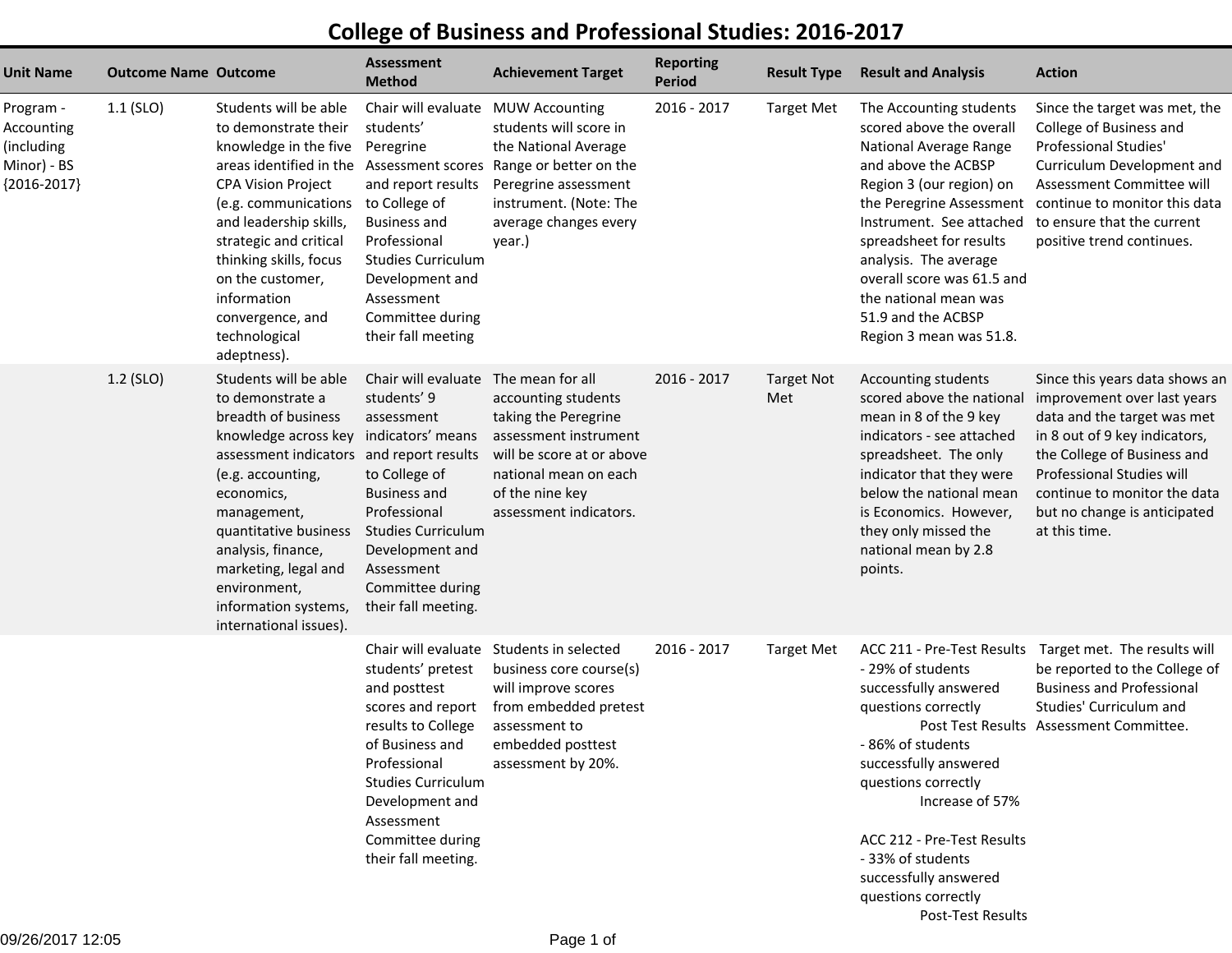## **College of Business and Professional Studies: 2016-2017**

| <b>Unit Name</b>                                                      | <b>Outcome Name Outcome</b> |                                                                                                                                                                                                                                                                                                                                                   | <b>Assessment</b><br><b>Method</b>                                                                                                                                                                                                                              | <b>Achievement Target</b>                                                                                                                                                                   | <b>Reporting</b><br><b>Period</b> | <b>Result Type</b>       | <b>Result and Analysis</b>                                                                                                                                                                                                                                                                                               | <b>Action</b>                                                                                                                                                                                                                                                              |
|-----------------------------------------------------------------------|-----------------------------|---------------------------------------------------------------------------------------------------------------------------------------------------------------------------------------------------------------------------------------------------------------------------------------------------------------------------------------------------|-----------------------------------------------------------------------------------------------------------------------------------------------------------------------------------------------------------------------------------------------------------------|---------------------------------------------------------------------------------------------------------------------------------------------------------------------------------------------|-----------------------------------|--------------------------|--------------------------------------------------------------------------------------------------------------------------------------------------------------------------------------------------------------------------------------------------------------------------------------------------------------------------|----------------------------------------------------------------------------------------------------------------------------------------------------------------------------------------------------------------------------------------------------------------------------|
| Program -<br>Accounting<br>(including<br>Minor) - BS<br>${2016-2017}$ | $1.1$ (SLO)                 | Students will be able<br>to demonstrate their<br>knowledge in the five<br>areas identified in the<br><b>CPA Vision Project</b><br>(e.g. communications<br>and leadership skills,<br>strategic and critical<br>thinking skills, focus<br>on the customer,<br>information<br>convergence, and<br>technological<br>adeptness).                       | Chair will evaluate<br>students'<br>Peregrine<br><b>Assessment scores</b><br>and report results<br>to College of<br><b>Business and</b><br>Professional<br><b>Studies Curriculum</b><br>Development and<br>Assessment<br>Committee during<br>their fall meeting | <b>MUW Accounting</b><br>students will score in<br>the National Average<br>Range or better on the<br>Peregrine assessment<br>instrument. (Note: The<br>average changes every<br>year.)      | 2016 - 2017                       | Target Met               | The Accounting students<br>scored above the overall<br>National Average Range<br>and above the ACBSP<br>Region 3 (our region) on<br>Instrument. See attached<br>spreadsheet for results<br>analysis. The average<br>overall score was 61.5 and<br>the national mean was<br>51.9 and the ACBSP<br>Region 3 mean was 51.8. | Since the target was met, the<br>College of Business and<br>Professional Studies'<br>Curriculum Development and<br>Assessment Committee will<br>the Peregrine Assessment continue to monitor this data<br>to ensure that the current<br>positive trend continues.          |
|                                                                       | 1.2 (SLO)                   | Students will be able<br>to demonstrate a<br>breadth of business<br>knowledge across key indicators' means<br>assessment indicators and report results<br>(e.g. accounting,<br>economics,<br>management,<br>quantitative business<br>analysis, finance,<br>marketing, legal and<br>environment,<br>information systems,<br>international issues). | Chair will evaluate<br>students' 9<br>assessment<br>to College of<br><b>Business and</b><br>Professional<br><b>Studies Curriculum</b><br>Development and<br>Assessment<br>Committee during<br>their fall meeting.                                               | The mean for all<br>accounting students<br>taking the Peregrine<br>assessment instrument<br>will be score at or above<br>national mean on each<br>of the nine key<br>assessment indicators. | 2016 - 2017                       | <b>Target Not</b><br>Met | Accounting students<br>scored above the national<br>mean in 8 of the 9 key<br>indicators - see attached<br>spreadsheet. The only<br>indicator that they were<br>below the national mean<br>is Economics. However,<br>they only missed the<br>national mean by 2.8<br>points.                                             | Since this years data shows an<br>improvement over last years<br>data and the target was met<br>in 8 out of 9 key indicators,<br>the College of Business and<br>Professional Studies will<br>continue to monitor the data<br>but no change is anticipated<br>at this time. |
|                                                                       |                             |                                                                                                                                                                                                                                                                                                                                                   | students' pretest<br>and posttest<br>scores and report<br>results to College<br>of Business and<br>Professional<br><b>Studies Curriculum</b><br>Development and<br>Assessment<br>Committee during<br>their fall meeting.                                        | Chair will evaluate Students in selected<br>business core course(s)<br>will improve scores<br>from embedded pretest<br>assessment to<br>embedded posttest<br>assessment by 20%.             | 2016 - 2017                       | <b>Target Met</b>        | ACC 211 - Pre-Test Results<br>- 29% of students<br>successfully answered<br>questions correctly<br>-86% of students<br>successfully answered<br>questions correctly<br>Increase of 57%<br>ACC 212 - Pre-Test Results<br>- 33% of students<br>successfully answered<br>questions correctly                                | Target met. The results will<br>be reported to the College of<br><b>Business and Professional</b><br>Studies' Curriculum and<br>Post Test Results Assessment Committee.                                                                                                    |

Post-Test Results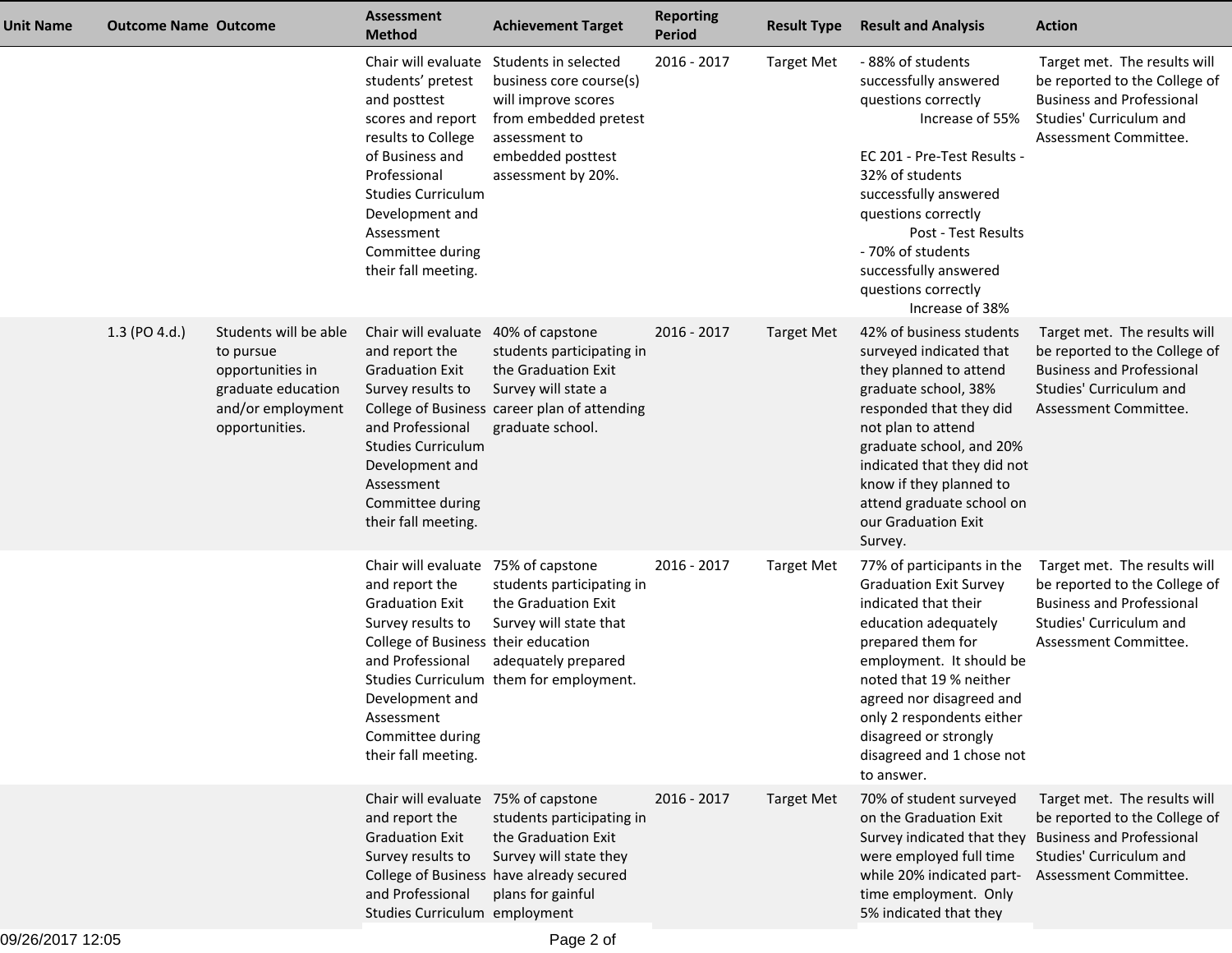| <b>Unit Name</b> | <b>Outcome Name Outcome</b> |                                                                                                                     | <b>Assessment</b><br><b>Method</b>                                                                                                                                                                                                          | <b>Achievement Target</b>                                                                                                                                                       | <b>Reporting</b><br><b>Period</b> | <b>Result Type</b> | <b>Result and Analysis</b>                                                                                                                                                                                                                                                                                           | <b>Action</b>                                                                                                                                         |
|------------------|-----------------------------|---------------------------------------------------------------------------------------------------------------------|---------------------------------------------------------------------------------------------------------------------------------------------------------------------------------------------------------------------------------------------|---------------------------------------------------------------------------------------------------------------------------------------------------------------------------------|-----------------------------------|--------------------|----------------------------------------------------------------------------------------------------------------------------------------------------------------------------------------------------------------------------------------------------------------------------------------------------------------------|-------------------------------------------------------------------------------------------------------------------------------------------------------|
|                  |                             |                                                                                                                     | students' pretest<br>and posttest<br>scores and report<br>results to College<br>of Business and<br>Professional<br><b>Studies Curriculum</b><br>Development and<br>Assessment<br>Committee during<br>their fall meeting.                    | Chair will evaluate Students in selected<br>business core course(s)<br>will improve scores<br>from embedded pretest<br>assessment to<br>embedded posttest<br>assessment by 20%. | 2016 - 2017                       | <b>Target Met</b>  | -88% of students<br>successfully answered<br>questions correctly<br>Increase of 55%<br>EC 201 - Pre-Test Results -<br>32% of students<br>successfully answered<br>questions correctly<br>Post - Test Results<br>- 70% of students<br>successfully answered<br>questions correctly<br>Increase of 38%                 | Target met. The results will<br>be reported to the College of<br><b>Business and Professional</b><br>Studies' Curriculum and<br>Assessment Committee. |
|                  | 1.3 (PO 4.d.)               | Students will be able<br>to pursue<br>opportunities in<br>graduate education<br>and/or employment<br>opportunities. | Chair will evaluate 40% of capstone<br>and report the<br><b>Graduation Exit</b><br>Survey results to<br>and Professional<br><b>Studies Curriculum</b><br>Development and<br>Assessment<br>Committee during<br>their fall meeting.           | students participating in<br>the Graduation Exit<br>Survey will state a<br>College of Business career plan of attending<br>graduate school.                                     | 2016 - 2017                       | <b>Target Met</b>  | 42% of business students<br>surveyed indicated that<br>they planned to attend<br>graduate school, 38%<br>responded that they did<br>not plan to attend<br>graduate school, and 20%<br>indicated that they did not<br>know if they planned to<br>attend graduate school on<br>our Graduation Exit<br>Survey.          | Target met. The results will<br>be reported to the College of<br><b>Business and Professional</b><br>Studies' Curriculum and<br>Assessment Committee. |
|                  |                             |                                                                                                                     | Chair will evaluate 75% of capstone<br>and report the<br><b>Graduation Exit</b><br>Survey results to<br>College of Business their education<br>and Professional<br>Development and<br>Assessment<br>Committee during<br>their fall meeting. | students participating in<br>the Graduation Exit<br>Survey will state that<br>adequately prepared<br>Studies Curriculum them for employment.                                    | 2016 - 2017                       | <b>Target Met</b>  | 77% of participants in the<br><b>Graduation Exit Survey</b><br>indicated that their<br>education adequately<br>prepared them for<br>employment. It should be<br>noted that 19 % neither<br>agreed nor disagreed and<br>only 2 respondents either<br>disagreed or strongly<br>disagreed and 1 chose not<br>to answer. | Target met. The results will<br>be reported to the College of<br><b>Business and Professional</b><br>Studies' Curriculum and<br>Assessment Committee. |
|                  |                             |                                                                                                                     | Chair will evaluate 75% of capstone<br>and report the<br><b>Graduation Exit</b><br>Survey results to<br>and Professional<br>Studies Curriculum employment                                                                                   | students participating in<br>the Graduation Exit<br>Survey will state they<br>College of Business have already secured<br>plans for gainful                                     | 2016 - 2017                       | <b>Target Met</b>  | 70% of student surveyed<br>on the Graduation Exit<br>Survey indicated that they<br>were employed full time<br>while 20% indicated part-<br>time employment. Only<br>5% indicated that they                                                                                                                           | Target met. The results will<br>be reported to the College of<br><b>Business and Professional</b><br>Studies' Curriculum and<br>Assessment Committee. |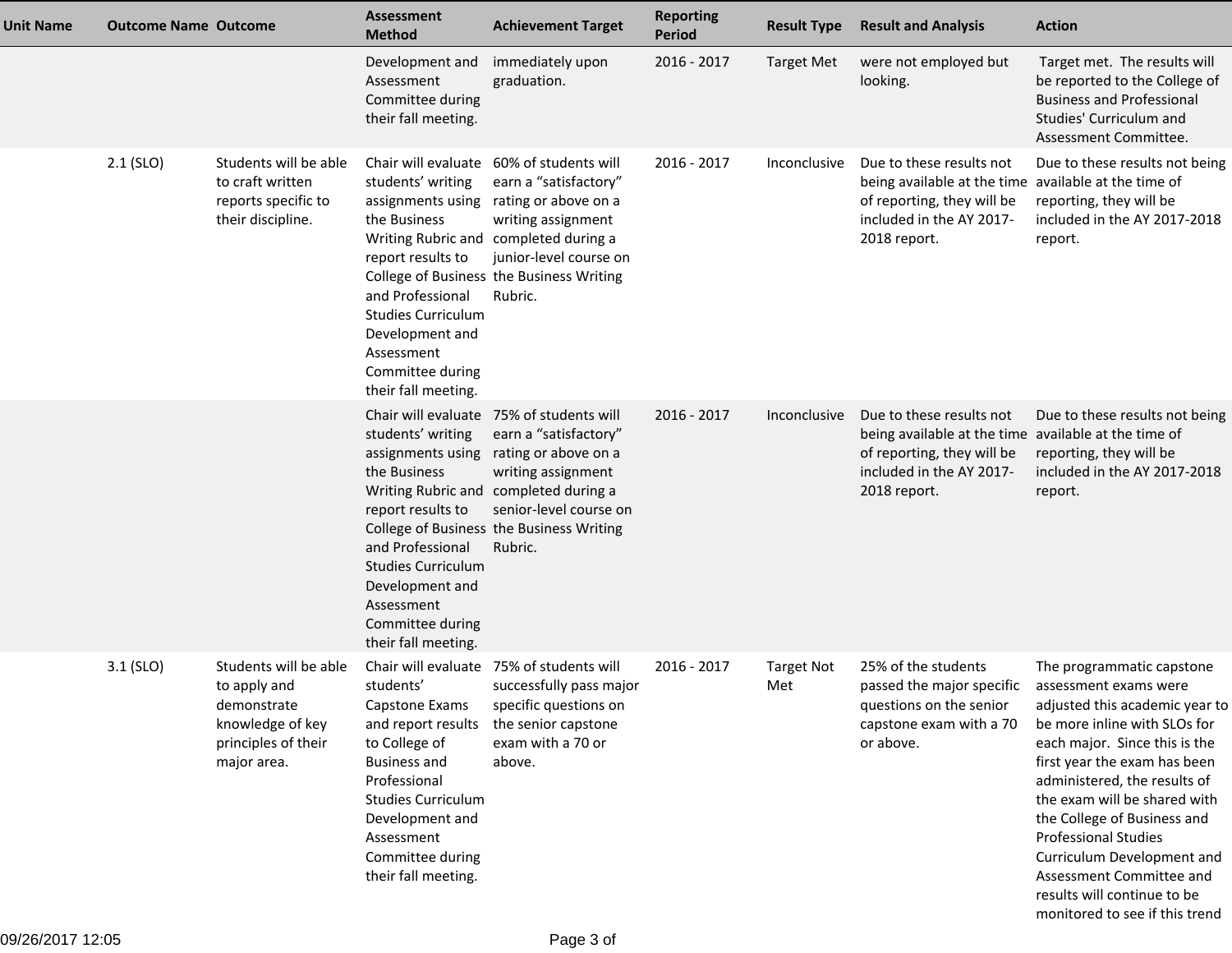| <b>Unit Name</b> | <b>Outcome Name Outcome</b> |                                                                                                                | Assessment<br><b>Method</b>                                                                                                                                                                                                               | <b>Achievement Target</b>                                                                                                                                                                                                                 | <b>Reporting</b><br><b>Period</b> | <b>Result Type</b>       | <b>Result and Analysis</b>                                                                                                                                 | <b>Action</b>                                                                                                                                                                                                                                                                                                                                                                                                |
|------------------|-----------------------------|----------------------------------------------------------------------------------------------------------------|-------------------------------------------------------------------------------------------------------------------------------------------------------------------------------------------------------------------------------------------|-------------------------------------------------------------------------------------------------------------------------------------------------------------------------------------------------------------------------------------------|-----------------------------------|--------------------------|------------------------------------------------------------------------------------------------------------------------------------------------------------|--------------------------------------------------------------------------------------------------------------------------------------------------------------------------------------------------------------------------------------------------------------------------------------------------------------------------------------------------------------------------------------------------------------|
|                  |                             |                                                                                                                | Development and<br>Assessment<br>Committee during<br>their fall meeting.                                                                                                                                                                  | immediately upon<br>graduation.                                                                                                                                                                                                           | 2016 - 2017                       | <b>Target Met</b>        | were not employed but<br>looking.                                                                                                                          | Target met. The results will<br>be reported to the College of<br><b>Business and Professional</b><br>Studies' Curriculum and<br>Assessment Committee.                                                                                                                                                                                                                                                        |
|                  | $2.1$ (SLO)                 | Students will be able<br>to craft written<br>reports specific to<br>their discipline.                          | students' writing<br>assignments using<br>the Business<br>report results to<br>and Professional<br><b>Studies Curriculum</b><br>Development and<br>Assessment<br>Committee during<br>their fall meeting.                                  | Chair will evaluate 60% of students will<br>earn a "satisfactory"<br>rating or above on a<br>writing assignment<br>Writing Rubric and completed during a<br>junior-level course on<br>College of Business the Business Writing<br>Rubric. | 2016 - 2017                       | Inconclusive             | Due to these results not<br>being available at the time available at the time of<br>of reporting, they will be<br>included in the AY 2017-<br>2018 report. | Due to these results not being<br>reporting, they will be<br>included in the AY 2017-2018<br>report.                                                                                                                                                                                                                                                                                                         |
|                  |                             |                                                                                                                | students' writing<br>assignments using<br>the Business<br>report results to<br>and Professional<br><b>Studies Curriculum</b><br>Development and<br>Assessment<br>Committee during<br>their fall meeting.                                  | Chair will evaluate 75% of students will<br>earn a "satisfactory"<br>rating or above on a<br>writing assignment<br>Writing Rubric and completed during a<br>senior-level course on<br>College of Business the Business Writing<br>Rubric. | 2016 - 2017                       | Inconclusive             | Due to these results not<br>being available at the time available at the time of<br>of reporting, they will be<br>included in the AY 2017-<br>2018 report. | Due to these results not being<br>reporting, they will be<br>included in the AY 2017-2018<br>report.                                                                                                                                                                                                                                                                                                         |
|                  | $3.1$ (SLO)                 | Students will be able<br>to apply and<br>demonstrate<br>knowledge of key<br>principles of their<br>major area. | Chair will evaluate<br>students'<br>Capstone Exams<br>and report results<br>to College of<br><b>Business and</b><br>Professional<br><b>Studies Curriculum</b><br>Development and<br>Assessment<br>Committee during<br>their fall meeting. | 75% of students will<br>successfully pass major<br>specific questions on<br>the senior capstone<br>exam with a 70 or<br>above.                                                                                                            | 2016 - 2017                       | <b>Target Not</b><br>Met | 25% of the students<br>passed the major specific<br>questions on the senior<br>capstone exam with a 70<br>or above.                                        | The programmatic capstone<br>assessment exams were<br>adjusted this academic year to<br>be more inline with SLOs for<br>each major. Since this is the<br>first year the exam has been<br>administered, the results of<br>the exam will be shared with<br>the College of Business and<br><b>Professional Studies</b><br>Curriculum Development and<br>Assessment Committee and<br>results will continue to be |

monitored to see if this trend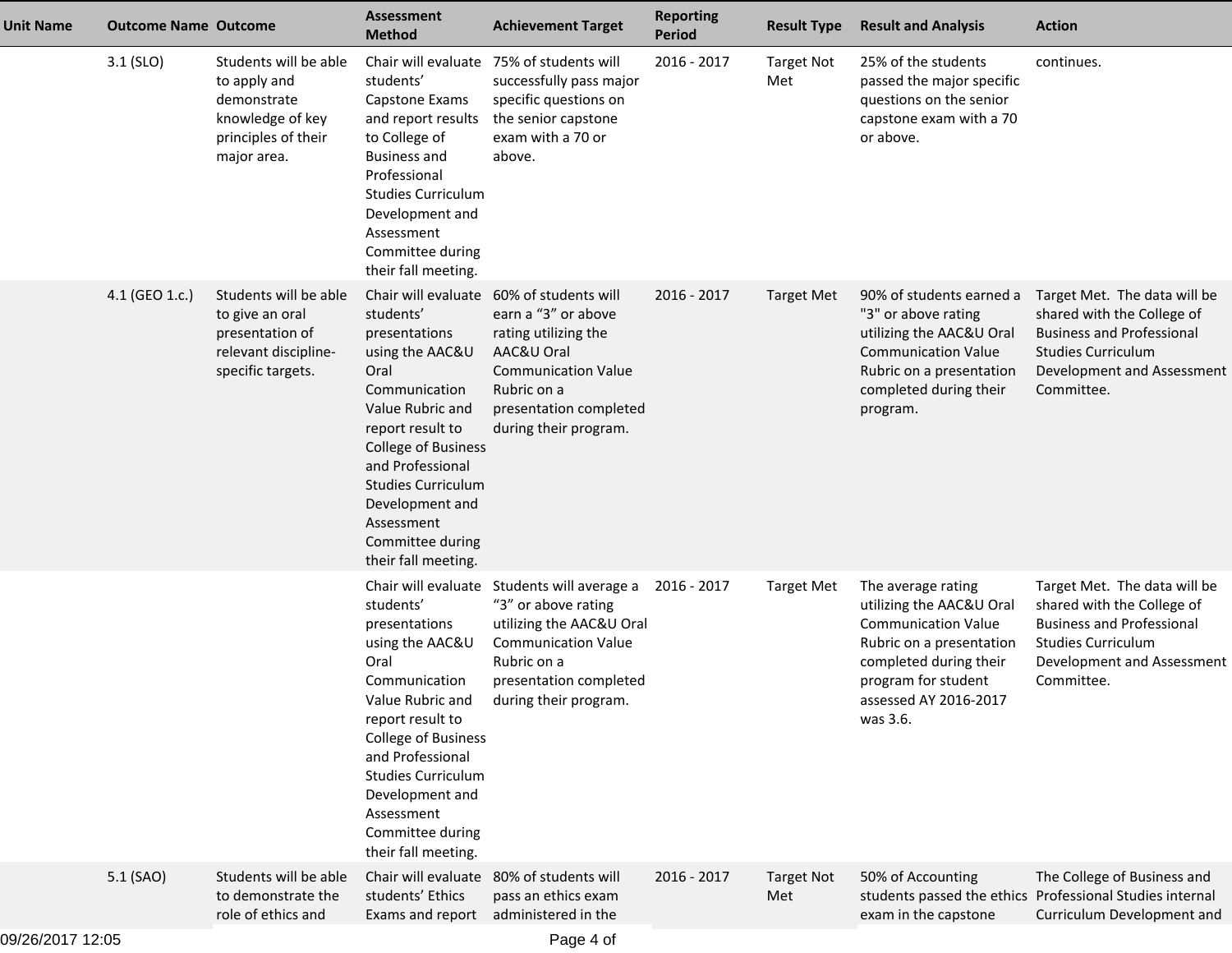| <b>Unit Name</b> | <b>Outcome Name Outcome</b> |                                                                                                                | <b>Assessment</b><br><b>Method</b>                                                                                                                                                                                                                                                               | <b>Achievement Target</b>                                                                                                                                                         | <b>Reporting</b><br><b>Period</b> | <b>Result Type</b>       | <b>Result and Analysis</b>                                                                                                                                                                     | <b>Action</b>                                                                                                                                                           |
|------------------|-----------------------------|----------------------------------------------------------------------------------------------------------------|--------------------------------------------------------------------------------------------------------------------------------------------------------------------------------------------------------------------------------------------------------------------------------------------------|-----------------------------------------------------------------------------------------------------------------------------------------------------------------------------------|-----------------------------------|--------------------------|------------------------------------------------------------------------------------------------------------------------------------------------------------------------------------------------|-------------------------------------------------------------------------------------------------------------------------------------------------------------------------|
|                  | $3.1$ (SLO)                 | Students will be able<br>to apply and<br>demonstrate<br>knowledge of key<br>principles of their<br>major area. | students'<br>Capstone Exams<br>and report results<br>to College of<br><b>Business and</b><br>Professional<br><b>Studies Curriculum</b><br>Development and<br>Assessment<br>Committee during<br>their fall meeting.                                                                               | Chair will evaluate 75% of students will<br>successfully pass major<br>specific questions on<br>the senior capstone<br>exam with a 70 or<br>above.                                | 2016 - 2017                       | <b>Target Not</b><br>Met | 25% of the students<br>passed the major specific<br>questions on the senior<br>capstone exam with a 70<br>or above.                                                                            | continues.                                                                                                                                                              |
|                  | 4.1 (GEO 1.c.)              | Students will be able<br>to give an oral<br>presentation of<br>relevant discipline-<br>specific targets.       | Chair will evaluate<br>students'<br>presentations<br>using the AAC&U<br>Oral<br>Communication<br>Value Rubric and<br>report result to<br><b>College of Business</b><br>and Professional<br><b>Studies Curriculum</b><br>Development and<br>Assessment<br>Committee during<br>their fall meeting. | 60% of students will<br>earn a "3" or above<br>rating utilizing the<br>AAC&U Oral<br><b>Communication Value</b><br>Rubric on a<br>presentation completed<br>during their program. | 2016 - 2017                       | Target Met               | 90% of students earned a<br>"3" or above rating<br>utilizing the AAC&U Oral<br><b>Communication Value</b><br>Rubric on a presentation<br>completed during their<br>program.                    | Target Met. The data will be<br>shared with the College of<br><b>Business and Professional</b><br><b>Studies Curriculum</b><br>Development and Assessment<br>Committee. |
|                  |                             |                                                                                                                | Chair will evaluate<br>students'<br>presentations<br>using the AAC&U<br>Oral<br>Communication<br>Value Rubric and<br>report result to<br><b>College of Business</b><br>and Professional<br><b>Studies Curriculum</b><br>Development and<br>Assessment<br>Committee during<br>their fall meeting. | Students will average a<br>"3" or above rating<br>utilizing the AAC&U Oral<br><b>Communication Value</b><br>Rubric on a<br>presentation completed<br>during their program.        | 2016 - 2017                       | <b>Target Met</b>        | The average rating<br>utilizing the AAC&U Oral<br><b>Communication Value</b><br>Rubric on a presentation<br>completed during their<br>program for student<br>assessed AY 2016-2017<br>was 3.6. | Target Met. The data will be<br>shared with the College of<br><b>Business and Professional</b><br><b>Studies Curriculum</b><br>Development and Assessment<br>Committee. |
|                  | 5.1 (SAO)                   | Students will be able<br>to demonstrate the<br>role of ethics and                                              | Chair will evaluate<br>students' Ethics<br>Exams and report                                                                                                                                                                                                                                      | 80% of students will<br>pass an ethics exam<br>administered in the                                                                                                                | 2016 - 2017                       | <b>Target Not</b><br>Met | 50% of Accounting<br>exam in the capstone                                                                                                                                                      | The College of Business and<br>students passed the ethics Professional Studies internal<br>Curriculum Development and                                                   |
| 09/26/2017 12:05 |                             |                                                                                                                |                                                                                                                                                                                                                                                                                                  | Page 4 of                                                                                                                                                                         |                                   |                          |                                                                                                                                                                                                |                                                                                                                                                                         |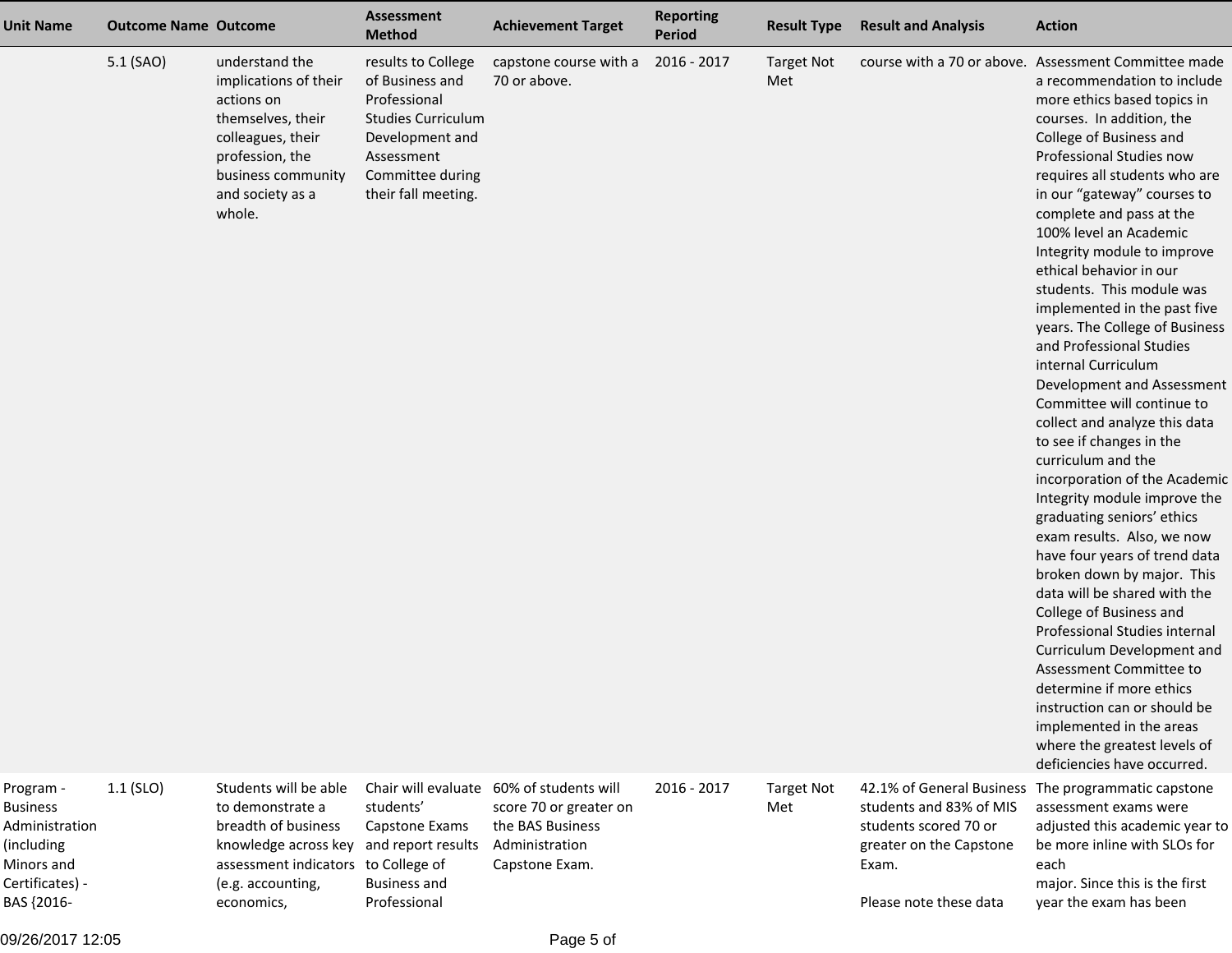| <b>Unit Name</b>                                                                              | <b>Outcome Name Outcome</b> |                                                                                                                                                                        | <b>Assessment</b><br><b>Method</b>                                                                                                                             | <b>Achievement Target</b>                                                                                                  | <b>Reporting</b><br>Period | <b>Result Type</b>       | <b>Result and Analysis</b>                                                           | <b>Action</b>                                                                                                                                                                                                                                                                                                                                                                                                                                                                                                                                                                                                                                                                                                                                                                                                                                                                                                                                                                                                                                                                                                                                                                                   |
|-----------------------------------------------------------------------------------------------|-----------------------------|------------------------------------------------------------------------------------------------------------------------------------------------------------------------|----------------------------------------------------------------------------------------------------------------------------------------------------------------|----------------------------------------------------------------------------------------------------------------------------|----------------------------|--------------------------|--------------------------------------------------------------------------------------|-------------------------------------------------------------------------------------------------------------------------------------------------------------------------------------------------------------------------------------------------------------------------------------------------------------------------------------------------------------------------------------------------------------------------------------------------------------------------------------------------------------------------------------------------------------------------------------------------------------------------------------------------------------------------------------------------------------------------------------------------------------------------------------------------------------------------------------------------------------------------------------------------------------------------------------------------------------------------------------------------------------------------------------------------------------------------------------------------------------------------------------------------------------------------------------------------|
|                                                                                               | 5.1 (SAO)                   | understand the<br>implications of their<br>actions on<br>themselves, their<br>colleagues, their<br>profession, the<br>business community<br>and society as a<br>whole. | results to College<br>of Business and<br>Professional<br><b>Studies Curriculum</b><br>Development and<br>Assessment<br>Committee during<br>their fall meeting. | capstone course with a<br>70 or above.                                                                                     | 2016 - 2017                | <b>Target Not</b><br>Met |                                                                                      | course with a 70 or above. Assessment Committee made<br>a recommendation to include<br>more ethics based topics in<br>courses. In addition, the<br>College of Business and<br>Professional Studies now<br>requires all students who are<br>in our "gateway" courses to<br>complete and pass at the<br>100% level an Academic<br>Integrity module to improve<br>ethical behavior in our<br>students. This module was<br>implemented in the past five<br>years. The College of Business<br>and Professional Studies<br>internal Curriculum<br>Development and Assessment<br>Committee will continue to<br>collect and analyze this data<br>to see if changes in the<br>curriculum and the<br>incorporation of the Academic<br>Integrity module improve the<br>graduating seniors' ethics<br>exam results. Also, we now<br>have four years of trend data<br>broken down by major. This<br>data will be shared with the<br>College of Business and<br>Professional Studies internal<br>Curriculum Development and<br>Assessment Committee to<br>determine if more ethics<br>instruction can or should be<br>implemented in the areas<br>where the greatest levels of<br>deficiencies have occurred. |
| Program -<br><b>Business</b><br>Administration<br>(including<br>Minors and<br>Certificates) - | $1.1$ (SLO)                 | Students will be able<br>to demonstrate a<br>breadth of business<br>knowledge across key<br>assessment indicators<br>(e.g. accounting,                                 | students'<br>Capstone Exams<br>and report results<br>to College of<br><b>Business and</b>                                                                      | Chair will evaluate 60% of students will<br>score 70 or greater on<br>the BAS Business<br>Administration<br>Capstone Exam. | 2016 - 2017                | <b>Target Not</b><br>Met | students and 83% of MIS<br>students scored 70 or<br>greater on the Capstone<br>Exam. | 42.1% of General Business The programmatic capstone<br>assessment exams were<br>adjusted this academic year to<br>be more inline with SLOs for<br>each<br>major. Since this is the first                                                                                                                                                                                                                                                                                                                                                                                                                                                                                                                                                                                                                                                                                                                                                                                                                                                                                                                                                                                                        |

economics,

Professional

BAS {2016-

Please note these data

year the exam has been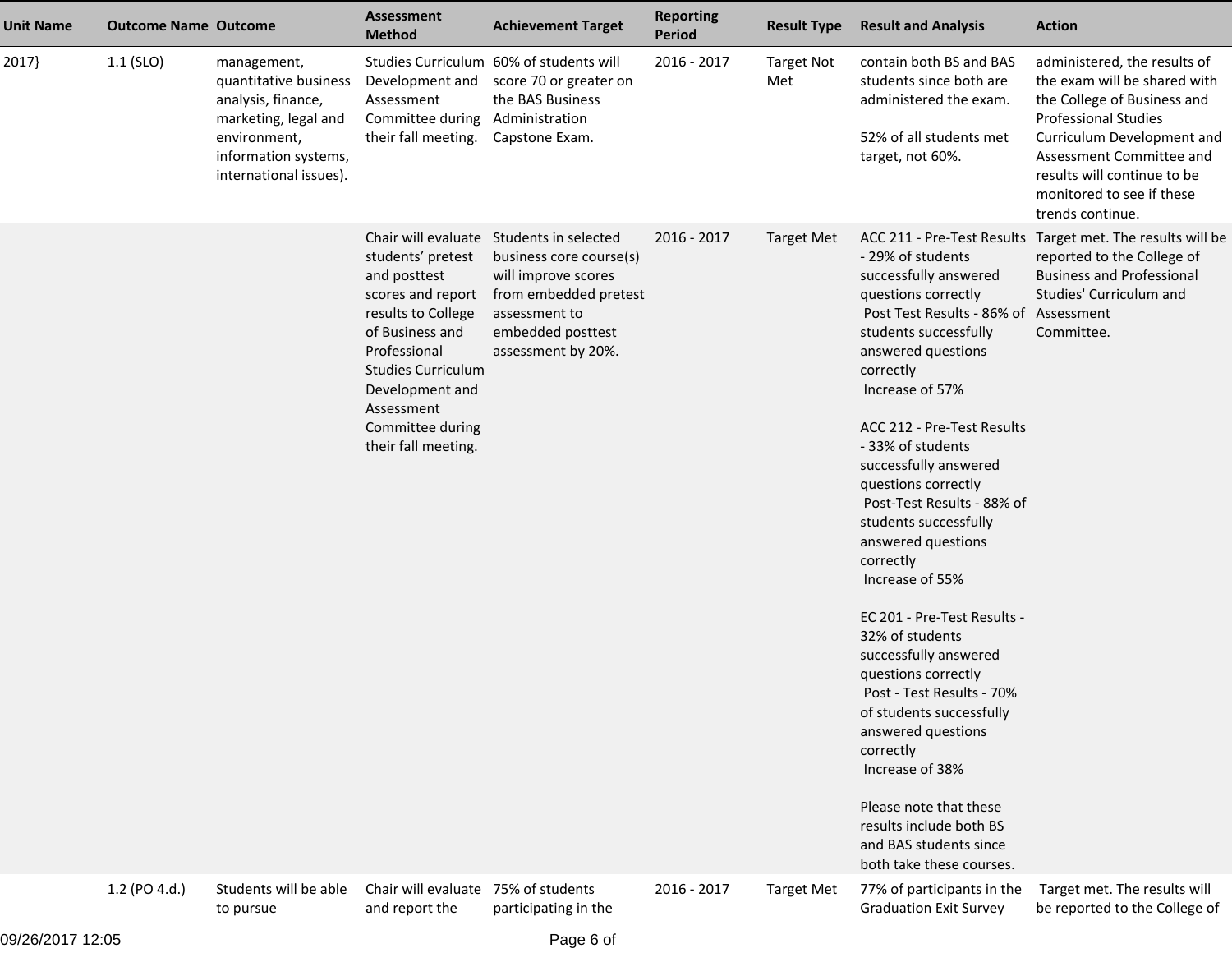| <b>Unit Name</b> | <b>Outcome Name Outcome</b> |                                                                                                                                                      | <b>Assessment</b><br><b>Method</b>                                                                                                                                                                                       | <b>Achievement Target</b>                                                                                                                                                       | <b>Reporting</b><br><b>Period</b> | <b>Result Type</b>       | <b>Result and Analysis</b>                                                                                                                                                                                                                                                                                                                                                                                                                                                                                                                                                                                                                                                                                                            | <b>Action</b>                                                                                                                                                                                                                                                        |
|------------------|-----------------------------|------------------------------------------------------------------------------------------------------------------------------------------------------|--------------------------------------------------------------------------------------------------------------------------------------------------------------------------------------------------------------------------|---------------------------------------------------------------------------------------------------------------------------------------------------------------------------------|-----------------------------------|--------------------------|---------------------------------------------------------------------------------------------------------------------------------------------------------------------------------------------------------------------------------------------------------------------------------------------------------------------------------------------------------------------------------------------------------------------------------------------------------------------------------------------------------------------------------------------------------------------------------------------------------------------------------------------------------------------------------------------------------------------------------------|----------------------------------------------------------------------------------------------------------------------------------------------------------------------------------------------------------------------------------------------------------------------|
| 2017             | $1.1$ (SLO)                 | management,<br>quantitative business<br>analysis, finance,<br>marketing, legal and<br>environment,<br>information systems,<br>international issues). | Development and<br>Assessment<br>Committee during<br>their fall meeting.                                                                                                                                                 | Studies Curriculum 60% of students will<br>score 70 or greater on<br>the BAS Business<br>Administration<br>Capstone Exam.                                                       | 2016 - 2017                       | <b>Target Not</b><br>Met | contain both BS and BAS<br>students since both are<br>administered the exam.<br>52% of all students met<br>target, not 60%.                                                                                                                                                                                                                                                                                                                                                                                                                                                                                                                                                                                                           | administered, the results of<br>the exam will be shared with<br>the College of Business and<br><b>Professional Studies</b><br>Curriculum Development and<br>Assessment Committee and<br>results will continue to be<br>monitored to see if these<br>trends continue. |
|                  |                             |                                                                                                                                                      | students' pretest<br>and posttest<br>scores and report<br>results to College<br>of Business and<br>Professional<br><b>Studies Curriculum</b><br>Development and<br>Assessment<br>Committee during<br>their fall meeting. | Chair will evaluate Students in selected<br>business core course(s)<br>will improve scores<br>from embedded pretest<br>assessment to<br>embedded posttest<br>assessment by 20%. | 2016 - 2017                       | Target Met               | - 29% of students<br>successfully answered<br>questions correctly<br>Post Test Results - 86% of Assessment<br>students successfully<br>answered questions<br>correctly<br>Increase of 57%<br>ACC 212 - Pre-Test Results<br>- 33% of students<br>successfully answered<br>questions correctly<br>Post-Test Results - 88% of<br>students successfully<br>answered questions<br>correctly<br>Increase of 55%<br>EC 201 - Pre-Test Results -<br>32% of students<br>successfully answered<br>questions correctly<br>Post - Test Results - 70%<br>of students successfully<br>answered questions<br>correctly<br>Increase of 38%<br>Please note that these<br>results include both BS<br>and BAS students since<br>both take these courses. | ACC 211 - Pre-Test Results Target met. The results will be<br>reported to the College of<br><b>Business and Professional</b><br>Studies' Curriculum and<br>Committee.                                                                                                |
|                  | 1.2 (PO 4.d.)               | Students will be able<br>to pursue                                                                                                                   | Chair will evaluate<br>and report the                                                                                                                                                                                    | 75% of students<br>participating in the                                                                                                                                         | 2016 - 2017                       | <b>Target Met</b>        | 77% of participants in the<br><b>Graduation Exit Survey</b>                                                                                                                                                                                                                                                                                                                                                                                                                                                                                                                                                                                                                                                                           | Target met. The results will<br>be reported to the College of                                                                                                                                                                                                        |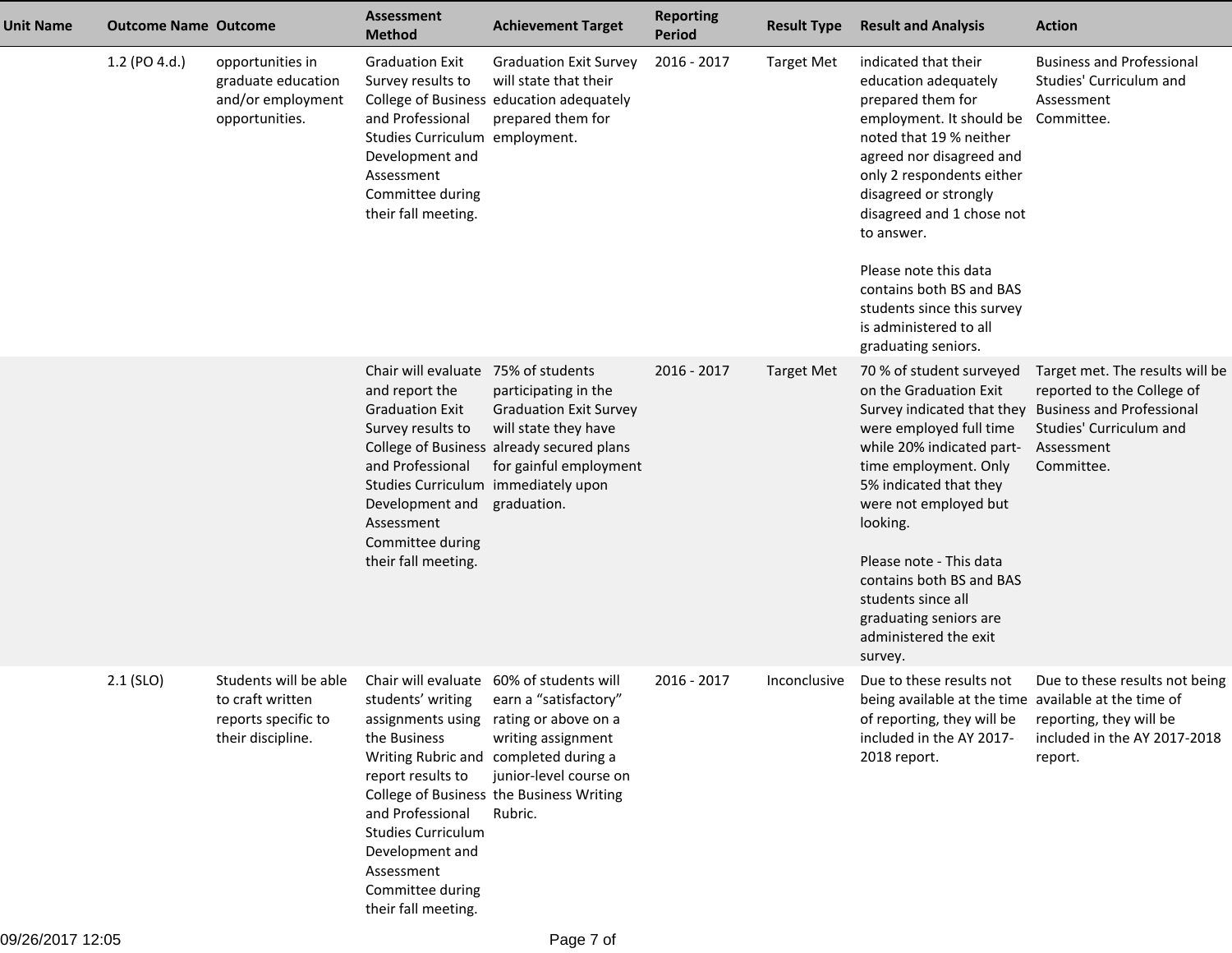| <b>Unit Name</b> | <b>Outcome Name Outcome</b> |                                                                                       | <b>Assessment</b><br><b>Method</b>                                                                                                                                                                                                          | <b>Achievement Target</b>                                                                                                                                                                                                                                   | <b>Reporting</b><br><b>Period</b> | <b>Result Type</b> | <b>Result and Analysis</b>                                                                                                                                                                                                                                                                                                                                                                           | <b>Action</b>                                                                                                                                            |
|------------------|-----------------------------|---------------------------------------------------------------------------------------|---------------------------------------------------------------------------------------------------------------------------------------------------------------------------------------------------------------------------------------------|-------------------------------------------------------------------------------------------------------------------------------------------------------------------------------------------------------------------------------------------------------------|-----------------------------------|--------------------|------------------------------------------------------------------------------------------------------------------------------------------------------------------------------------------------------------------------------------------------------------------------------------------------------------------------------------------------------------------------------------------------------|----------------------------------------------------------------------------------------------------------------------------------------------------------|
|                  | 1.2 (PO 4.d.)               | opportunities in<br>graduate education<br>and/or employment<br>opportunities.         | <b>Graduation Exit</b><br>Survey results to<br>and Professional<br>Studies Curriculum employment.<br>Development and<br>Assessment<br>Committee during<br>their fall meeting.                                                               | <b>Graduation Exit Survey</b><br>will state that their<br>College of Business education adequately<br>prepared them for                                                                                                                                     | 2016 - 2017                       | <b>Target Met</b>  | indicated that their<br>education adequately<br>prepared them for<br>employment. It should be Committee.<br>noted that 19 % neither<br>agreed nor disagreed and<br>only 2 respondents either<br>disagreed or strongly<br>disagreed and 1 chose not<br>to answer.<br>Please note this data<br>contains both BS and BAS<br>students since this survey<br>is administered to all<br>graduating seniors. | <b>Business and Professional</b><br>Studies' Curriculum and<br>Assessment                                                                                |
|                  |                             |                                                                                       | Chair will evaluate 75% of students<br>and report the<br><b>Graduation Exit</b><br>Survey results to<br>and Professional<br>Studies Curriculum immediately upon<br>Development and<br>Assessment<br>Committee during<br>their fall meeting. | participating in the<br><b>Graduation Exit Survey</b><br>will state they have<br>College of Business already secured plans<br>for gainful employment<br>graduation.                                                                                         | 2016 - 2017                       | <b>Target Met</b>  | 70 % of student surveyed<br>on the Graduation Exit<br>Survey indicated that they<br>were employed full time<br>while 20% indicated part-<br>time employment. Only<br>5% indicated that they<br>were not employed but<br>looking.<br>Please note - This data<br>contains both BS and BAS<br>students since all<br>graduating seniors are<br>administered the exit<br>survey.                          | Target met. The results will be<br>reported to the College of<br><b>Business and Professional</b><br>Studies' Curriculum and<br>Assessment<br>Committee. |
|                  | $2.1$ (SLO)                 | Students will be able<br>to craft written<br>reports specific to<br>their discipline. | students' writing<br>the Business<br>report results to<br>and Professional<br><b>Studies Curriculum</b><br>Development and<br>Assessment<br>Committee during<br>their fall meeting.                                                         | Chair will evaluate 60% of students will<br>earn a "satisfactory"<br>assignments using rating or above on a<br>writing assignment<br>Writing Rubric and completed during a<br>junior-level course on<br>College of Business the Business Writing<br>Rubric. | 2016 - 2017                       | Inconclusive       | Due to these results not<br>being available at the time available at the time of<br>of reporting, they will be<br>included in the AY 2017-<br>2018 report.                                                                                                                                                                                                                                           | Due to these results not being<br>reporting, they will be<br>included in the AY 2017-2018<br>report.                                                     |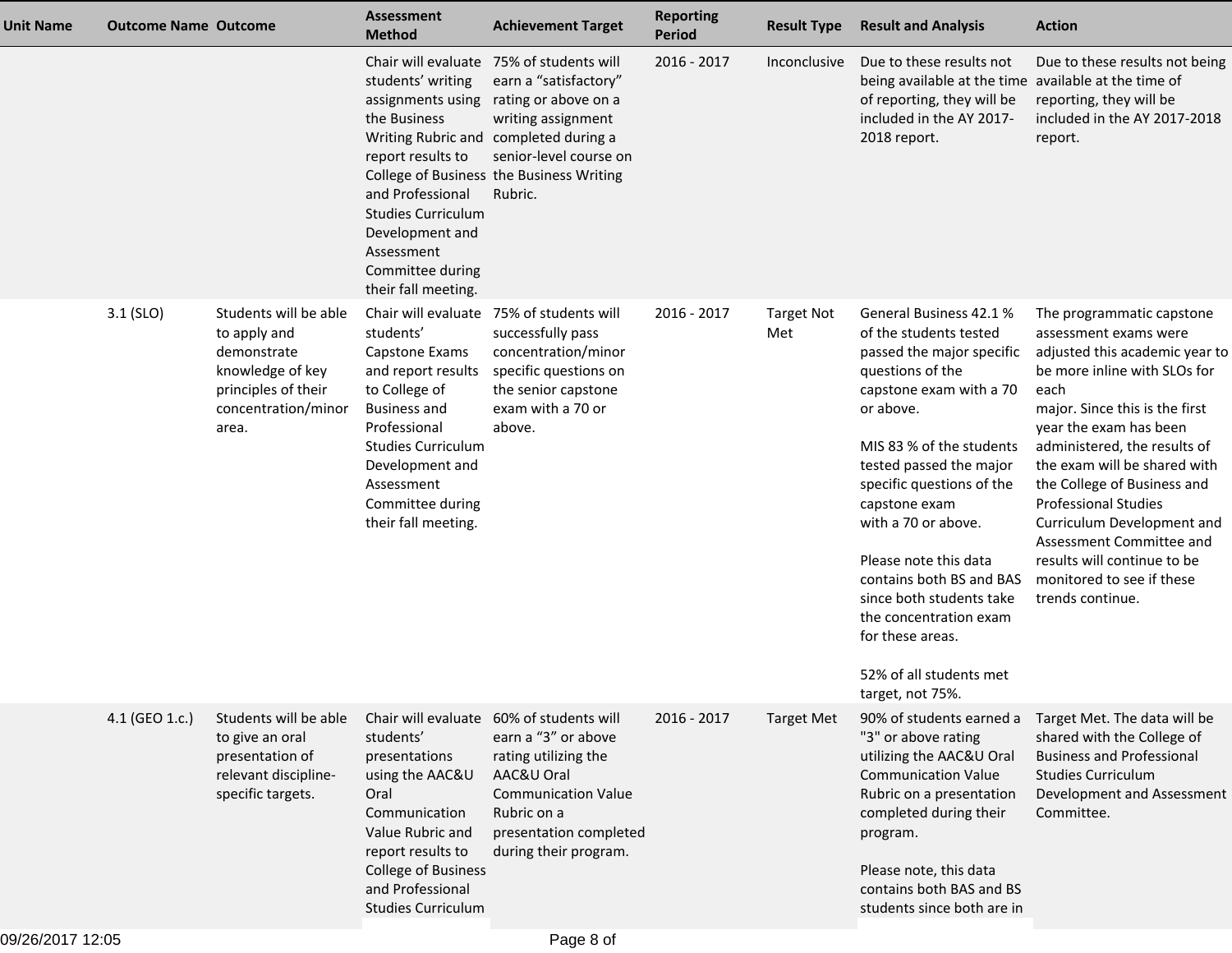| Unit Name | <b>Outcome Name Outcome</b> |                                                                                                                                 | <b>Assessment</b><br><b>Method</b>                                                                                                                                                                                 | <b>Achievement Target</b>                                                                                                                                                                                                                 | <b>Reporting</b><br><b>Period</b> | <b>Result Type</b>       | <b>Result and Analysis</b>                                                                                                                                                                                                                                                                                                                                                                                                                           | <b>Action</b>                                                                                                                                                                                                                                                                                                                                                                                                                                                    |
|-----------|-----------------------------|---------------------------------------------------------------------------------------------------------------------------------|--------------------------------------------------------------------------------------------------------------------------------------------------------------------------------------------------------------------|-------------------------------------------------------------------------------------------------------------------------------------------------------------------------------------------------------------------------------------------|-----------------------------------|--------------------------|------------------------------------------------------------------------------------------------------------------------------------------------------------------------------------------------------------------------------------------------------------------------------------------------------------------------------------------------------------------------------------------------------------------------------------------------------|------------------------------------------------------------------------------------------------------------------------------------------------------------------------------------------------------------------------------------------------------------------------------------------------------------------------------------------------------------------------------------------------------------------------------------------------------------------|
|           |                             |                                                                                                                                 | students' writing<br>assignments using<br>the Business<br>report results to<br>and Professional<br><b>Studies Curriculum</b><br>Development and<br>Assessment<br>Committee during<br>their fall meeting.           | Chair will evaluate 75% of students will<br>earn a "satisfactory"<br>rating or above on a<br>writing assignment<br>Writing Rubric and completed during a<br>senior-level course on<br>College of Business the Business Writing<br>Rubric. | 2016 - 2017                       | Inconclusive             | Due to these results not<br>being available at the time available at the time of<br>of reporting, they will be<br>included in the AY 2017-<br>2018 report.                                                                                                                                                                                                                                                                                           | Due to these results not being<br>reporting, they will be<br>included in the AY 2017-2018<br>report.                                                                                                                                                                                                                                                                                                                                                             |
|           | $3.1$ (SLO)                 | Students will be able<br>to apply and<br>demonstrate<br>knowledge of key<br>principles of their<br>concentration/minor<br>area. | students'<br>Capstone Exams<br>and report results<br>to College of<br><b>Business and</b><br>Professional<br><b>Studies Curriculum</b><br>Development and<br>Assessment<br>Committee during<br>their fall meeting. | Chair will evaluate 75% of students will<br>successfully pass<br>concentration/minor<br>specific questions on<br>the senior capstone<br>exam with a 70 or<br>above.                                                                       | 2016 - 2017                       | <b>Target Not</b><br>Met | General Business 42.1 %<br>of the students tested<br>passed the major specific<br>questions of the<br>capstone exam with a 70<br>or above.<br>MIS 83 % of the students<br>tested passed the major<br>specific questions of the<br>capstone exam<br>with a 70 or above.<br>Please note this data<br>contains both BS and BAS<br>since both students take<br>the concentration exam<br>for these areas.<br>52% of all students met<br>target, not 75%. | The programmatic capstone<br>assessment exams were<br>adjusted this academic year to<br>be more inline with SLOs for<br>each<br>major. Since this is the first<br>year the exam has been<br>administered, the results of<br>the exam will be shared with<br>the College of Business and<br><b>Professional Studies</b><br>Curriculum Development and<br>Assessment Committee and<br>results will continue to be<br>monitored to see if these<br>trends continue. |
|           | 4.1 (GEO 1.c.)              | Students will be able<br>to give an oral<br>presentation of<br>relevant discipline-<br>specific targets.                        | students'<br>presentations<br>using the AAC&U<br>Oral<br>Communication<br>Value Rubric and<br>report results to<br><b>College of Business</b><br>and Professional<br><b>Studies Curriculum</b>                     | Chair will evaluate 60% of students will<br>earn a "3" or above<br>rating utilizing the<br>AAC&U Oral<br><b>Communication Value</b><br>Rubric on a<br>presentation completed<br>during their program.                                     | 2016 - 2017                       | <b>Target Met</b>        | 90% of students earned a<br>"3" or above rating<br>utilizing the AAC&U Oral<br><b>Communication Value</b><br>Rubric on a presentation<br>completed during their<br>program.<br>Please note, this data<br>contains both BAS and BS<br>students since both are in                                                                                                                                                                                      | Target Met. The data will be<br>shared with the College of<br><b>Business and Professional</b><br><b>Studies Curriculum</b><br>Development and Assessment<br>Committee.                                                                                                                                                                                                                                                                                          |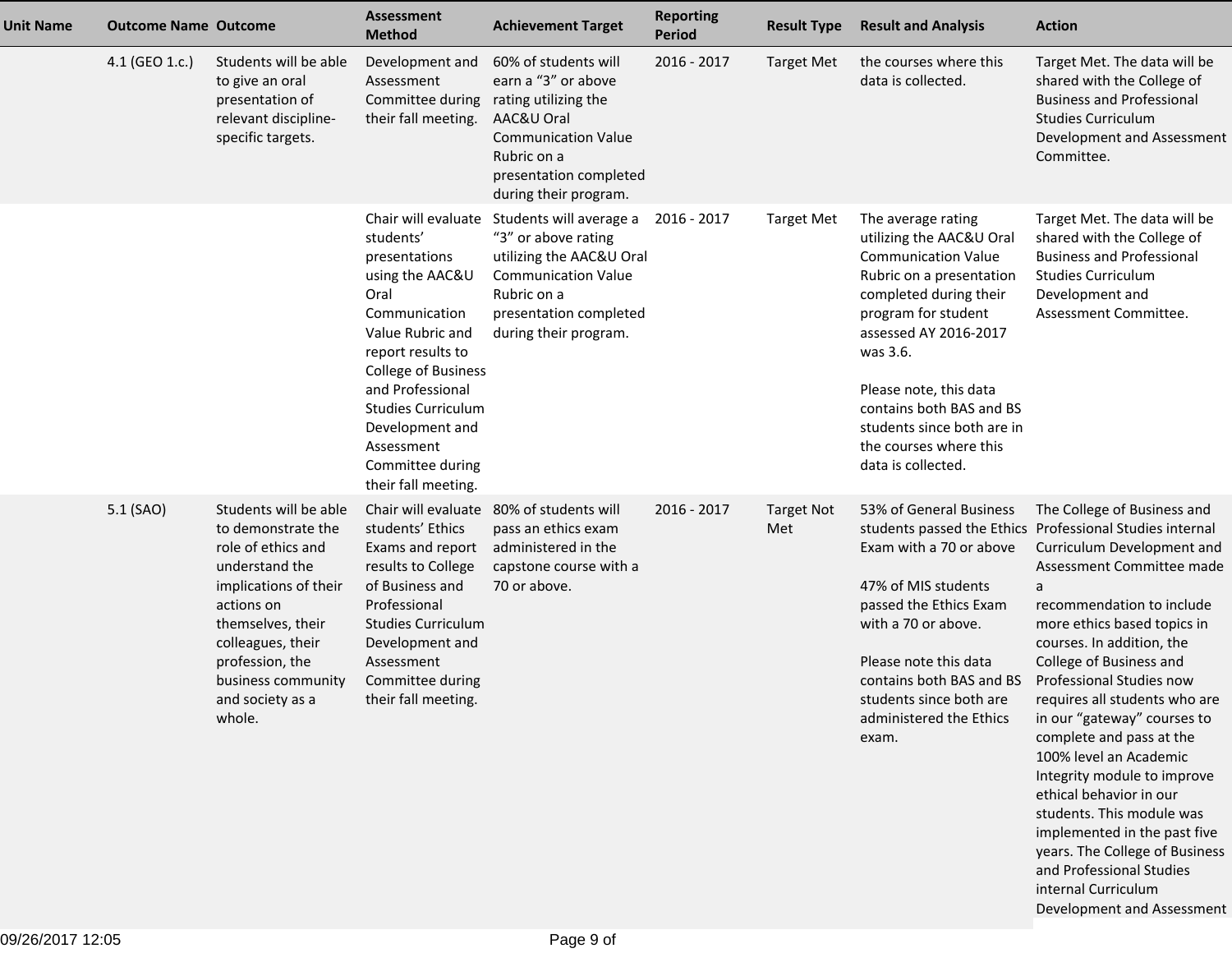| <b>Unit Name</b> | <b>Outcome Name Outcome</b> |                                                                                                                                                                                                                                             | <b>Assessment</b><br><b>Method</b>                                                                                                                                                                                                                                                                | <b>Achievement Target</b>                                                                                                                                                         | <b>Reporting</b><br><b>Period</b> | <b>Result Type</b>       | <b>Result and Analysis</b>                                                                                                                                                                                                                                                                                                         | <b>Action</b>                                                                                                                                                                                                                                                                                                                                                                                                                                                                                                                                                                                                                                                           |
|------------------|-----------------------------|---------------------------------------------------------------------------------------------------------------------------------------------------------------------------------------------------------------------------------------------|---------------------------------------------------------------------------------------------------------------------------------------------------------------------------------------------------------------------------------------------------------------------------------------------------|-----------------------------------------------------------------------------------------------------------------------------------------------------------------------------------|-----------------------------------|--------------------------|------------------------------------------------------------------------------------------------------------------------------------------------------------------------------------------------------------------------------------------------------------------------------------------------------------------------------------|-------------------------------------------------------------------------------------------------------------------------------------------------------------------------------------------------------------------------------------------------------------------------------------------------------------------------------------------------------------------------------------------------------------------------------------------------------------------------------------------------------------------------------------------------------------------------------------------------------------------------------------------------------------------------|
|                  | 4.1 (GEO 1.c.)              | Students will be able<br>to give an oral<br>presentation of<br>relevant discipline-<br>specific targets.                                                                                                                                    | Development and<br>Assessment<br>Committee during<br>their fall meeting.                                                                                                                                                                                                                          | 60% of students will<br>earn a "3" or above<br>rating utilizing the<br>AAC&U Oral<br><b>Communication Value</b><br>Rubric on a<br>presentation completed<br>during their program. | 2016 - 2017                       | <b>Target Met</b>        | the courses where this<br>data is collected.                                                                                                                                                                                                                                                                                       | Target Met. The data will be<br>shared with the College of<br><b>Business and Professional</b><br><b>Studies Curriculum</b><br>Development and Assessment<br>Committee.                                                                                                                                                                                                                                                                                                                                                                                                                                                                                                 |
|                  |                             |                                                                                                                                                                                                                                             | Chair will evaluate<br>students'<br>presentations<br>using the AAC&U<br>Oral<br>Communication<br>Value Rubric and<br>report results to<br><b>College of Business</b><br>and Professional<br><b>Studies Curriculum</b><br>Development and<br>Assessment<br>Committee during<br>their fall meeting. | Students will average a<br>"3" or above rating<br>utilizing the AAC&U Oral<br><b>Communication Value</b><br>Rubric on a<br>presentation completed<br>during their program.        | 2016 - 2017                       | <b>Target Met</b>        | The average rating<br>utilizing the AAC&U Oral<br><b>Communication Value</b><br>Rubric on a presentation<br>completed during their<br>program for student<br>assessed AY 2016-2017<br>was 3.6.<br>Please note, this data<br>contains both BAS and BS<br>students since both are in<br>the courses where this<br>data is collected. | Target Met. The data will be<br>shared with the College of<br><b>Business and Professional</b><br><b>Studies Curriculum</b><br>Development and<br>Assessment Committee.                                                                                                                                                                                                                                                                                                                                                                                                                                                                                                 |
|                  | 5.1 (SAO)                   | Students will be able<br>to demonstrate the<br>role of ethics and<br>understand the<br>implications of their<br>actions on<br>themselves, their<br>colleagues, their<br>profession, the<br>business community<br>and society as a<br>whole. | Chair will evaluate<br>students' Ethics<br>Exams and report<br>results to College<br>of Business and<br>Professional<br><b>Studies Curriculum</b><br>Development and<br>Assessment<br>Committee during<br>their fall meeting.                                                                     | 80% of students will<br>pass an ethics exam<br>administered in the<br>capstone course with a<br>70 or above.                                                                      | 2016 - 2017                       | <b>Target Not</b><br>Met | 53% of General Business<br>Exam with a 70 or above<br>47% of MIS students<br>passed the Ethics Exam<br>with a 70 or above.<br>Please note this data<br>contains both BAS and BS<br>students since both are<br>administered the Ethics<br>exam.                                                                                     | The College of Business and<br>students passed the Ethics Professional Studies internal<br>Curriculum Development and<br>Assessment Committee made<br>a<br>recommendation to include<br>more ethics based topics in<br>courses. In addition, the<br>College of Business and<br>Professional Studies now<br>requires all students who are<br>in our "gateway" courses to<br>complete and pass at the<br>100% level an Academic<br>Integrity module to improve<br>ethical behavior in our<br>students. This module was<br>implemented in the past five<br>years. The College of Business<br>and Professional Studies<br>internal Curriculum<br>Development and Assessment |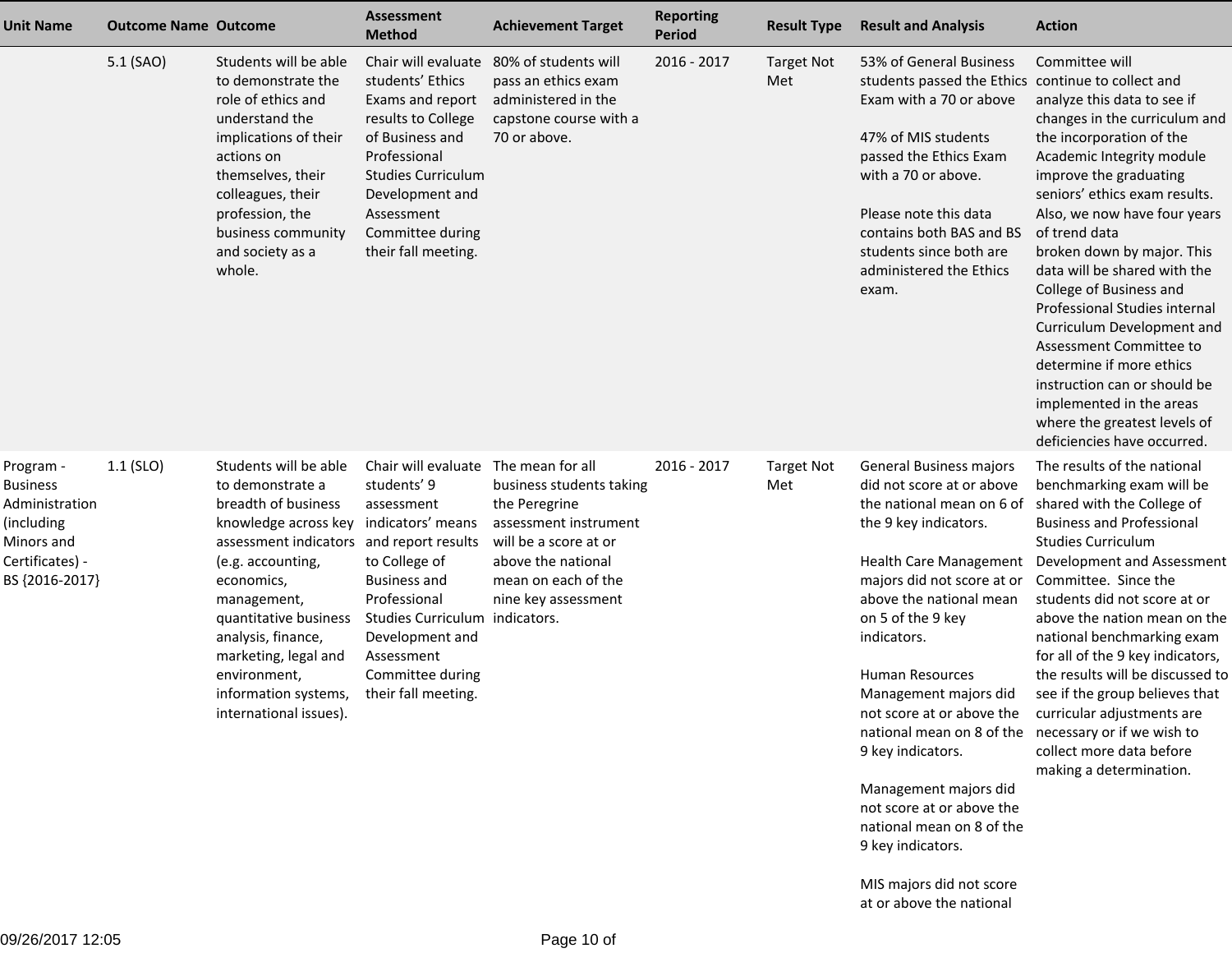| <b>Unit Name</b>                                                                                                | <b>Outcome Name Outcome</b> |                                                                                                                                                                                                                                                                                                                                                   | <b>Assessment</b><br><b>Method</b>                                                                                                                                                                                            | <b>Achievement Target</b>                                                                                                                                                           | <b>Reporting</b><br><b>Period</b> | <b>Result Type</b>       | <b>Result and Analysis</b>                                                                                                                                                                                                                                                                                                                                                                                                                                                                                                                                            | <b>Action</b>                                                                                                                                                                                                                                                                                                                                                                                                                                                                                                                                                                                 |
|-----------------------------------------------------------------------------------------------------------------|-----------------------------|---------------------------------------------------------------------------------------------------------------------------------------------------------------------------------------------------------------------------------------------------------------------------------------------------------------------------------------------------|-------------------------------------------------------------------------------------------------------------------------------------------------------------------------------------------------------------------------------|-------------------------------------------------------------------------------------------------------------------------------------------------------------------------------------|-----------------------------------|--------------------------|-----------------------------------------------------------------------------------------------------------------------------------------------------------------------------------------------------------------------------------------------------------------------------------------------------------------------------------------------------------------------------------------------------------------------------------------------------------------------------------------------------------------------------------------------------------------------|-----------------------------------------------------------------------------------------------------------------------------------------------------------------------------------------------------------------------------------------------------------------------------------------------------------------------------------------------------------------------------------------------------------------------------------------------------------------------------------------------------------------------------------------------------------------------------------------------|
|                                                                                                                 | 5.1 (SAO)                   | Students will be able<br>to demonstrate the<br>role of ethics and<br>understand the<br>implications of their<br>actions on<br>themselves, their<br>colleagues, their<br>profession, the<br>business community<br>and society as a<br>whole.                                                                                                       | Chair will evaluate<br>students' Ethics<br>Exams and report<br>results to College<br>of Business and<br>Professional<br><b>Studies Curriculum</b><br>Development and<br>Assessment<br>Committee during<br>their fall meeting. | 80% of students will<br>pass an ethics exam<br>administered in the<br>capstone course with a<br>70 or above.                                                                        | 2016 - 2017                       | <b>Target Not</b><br>Met | 53% of General Business<br>students passed the Ethics continue to collect and<br>Exam with a 70 or above<br>47% of MIS students<br>passed the Ethics Exam<br>with a 70 or above.<br>Please note this data<br>contains both BAS and BS<br>students since both are<br>administered the Ethics<br>exam.                                                                                                                                                                                                                                                                  | Committee will<br>analyze this data to see if<br>changes in the curriculum and<br>the incorporation of the<br>Academic Integrity module<br>improve the graduating<br>seniors' ethics exam results.<br>Also, we now have four years<br>of trend data<br>broken down by major. This<br>data will be shared with the<br>College of Business and<br>Professional Studies internal<br>Curriculum Development and<br>Assessment Committee to<br>determine if more ethics<br>instruction can or should be<br>implemented in the areas<br>where the greatest levels of<br>deficiencies have occurred. |
| Program -<br><b>Business</b><br>Administration<br>(including<br>Minors and<br>Certificates) -<br>BS {2016-2017} | $1.1$ (SLO)                 | Students will be able<br>to demonstrate a<br>breadth of business<br>knowledge across key indicators' means<br>assessment indicators and report results<br>(e.g. accounting,<br>economics,<br>management,<br>quantitative business<br>analysis, finance,<br>marketing, legal and<br>environment,<br>information systems,<br>international issues). | Chair will evaluate<br>students' 9<br>assessment<br>to College of<br><b>Business and</b><br>Professional<br>Studies Curriculum indicators.<br>Development and<br>Assessment<br>Committee during<br>their fall meeting.        | The mean for all<br>business students taking<br>the Peregrine<br>assessment instrument<br>will be a score at or<br>above the national<br>mean on each of the<br>nine key assessment | 2016 - 2017                       | <b>Target Not</b><br>Met | General Business majors<br>did not score at or above<br>the national mean on 6 of<br>the 9 key indicators.<br><b>Health Care Management</b><br>majors did not score at or<br>above the national mean<br>on 5 of the 9 key<br>indicators.<br><b>Human Resources</b><br>Management majors did<br>not score at or above the<br>national mean on 8 of the necessary or if we wish to<br>9 key indicators.<br>Management majors did<br>not score at or above the<br>national mean on 8 of the<br>9 key indicators.<br>MIS majors did not score<br>at or above the national | The results of the national<br>benchmarking exam will be<br>shared with the College of<br><b>Business and Professional</b><br><b>Studies Curriculum</b><br>Development and Assessment<br>Committee. Since the<br>students did not score at or<br>above the nation mean on the<br>national benchmarking exam<br>for all of the 9 key indicators,<br>the results will be discussed to<br>see if the group believes that<br>curricular adjustments are<br>collect more data before<br>making a determination.                                                                                    |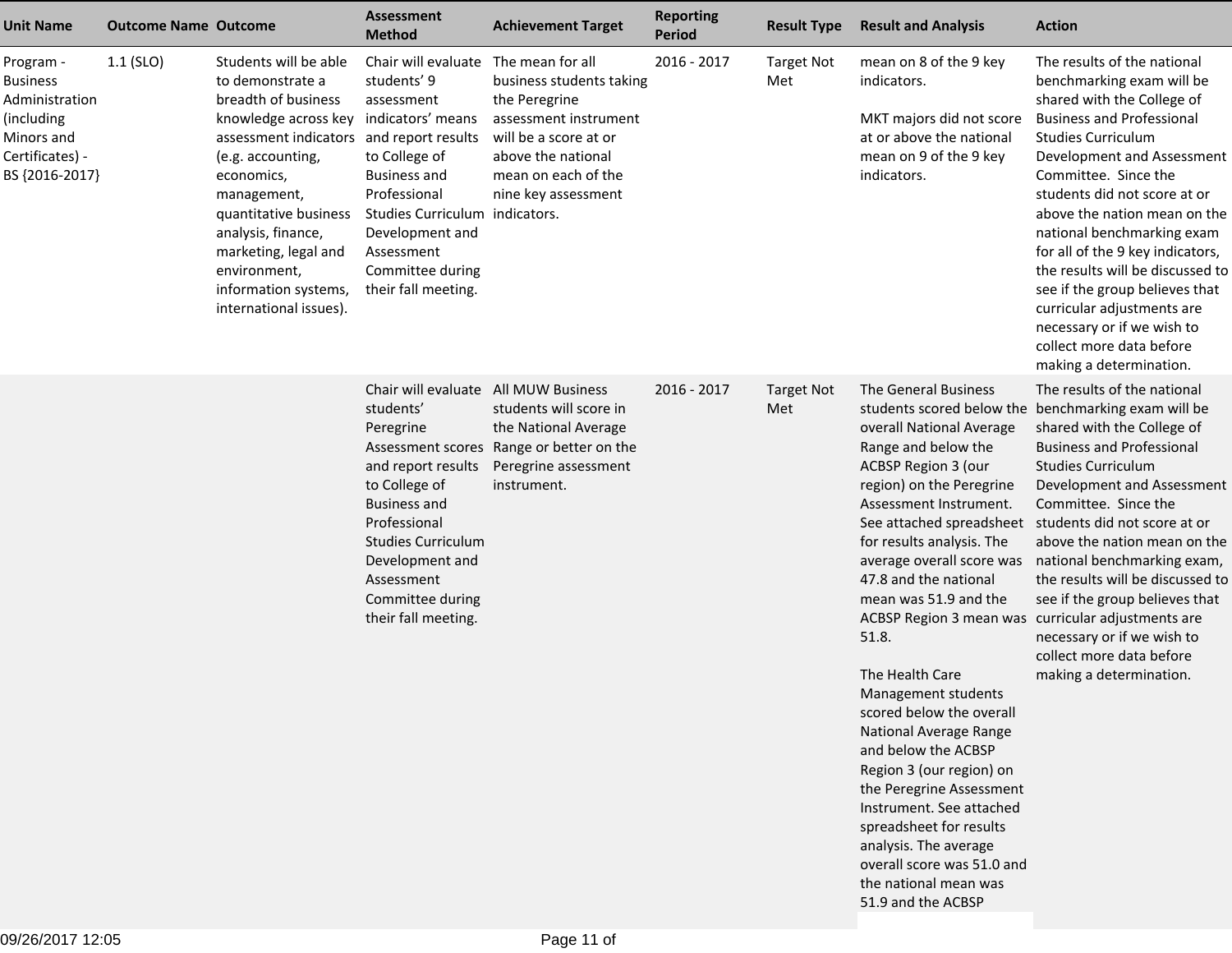| <b>Unit Name</b>                                                                                                | <b>Outcome Name Outcome</b> |                                                                                                                                                                                                                                                                                                                                 | <b>Assessment</b><br><b>Method</b>                                                                                                                                                                                                                    | <b>Achievement Target</b>                                                                                                                                                           | <b>Reporting</b><br>Period | <b>Result Type</b>       | <b>Result and Analysis</b>                                                                                                                                                                                                                                                                                                                                                                                                                                                                                                                                                                                                        | <b>Action</b>                                                                                                                                                                                                                                                                                                                                                                                                                                                                                                                            |
|-----------------------------------------------------------------------------------------------------------------|-----------------------------|---------------------------------------------------------------------------------------------------------------------------------------------------------------------------------------------------------------------------------------------------------------------------------------------------------------------------------|-------------------------------------------------------------------------------------------------------------------------------------------------------------------------------------------------------------------------------------------------------|-------------------------------------------------------------------------------------------------------------------------------------------------------------------------------------|----------------------------|--------------------------|-----------------------------------------------------------------------------------------------------------------------------------------------------------------------------------------------------------------------------------------------------------------------------------------------------------------------------------------------------------------------------------------------------------------------------------------------------------------------------------------------------------------------------------------------------------------------------------------------------------------------------------|------------------------------------------------------------------------------------------------------------------------------------------------------------------------------------------------------------------------------------------------------------------------------------------------------------------------------------------------------------------------------------------------------------------------------------------------------------------------------------------------------------------------------------------|
| Program -<br><b>Business</b><br>Administration<br>(including<br>Minors and<br>Certificates) -<br>BS {2016-2017} | $1.1$ (SLO)                 | Students will be able<br>to demonstrate a<br>breadth of business<br>knowledge across key<br>assessment indicators and report results<br>(e.g. accounting,<br>economics,<br>management,<br>quantitative business<br>analysis, finance,<br>marketing, legal and<br>environment,<br>information systems,<br>international issues). | Chair will evaluate<br>students' 9<br>assessment<br>indicators' means<br>to College of<br><b>Business and</b><br>Professional<br>Studies Curriculum indicators.<br>Development and<br>Assessment<br>Committee during<br>their fall meeting.           | The mean for all<br>business students taking<br>the Peregrine<br>assessment instrument<br>will be a score at or<br>above the national<br>mean on each of the<br>nine key assessment | 2016 - 2017                | <b>Target Not</b><br>Met | mean on 8 of the 9 key<br>indicators.<br>MKT majors did not score<br>at or above the national<br>mean on 9 of the 9 key<br>indicators.                                                                                                                                                                                                                                                                                                                                                                                                                                                                                            | The results of the national<br>benchmarking exam will be<br>shared with the College of<br><b>Business and Professional</b><br><b>Studies Curriculum</b><br>Development and Assessment<br>Committee. Since the<br>students did not score at or<br>above the nation mean on the<br>national benchmarking exam<br>for all of the 9 key indicators,<br>the results will be discussed to<br>see if the group believes that<br>curricular adjustments are<br>necessary or if we wish to<br>collect more data before<br>making a determination. |
|                                                                                                                 |                             |                                                                                                                                                                                                                                                                                                                                 | Chair will evaluate All MUW Business<br>students'<br>Peregrine<br>and report results<br>to College of<br><b>Business and</b><br>Professional<br><b>Studies Curriculum</b><br>Development and<br>Assessment<br>Committee during<br>their fall meeting. | students will score in<br>the National Average<br>Assessment scores Range or better on the<br>Peregrine assessment<br>instrument.                                                   | 2016 - 2017                | <b>Target Not</b><br>Met | The General Business<br>overall National Average<br>Range and below the<br><b>ACBSP Region 3 (our</b><br>region) on the Peregrine<br>Assessment Instrument.<br>See attached spreadsheet<br>for results analysis. The<br>average overall score was<br>47.8 and the national<br>mean was 51.9 and the<br>ACBSP Region 3 mean was curricular adjustments are<br>51.8.<br>The Health Care<br>Management students<br>scored below the overall<br>National Average Range<br>and below the ACBSP<br>Region 3 (our region) on<br>the Peregrine Assessment<br>Instrument. See attached<br>spreadsheet for results<br>analysis. The average | The results of the national<br>students scored below the benchmarking exam will be<br>shared with the College of<br><b>Business and Professional</b><br><b>Studies Curriculum</b><br>Development and Assessment<br>Committee. Since the<br>students did not score at or<br>above the nation mean on the<br>national benchmarking exam,<br>the results will be discussed to<br>see if the group believes that<br>necessary or if we wish to<br>collect more data before<br>making a determination.                                        |

 overall score was 51.0 andthe national mean was51.9 and the ACBSP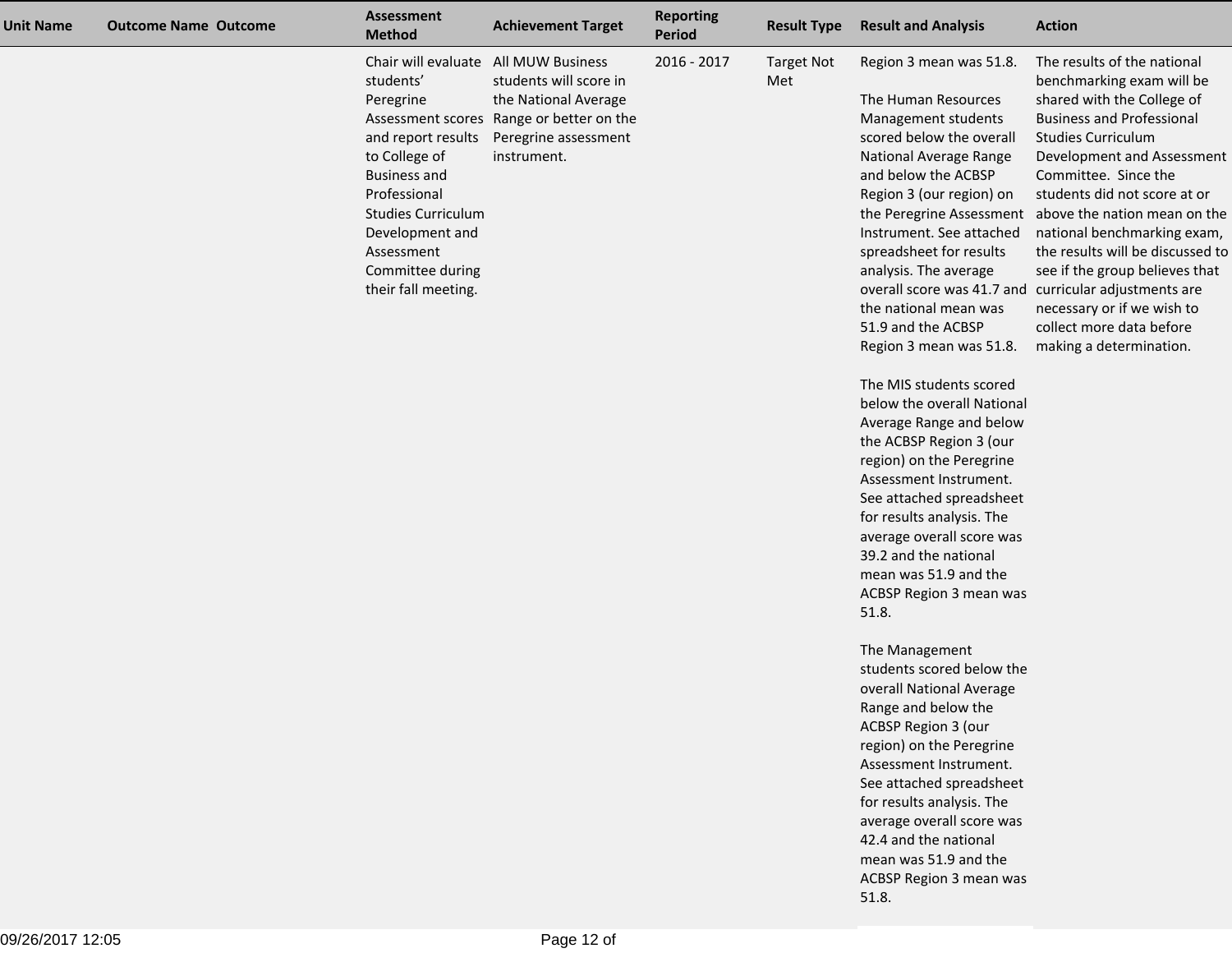| <b>Unit Name</b> | <b>Outcome Name Outcome</b> | <b>Assessment</b><br><b>Method</b>                                                                                                                                                                                                                    | <b>Achievement Target</b>                                                                                                         | <b>Reporting</b><br>Period | <b>Result Type</b>       | <b>Result and Analysis</b>                                                                                                                                                                                                                                                                                                                                                                                                                                                                                                                                                                                                                                                                                                                                                                                                                                                                                                                                                                                                                                                                                    | <b>Action</b>                                                                                                                                                                                                                                                                                                                                                                                                                                                                                    |
|------------------|-----------------------------|-------------------------------------------------------------------------------------------------------------------------------------------------------------------------------------------------------------------------------------------------------|-----------------------------------------------------------------------------------------------------------------------------------|----------------------------|--------------------------|---------------------------------------------------------------------------------------------------------------------------------------------------------------------------------------------------------------------------------------------------------------------------------------------------------------------------------------------------------------------------------------------------------------------------------------------------------------------------------------------------------------------------------------------------------------------------------------------------------------------------------------------------------------------------------------------------------------------------------------------------------------------------------------------------------------------------------------------------------------------------------------------------------------------------------------------------------------------------------------------------------------------------------------------------------------------------------------------------------------|--------------------------------------------------------------------------------------------------------------------------------------------------------------------------------------------------------------------------------------------------------------------------------------------------------------------------------------------------------------------------------------------------------------------------------------------------------------------------------------------------|
|                  |                             | Chair will evaluate All MUW Business<br>students'<br>Peregrine<br>and report results<br>to College of<br><b>Business and</b><br>Professional<br><b>Studies Curriculum</b><br>Development and<br>Assessment<br>Committee during<br>their fall meeting. | students will score in<br>the National Average<br>Assessment scores Range or better on the<br>Peregrine assessment<br>instrument. | 2016 - 2017                | <b>Target Not</b><br>Met | Region 3 mean was 51.8.<br>The Human Resources<br>Management students<br>scored below the overall<br>National Average Range<br>and below the ACBSP<br>Region 3 (our region) on<br>Instrument. See attached<br>spreadsheet for results<br>analysis. The average<br>overall score was 41.7 and curricular adjustments are<br>the national mean was<br>51.9 and the ACBSP<br>Region 3 mean was 51.8.<br>The MIS students scored<br>below the overall National<br>Average Range and below<br>the ACBSP Region 3 (our<br>region) on the Peregrine<br>Assessment Instrument.<br>See attached spreadsheet<br>for results analysis. The<br>average overall score was<br>39.2 and the national<br>mean was 51.9 and the<br>ACBSP Region 3 mean was<br>51.8.<br>The Management<br>students scored below the<br>overall National Average<br>Range and below the<br>ACBSP Region 3 (our<br>region) on the Peregrine<br>Assessment Instrument.<br>See attached spreadsheet<br>for results analysis. The<br>average overall score was<br>42.4 and the national<br>mean was 51.9 and the<br>ACBSP Region 3 mean was<br>51.8. | The results of the national<br>benchmarking exam will be<br>shared with the College of<br><b>Business and Professional</b><br><b>Studies Curriculum</b><br>Development and Assessment<br>Committee. Since the<br>students did not score at or<br>the Peregrine Assessment above the nation mean on the<br>national benchmarking exam,<br>the results will be discussed to<br>see if the group believes that<br>necessary or if we wish to<br>collect more data before<br>making a determination. |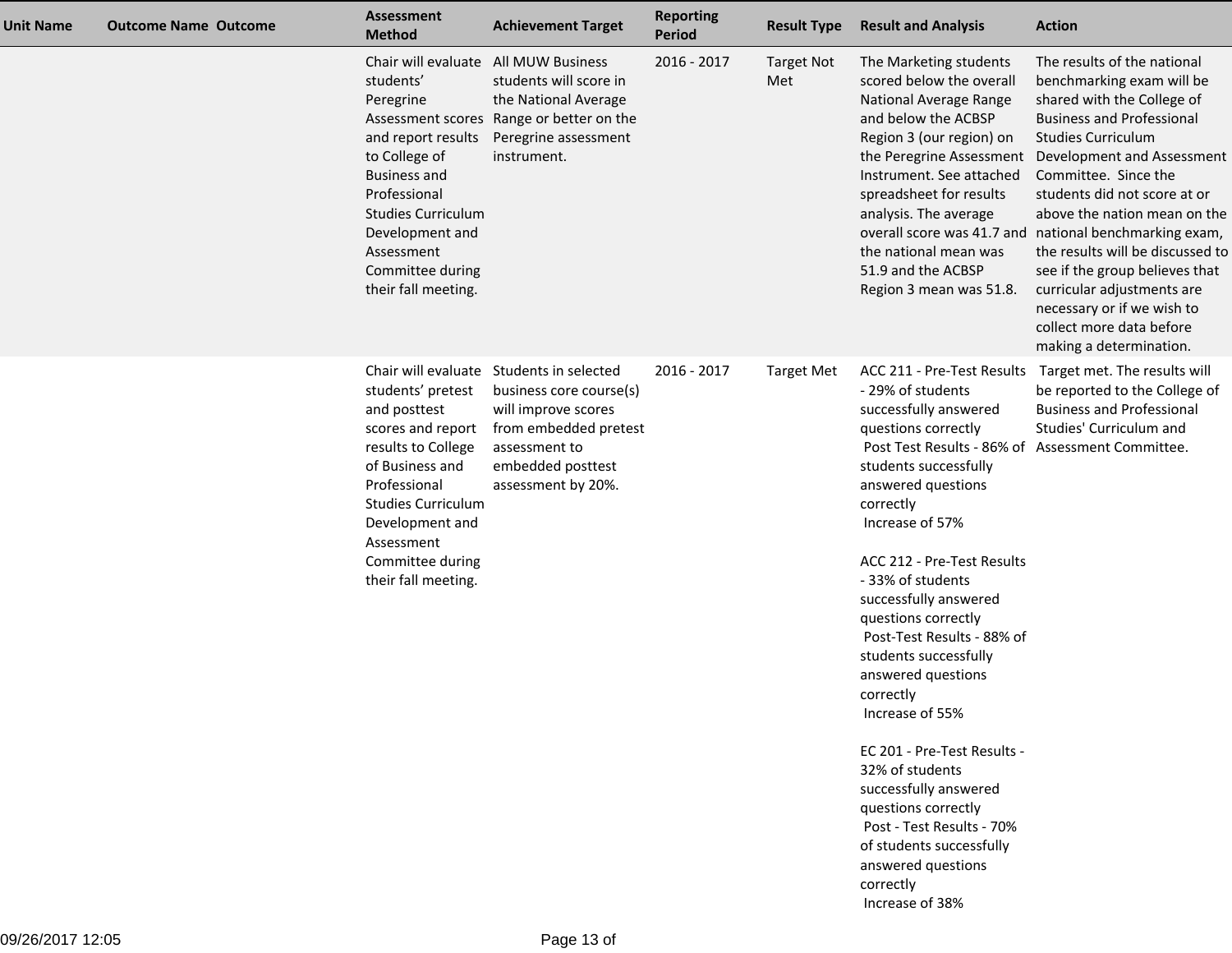| <b>Unit Name</b> | <b>Outcome Name Outcome</b> | <b>Assessment</b><br><b>Method</b>                                                                                                                                                                                                   | <b>Achievement Target</b>                                                                                                                                                       | <b>Reporting</b><br><b>Period</b> | <b>Result Type</b>       | <b>Result and Analysis</b>                                                                                                                                                                                                                                                                                                                                                                                                                                                                                                                                                                                                                                         | <b>Action</b>                                                                                                                                                                                                                                                                                                                                                                                                                                                                                                                    |
|------------------|-----------------------------|--------------------------------------------------------------------------------------------------------------------------------------------------------------------------------------------------------------------------------------|---------------------------------------------------------------------------------------------------------------------------------------------------------------------------------|-----------------------------------|--------------------------|--------------------------------------------------------------------------------------------------------------------------------------------------------------------------------------------------------------------------------------------------------------------------------------------------------------------------------------------------------------------------------------------------------------------------------------------------------------------------------------------------------------------------------------------------------------------------------------------------------------------------------------------------------------------|----------------------------------------------------------------------------------------------------------------------------------------------------------------------------------------------------------------------------------------------------------------------------------------------------------------------------------------------------------------------------------------------------------------------------------------------------------------------------------------------------------------------------------|
|                  |                             | Chair will evaluate<br>students'<br>Peregrine<br>and report results<br>to College of<br><b>Business and</b><br>Professional<br><b>Studies Curriculum</b><br>Development and<br>Assessment<br>Committee during<br>their fall meeting. | <b>All MUW Business</b><br>students will score in<br>the National Average<br>Assessment scores Range or better on the<br>Peregrine assessment<br>instrument.                    | 2016 - 2017                       | <b>Target Not</b><br>Met | The Marketing students<br>scored below the overall<br>National Average Range<br>and below the ACBSP<br>Region 3 (our region) on<br>the Peregrine Assessment<br>Instrument. See attached<br>spreadsheet for results<br>analysis. The average<br>the national mean was<br>51.9 and the ACBSP<br>Region 3 mean was 51.8.                                                                                                                                                                                                                                                                                                                                              | The results of the national<br>benchmarking exam will be<br>shared with the College of<br><b>Business and Professional</b><br><b>Studies Curriculum</b><br>Development and Assessment<br>Committee. Since the<br>students did not score at or<br>above the nation mean on the<br>overall score was 41.7 and national benchmarking exam,<br>the results will be discussed to<br>see if the group believes that<br>curricular adjustments are<br>necessary or if we wish to<br>collect more data before<br>making a determination. |
|                  |                             | students' pretest<br>and posttest<br>scores and report<br>results to College<br>of Business and<br>Professional<br><b>Studies Curriculum</b><br>Development and<br>Assessment<br>Committee during<br>their fall meeting.             | Chair will evaluate Students in selected<br>business core course(s)<br>will improve scores<br>from embedded pretest<br>assessment to<br>embedded posttest<br>assessment by 20%. | 2016 - 2017                       | <b>Target Met</b>        | ACC 211 - Pre-Test Results<br>- 29% of students<br>successfully answered<br>questions correctly<br>Post Test Results - 86% of Assessment Committee.<br>students successfully<br>answered questions<br>correctly<br>Increase of 57%<br>ACC 212 - Pre-Test Results<br>-33% of students<br>successfully answered<br>questions correctly<br>Post-Test Results - 88% of<br>students successfully<br>answered questions<br>correctly<br>Increase of 55%<br>EC 201 - Pre-Test Results -<br>32% of students<br>successfully answered<br>questions correctly<br>Post - Test Results - 70%<br>of students successfully<br>answered questions<br>correctly<br>Increase of 38% | Target met. The results will<br>be reported to the College of<br><b>Business and Professional</b><br>Studies' Curriculum and                                                                                                                                                                                                                                                                                                                                                                                                     |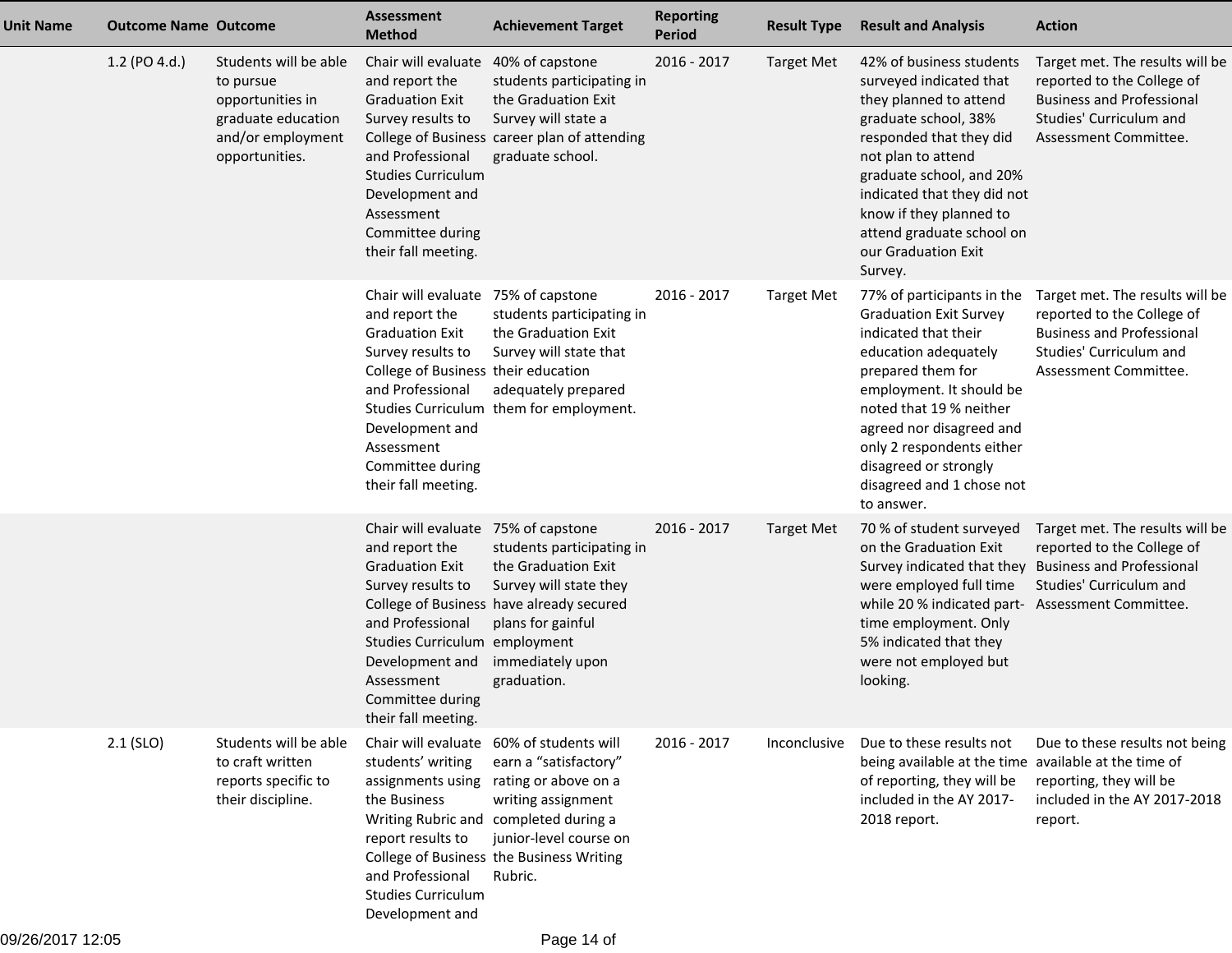| <b>Unit Name</b> | <b>Outcome Name Outcome</b> |                                                                                                                     | <b>Assessment</b><br><b>Method</b>                                                                                                                                                                                                          | <b>Achievement Target</b>                                                                                                                                                                                                                 | <b>Reporting</b><br><b>Period</b> | <b>Result Type</b> | <b>Result and Analysis</b>                                                                                                                                                                                                                                                                                           | <b>Action</b>                                                                                                                                         |
|------------------|-----------------------------|---------------------------------------------------------------------------------------------------------------------|---------------------------------------------------------------------------------------------------------------------------------------------------------------------------------------------------------------------------------------------|-------------------------------------------------------------------------------------------------------------------------------------------------------------------------------------------------------------------------------------------|-----------------------------------|--------------------|----------------------------------------------------------------------------------------------------------------------------------------------------------------------------------------------------------------------------------------------------------------------------------------------------------------------|-------------------------------------------------------------------------------------------------------------------------------------------------------|
|                  | 1.2 (PO 4.d.)               | Students will be able<br>to pursue<br>opportunities in<br>graduate education<br>and/or employment<br>opportunities. | Chair will evaluate<br>and report the<br><b>Graduation Exit</b><br>Survey results to<br>and Professional<br><b>Studies Curriculum</b><br>Development and<br>Assessment<br>Committee during<br>their fall meeting.                           | 40% of capstone<br>students participating in<br>the Graduation Exit<br>Survey will state a<br>College of Business career plan of attending<br>graduate school.                                                                            | 2016 - 2017                       | <b>Target Met</b>  | 42% of business students<br>surveyed indicated that<br>they planned to attend<br>graduate school, 38%<br>responded that they did<br>not plan to attend<br>graduate school, and 20%<br>indicated that they did not<br>know if they planned to<br>attend graduate school on<br>our Graduation Exit<br>Survey.          | Target met. The results will be<br>reported to the College of<br><b>Business and Professional</b><br>Studies' Curriculum and<br>Assessment Committee. |
|                  |                             |                                                                                                                     | Chair will evaluate 75% of capstone<br>and report the<br><b>Graduation Exit</b><br>Survey results to<br>College of Business their education<br>and Professional<br>Development and<br>Assessment<br>Committee during<br>their fall meeting. | students participating in<br>the Graduation Exit<br>Survey will state that<br>adequately prepared<br>Studies Curriculum them for employment.                                                                                              | 2016 - 2017                       | <b>Target Met</b>  | 77% of participants in the<br><b>Graduation Exit Survey</b><br>indicated that their<br>education adequately<br>prepared them for<br>employment. It should be<br>noted that 19 % neither<br>agreed nor disagreed and<br>only 2 respondents either<br>disagreed or strongly<br>disagreed and 1 chose not<br>to answer. | Target met. The results will be<br>reported to the College of<br><b>Business and Professional</b><br>Studies' Curriculum and<br>Assessment Committee. |
|                  |                             |                                                                                                                     | Chair will evaluate 75% of capstone<br>and report the<br><b>Graduation Exit</b><br>Survey results to<br>and Professional<br>Studies Curriculum employment<br>Development and<br>Assessment<br>Committee during<br>their fall meeting.       | students participating in<br>the Graduation Exit<br>Survey will state they<br>College of Business have already secured<br>plans for gainful<br>immediately upon<br>graduation.                                                            | 2016 - 2017                       | <b>Target Met</b>  | 70 % of student surveyed<br>on the Graduation Exit<br>Survey indicated that they Business and Professional<br>were employed full time<br>while 20 % indicated part- Assessment Committee.<br>time employment. Only<br>5% indicated that they<br>were not employed but<br>looking.                                    | Target met. The results will be<br>reported to the College of<br>Studies' Curriculum and                                                              |
|                  | $2.1$ (SLO)                 | Students will be able<br>to craft written<br>reports specific to<br>their discipline.                               | students' writing<br>assignments using<br>the Business<br>report results to<br>and Professional<br><b>Studies Curriculum</b><br>Development and                                                                                             | Chair will evaluate 60% of students will<br>earn a "satisfactory"<br>rating or above on a<br>writing assignment<br>Writing Rubric and completed during a<br>junior-level course on<br>College of Business the Business Writing<br>Rubric. | 2016 - 2017                       | Inconclusive       | Due to these results not<br>being available at the time available at the time of<br>of reporting, they will be<br>included in the AY 2017-<br>2018 report.                                                                                                                                                           | Due to these results not being<br>reporting, they will be<br>included in the AY 2017-2018<br>report.                                                  |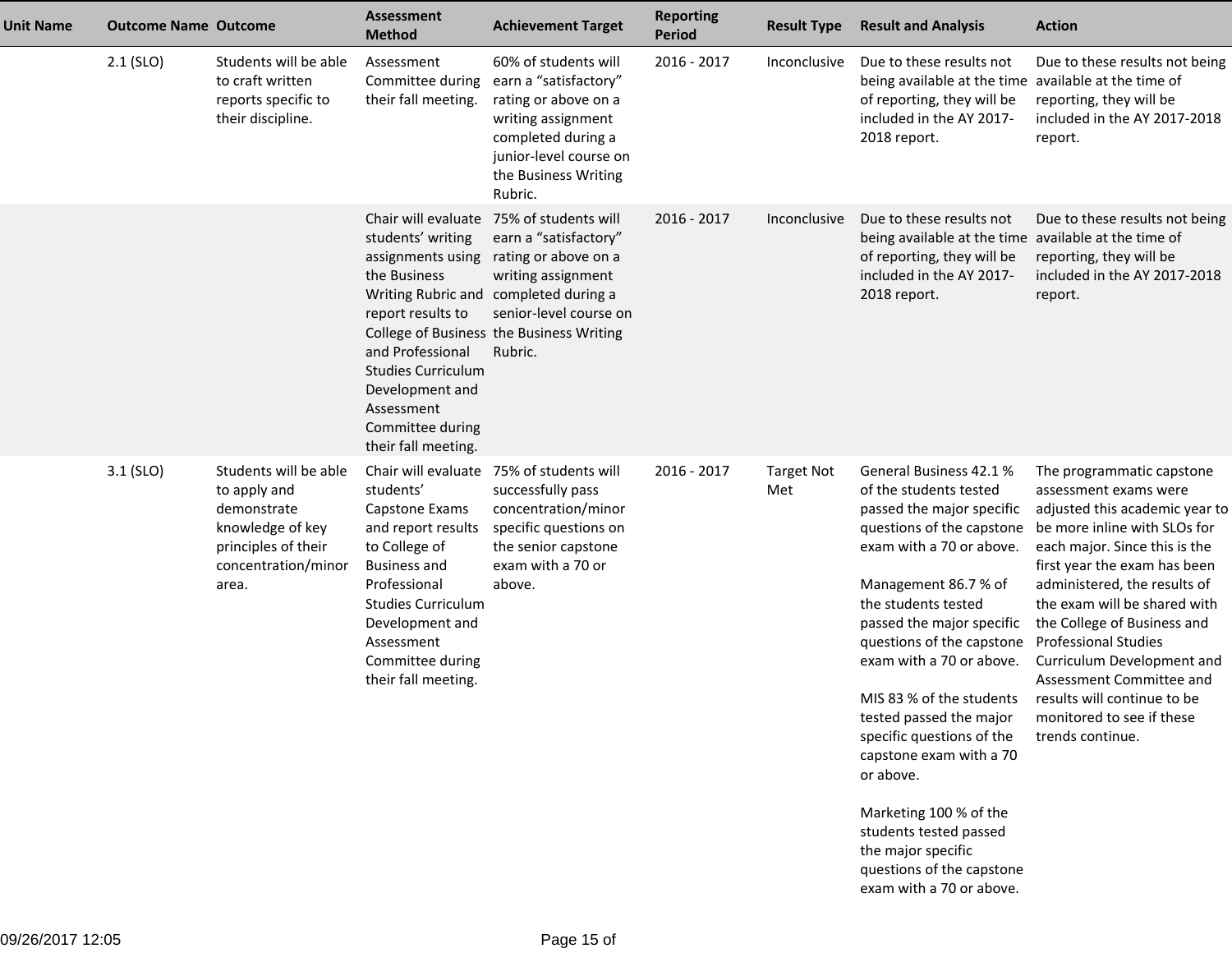| <b>Unit Name</b> | <b>Outcome Name Outcome</b> |                                                                                                                                 | <b>Assessment</b><br><b>Method</b>                                                                                                                                                                                                                    | <b>Achievement Target</b>                                                                                                                                                                          | <b>Reporting</b><br><b>Period</b> | <b>Result Type</b>       | <b>Result and Analysis</b>                                                                                                                                                                                                                                                                                                                                                                                                                                                                                                                  | <b>Action</b>                                                                                                                                                                                                                                                                                                                                                                                                                                                 |
|------------------|-----------------------------|---------------------------------------------------------------------------------------------------------------------------------|-------------------------------------------------------------------------------------------------------------------------------------------------------------------------------------------------------------------------------------------------------|----------------------------------------------------------------------------------------------------------------------------------------------------------------------------------------------------|-----------------------------------|--------------------------|---------------------------------------------------------------------------------------------------------------------------------------------------------------------------------------------------------------------------------------------------------------------------------------------------------------------------------------------------------------------------------------------------------------------------------------------------------------------------------------------------------------------------------------------|---------------------------------------------------------------------------------------------------------------------------------------------------------------------------------------------------------------------------------------------------------------------------------------------------------------------------------------------------------------------------------------------------------------------------------------------------------------|
|                  | $2.1$ (SLO)                 | Students will be able<br>to craft written<br>reports specific to<br>their discipline.                                           | Assessment<br>Committee during<br>their fall meeting.                                                                                                                                                                                                 | 60% of students will<br>earn a "satisfactory"<br>rating or above on a<br>writing assignment<br>completed during a<br>junior-level course on<br>the Business Writing<br>Rubric.                     | 2016 - 2017                       | Inconclusive             | Due to these results not<br>being available at the time available at the time of<br>of reporting, they will be<br>included in the AY 2017-<br>2018 report.                                                                                                                                                                                                                                                                                                                                                                                  | Due to these results not being<br>reporting, they will be<br>included in the AY 2017-2018<br>report.                                                                                                                                                                                                                                                                                                                                                          |
|                  |                             |                                                                                                                                 | Chair will evaluate<br>students' writing<br>assignments using<br>the Business<br>Writing Rubric and<br>report results to<br>and Professional<br><b>Studies Curriculum</b><br>Development and<br>Assessment<br>Committee during<br>their fall meeting. | 75% of students will<br>earn a "satisfactory"<br>rating or above on a<br>writing assignment<br>completed during a<br>senior-level course on<br>College of Business the Business Writing<br>Rubric. | 2016 - 2017                       | Inconclusive             | Due to these results not<br>being available at the time available at the time of<br>of reporting, they will be<br>included in the AY 2017-<br>2018 report.                                                                                                                                                                                                                                                                                                                                                                                  | Due to these results not being<br>reporting, they will be<br>included in the AY 2017-2018<br>report.                                                                                                                                                                                                                                                                                                                                                          |
|                  | $3.1$ (SLO)                 | Students will be able<br>to apply and<br>demonstrate<br>knowledge of key<br>principles of their<br>concentration/minor<br>area. | Chair will evaluate<br>students'<br>Capstone Exams<br>and report results<br>to College of<br><b>Business and</b><br>Professional<br><b>Studies Curriculum</b><br>Development and<br>Assessment<br>Committee during<br>their fall meeting.             | 75% of students will<br>successfully pass<br>concentration/minor<br>specific questions on<br>the senior capstone<br>exam with a 70 or<br>above.                                                    | 2016 - 2017                       | <b>Target Not</b><br>Met | General Business 42.1 %<br>of the students tested<br>passed the major specific<br>questions of the capstone<br>exam with a 70 or above.<br>Management 86.7 % of<br>the students tested<br>passed the major specific<br>questions of the capstone<br>exam with a 70 or above.<br>MIS 83 % of the students<br>tested passed the major<br>specific questions of the<br>capstone exam with a 70<br>or above.<br>Marketing 100 % of the<br>students tested passed<br>the major specific<br>questions of the capstone<br>exam with a 70 or above. | The programmatic capstone<br>assessment exams were<br>adjusted this academic year to<br>be more inline with SLOs for<br>each major. Since this is the<br>first year the exam has been<br>administered, the results of<br>the exam will be shared with<br>the College of Business and<br><b>Professional Studies</b><br>Curriculum Development and<br>Assessment Committee and<br>results will continue to be<br>monitored to see if these<br>trends continue. |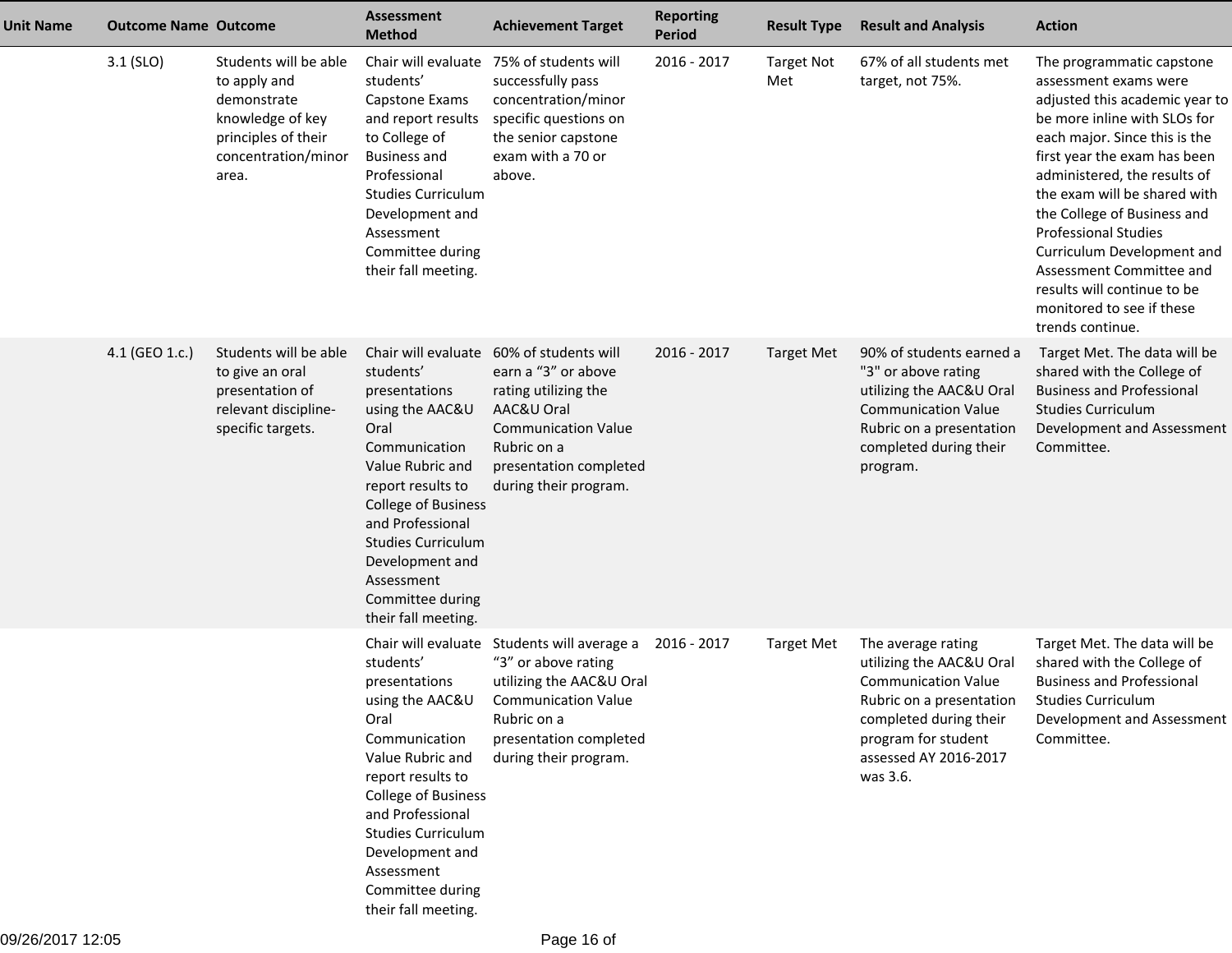| Unit Name | <b>Outcome Name Outcome</b> |                                                                                                                                 | <b>Assessment</b><br><b>Method</b>                                                                                                                                                                                                                                                                | <b>Achievement Target</b>                                                                                                                                                         | <b>Reporting</b><br><b>Period</b> | <b>Result Type</b>       | <b>Result and Analysis</b>                                                                                                                                                                     | <b>Action</b>                                                                                                                                                                                                                                                                                                                                                                                                                                                 |
|-----------|-----------------------------|---------------------------------------------------------------------------------------------------------------------------------|---------------------------------------------------------------------------------------------------------------------------------------------------------------------------------------------------------------------------------------------------------------------------------------------------|-----------------------------------------------------------------------------------------------------------------------------------------------------------------------------------|-----------------------------------|--------------------------|------------------------------------------------------------------------------------------------------------------------------------------------------------------------------------------------|---------------------------------------------------------------------------------------------------------------------------------------------------------------------------------------------------------------------------------------------------------------------------------------------------------------------------------------------------------------------------------------------------------------------------------------------------------------|
|           | $3.1$ (SLO)                 | Students will be able<br>to apply and<br>demonstrate<br>knowledge of key<br>principles of their<br>concentration/minor<br>area. | Chair will evaluate<br>students'<br>Capstone Exams<br>and report results<br>to College of<br><b>Business and</b><br>Professional<br><b>Studies Curriculum</b><br>Development and<br>Assessment<br>Committee during<br>their fall meeting.                                                         | 75% of students will<br>successfully pass<br>concentration/minor<br>specific questions on<br>the senior capstone<br>exam with a 70 or<br>above.                                   | 2016 - 2017                       | <b>Target Not</b><br>Met | 67% of all students met<br>target, not 75%.                                                                                                                                                    | The programmatic capstone<br>assessment exams were<br>adjusted this academic year to<br>be more inline with SLOs for<br>each major. Since this is the<br>first year the exam has been<br>administered, the results of<br>the exam will be shared with<br>the College of Business and<br><b>Professional Studies</b><br>Curriculum Development and<br>Assessment Committee and<br>results will continue to be<br>monitored to see if these<br>trends continue. |
|           | 4.1 (GEO 1.c.)              | Students will be able<br>to give an oral<br>presentation of<br>relevant discipline-<br>specific targets.                        | Chair will evaluate<br>students'<br>presentations<br>using the AAC&U<br>Oral<br>Communication<br>Value Rubric and<br>report results to<br><b>College of Business</b><br>and Professional<br><b>Studies Curriculum</b><br>Development and<br>Assessment<br>Committee during<br>their fall meeting. | 60% of students will<br>earn a "3" or above<br>rating utilizing the<br>AAC&U Oral<br><b>Communication Value</b><br>Rubric on a<br>presentation completed<br>during their program. | 2016 - 2017                       | Target Met               | 90% of students earned a<br>"3" or above rating<br>utilizing the AAC&U Oral<br><b>Communication Value</b><br>Rubric on a presentation<br>completed during their<br>program.                    | Target Met. The data will be<br>shared with the College of<br><b>Business and Professional</b><br><b>Studies Curriculum</b><br>Development and Assessment<br>Committee.                                                                                                                                                                                                                                                                                       |
|           |                             |                                                                                                                                 | Chair will evaluate<br>students'<br>presentations<br>using the AAC&U<br>Oral<br>Communication<br>Value Rubric and<br>report results to<br>College of Business<br>and Professional<br><b>Studies Curriculum</b><br>Development and<br>Assessment<br>Committee during<br>their fall meeting.        | Students will average a<br>"3" or above rating<br>utilizing the AAC&U Oral<br><b>Communication Value</b><br>Rubric on a<br>presentation completed<br>during their program.        | 2016 - 2017                       | <b>Target Met</b>        | The average rating<br>utilizing the AAC&U Oral<br><b>Communication Value</b><br>Rubric on a presentation<br>completed during their<br>program for student<br>assessed AY 2016-2017<br>was 3.6. | Target Met. The data will be<br>shared with the College of<br><b>Business and Professional</b><br><b>Studies Curriculum</b><br>Development and Assessment<br>Committee.                                                                                                                                                                                                                                                                                       |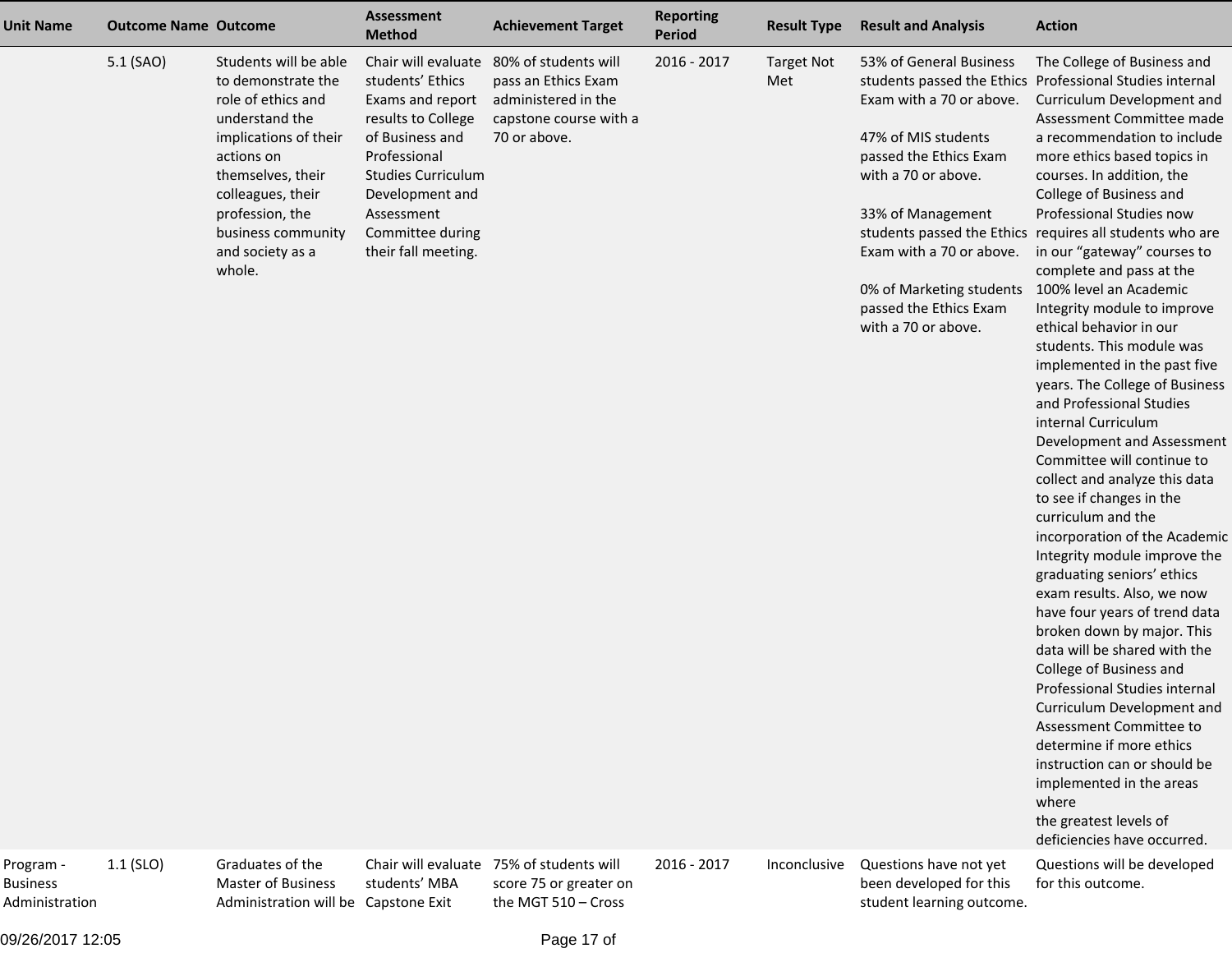| <b>Unit Name</b> | <b>Outcome Name Outcome</b> |                                                                                                                                                                                                                                             | Assessment<br><b>Method</b>                                                                                                                                                                            | <b>Achievement Target</b>                                                                                                        | <b>Reporting</b><br><b>Period</b> | <b>Result Type</b>       | <b>Result and Analysis</b>                                                                                                                                                                                                                                                       | <b>Action</b>                                                                                                                                                                                                                                                                                                                                                                                                                                                                                                                                                                                                                                                                                                                                                                                                                                                                                                                                                                                                                                                                                                                                                                                                                                                                                     |
|------------------|-----------------------------|---------------------------------------------------------------------------------------------------------------------------------------------------------------------------------------------------------------------------------------------|--------------------------------------------------------------------------------------------------------------------------------------------------------------------------------------------------------|----------------------------------------------------------------------------------------------------------------------------------|-----------------------------------|--------------------------|----------------------------------------------------------------------------------------------------------------------------------------------------------------------------------------------------------------------------------------------------------------------------------|---------------------------------------------------------------------------------------------------------------------------------------------------------------------------------------------------------------------------------------------------------------------------------------------------------------------------------------------------------------------------------------------------------------------------------------------------------------------------------------------------------------------------------------------------------------------------------------------------------------------------------------------------------------------------------------------------------------------------------------------------------------------------------------------------------------------------------------------------------------------------------------------------------------------------------------------------------------------------------------------------------------------------------------------------------------------------------------------------------------------------------------------------------------------------------------------------------------------------------------------------------------------------------------------------|
|                  | 5.1 (SAO)                   | Students will be able<br>to demonstrate the<br>role of ethics and<br>understand the<br>implications of their<br>actions on<br>themselves, their<br>colleagues, their<br>profession, the<br>business community<br>and society as a<br>whole. | students' Ethics<br>Exams and report<br>results to College<br>of Business and<br>Professional<br><b>Studies Curriculum</b><br>Development and<br>Assessment<br>Committee during<br>their fall meeting. | Chair will evaluate 80% of students will<br>pass an Ethics Exam<br>administered in the<br>capstone course with a<br>70 or above. | 2016 - 2017                       | <b>Target Not</b><br>Met | 53% of General Business<br>Exam with a 70 or above.<br>47% of MIS students<br>passed the Ethics Exam<br>with a 70 or above.<br>33% of Management<br>Exam with a 70 or above.<br>0% of Marketing students 100% level an Academic<br>passed the Ethics Exam<br>with a 70 or above. | The College of Business and<br>students passed the Ethics Professional Studies internal<br>Curriculum Development and<br>Assessment Committee made<br>a recommendation to include<br>more ethics based topics in<br>courses. In addition, the<br>College of Business and<br>Professional Studies now<br>students passed the Ethics requires all students who are<br>in our "gateway" courses to<br>complete and pass at the<br>Integrity module to improve<br>ethical behavior in our<br>students. This module was<br>implemented in the past five<br>years. The College of Business<br>and Professional Studies<br>internal Curriculum<br>Development and Assessment<br>Committee will continue to<br>collect and analyze this data<br>to see if changes in the<br>curriculum and the<br>incorporation of the Academic<br>Integrity module improve the<br>graduating seniors' ethics<br>exam results. Also, we now<br>have four years of trend data<br>broken down by major. This<br>data will be shared with the<br>College of Business and<br>Professional Studies internal<br>Curriculum Development and<br>Assessment Committee to<br>determine if more ethics<br>instruction can or should be<br>implemented in the areas<br>where<br>the greatest levels of<br>deficiencies have occurred. |
| Program -        | $1.1$ (SLO)                 | Graduates of the                                                                                                                                                                                                                            |                                                                                                                                                                                                        | Chair will evaluate 75% of students will                                                                                         | 2016 - 2017                       |                          | Inconclusive Questions have not yet                                                                                                                                                                                                                                              | Questions will be developed                                                                                                                                                                                                                                                                                                                                                                                                                                                                                                                                                                                                                                                                                                                                                                                                                                                                                                                                                                                                                                                                                                                                                                                                                                                                       |

09/26/2017 12:05

BusinessAdministration  Graduates of the Master of Business Administration will be Capstone Exitstudents' MBA

75% of students will score 75 or greater onthe MGT 510 – Cross

 Inconclusive Questions have not yet been developed for thisstudent learning outcome.

Questions will be developedfor this outcome.

Page 17 of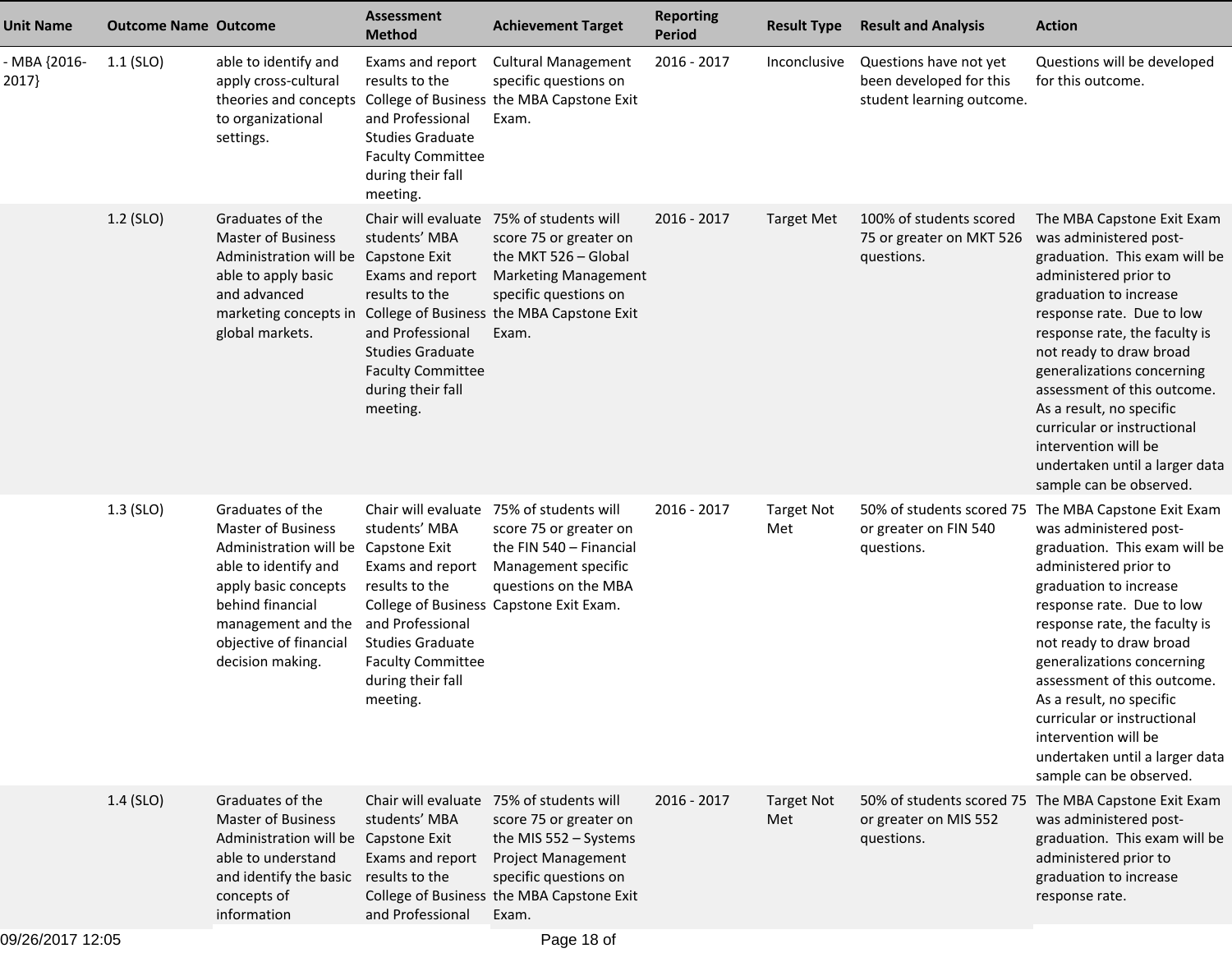| <b>Unit Name</b>      | <b>Outcome Name Outcome</b> |                                                                                                                                                                                                                               | <b>Assessment</b><br><b>Method</b>                                                                                                                              | <b>Achievement Target</b>                                                                                                                                                                                                      | <b>Reporting</b><br><b>Period</b> | <b>Result Type</b>       | <b>Result and Analysis</b>                                                     | <b>Action</b>                                                                                                                                                                                                                                                                                                                                                                                                                                                            |
|-----------------------|-----------------------------|-------------------------------------------------------------------------------------------------------------------------------------------------------------------------------------------------------------------------------|-----------------------------------------------------------------------------------------------------------------------------------------------------------------|--------------------------------------------------------------------------------------------------------------------------------------------------------------------------------------------------------------------------------|-----------------------------------|--------------------------|--------------------------------------------------------------------------------|--------------------------------------------------------------------------------------------------------------------------------------------------------------------------------------------------------------------------------------------------------------------------------------------------------------------------------------------------------------------------------------------------------------------------------------------------------------------------|
| - MBA {2016-<br>2017} | $1.1$ (SLO)                 | able to identify and<br>apply cross-cultural<br>theories and concepts<br>to organizational<br>settings.                                                                                                                       | Exams and report<br>results to the<br>and Professional<br><b>Studies Graduate</b><br><b>Faculty Committee</b><br>during their fall<br>meeting.                  | <b>Cultural Management</b><br>specific questions on<br>College of Business the MBA Capstone Exit<br>Exam.                                                                                                                      | 2016 - 2017                       | Inconclusive             | Questions have not yet<br>been developed for this<br>student learning outcome. | Questions will be developed<br>for this outcome.                                                                                                                                                                                                                                                                                                                                                                                                                         |
|                       | 1.2 (SLO)                   | Graduates of the<br><b>Master of Business</b><br>Administration will be Capstone Exit<br>able to apply basic<br>and advanced<br>global markets.                                                                               | students' MBA<br>Exams and report<br>results to the<br>and Professional<br><b>Studies Graduate</b><br><b>Faculty Committee</b><br>during their fall<br>meeting. | Chair will evaluate 75% of students will<br>score 75 or greater on<br>the MKT 526 - Global<br><b>Marketing Management</b><br>specific questions on<br>marketing concepts in College of Business the MBA Capstone Exit<br>Exam. | 2016 - 2017                       | <b>Target Met</b>        | 100% of students scored<br>75 or greater on MKT 526<br>questions.              | The MBA Capstone Exit Exam<br>was administered post-<br>graduation. This exam will be<br>administered prior to<br>graduation to increase<br>response rate. Due to low<br>response rate, the faculty is<br>not ready to draw broad<br>generalizations concerning<br>assessment of this outcome.<br>As a result, no specific<br>curricular or instructional<br>intervention will be<br>undertaken until a larger data<br>sample can be observed.                           |
|                       | $1.3$ (SLO)                 | Graduates of the<br><b>Master of Business</b><br>Administration will be Capstone Exit<br>able to identify and<br>apply basic concepts<br>behind financial<br>management and the<br>objective of financial<br>decision making. | students' MBA<br>Exams and report<br>results to the<br>and Professional<br><b>Studies Graduate</b><br><b>Faculty Committee</b><br>during their fall<br>meeting. | Chair will evaluate 75% of students will<br>score 75 or greater on<br>the FIN 540 - Financial<br>Management specific<br>questions on the MBA<br>College of Business Capstone Exit Exam.                                        | 2016 - 2017                       | <b>Target Not</b><br>Met | or greater on FIN 540<br>questions.                                            | 50% of students scored 75 The MBA Capstone Exit Exam<br>was administered post-<br>graduation. This exam will be<br>administered prior to<br>graduation to increase<br>response rate. Due to low<br>response rate, the faculty is<br>not ready to draw broad<br>generalizations concerning<br>assessment of this outcome.<br>As a result, no specific<br>curricular or instructional<br>intervention will be<br>undertaken until a larger data<br>sample can be observed. |
|                       | $1.4$ (SLO)                 | Graduates of the<br><b>Master of Business</b><br>Administration will be Capstone Exit<br>able to understand<br>and identify the basic results to the<br>concepts of<br>information                                            | students' MBA<br>Exams and report<br>and Professional                                                                                                           | Chair will evaluate 75% of students will<br>score 75 or greater on<br>the MIS 552 - Systems<br><b>Project Management</b><br>specific questions on<br>College of Business the MBA Capstone Exit<br>Exam.                        | 2016 - 2017                       | <b>Target Not</b><br>Met | or greater on MIS 552<br>questions.                                            | 50% of students scored 75 The MBA Capstone Exit Exam<br>was administered post-<br>graduation. This exam will be<br>administered prior to<br>graduation to increase<br>response rate.                                                                                                                                                                                                                                                                                     |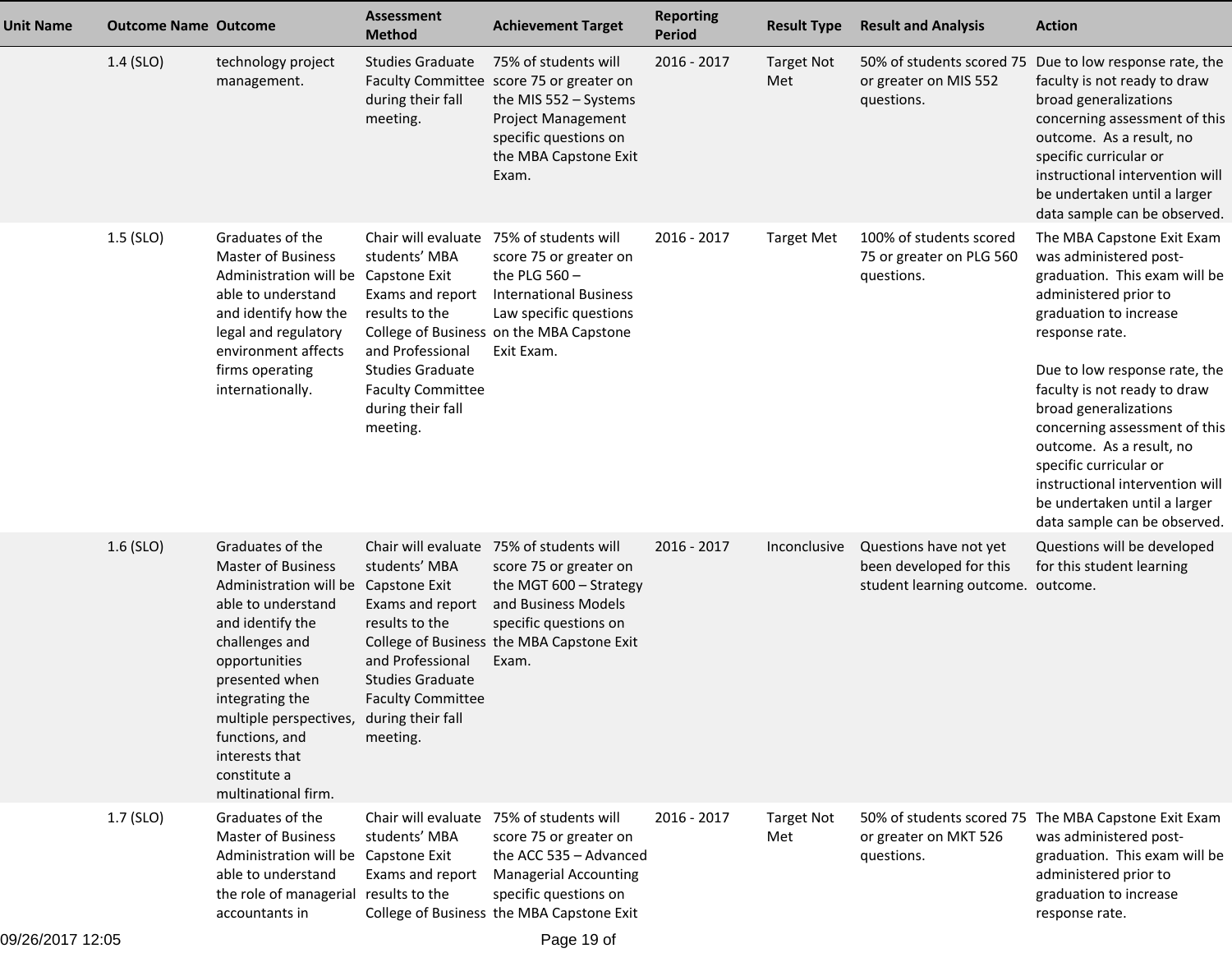| <b>Unit Name</b> | <b>Outcome Name Outcome</b> |                                                                                                                                                                                                                                                                                                                                | <b>Assessment</b><br><b>Method</b>                                                                                                                                                     | <b>Achievement Target</b>                                                                                                                                                                          | <b>Reporting</b><br>Period | <b>Result Type</b>       | <b>Result and Analysis</b>                                                              | <b>Action</b>                                                                                                                                                                                                                                                                                                                                                                                                                                  |
|------------------|-----------------------------|--------------------------------------------------------------------------------------------------------------------------------------------------------------------------------------------------------------------------------------------------------------------------------------------------------------------------------|----------------------------------------------------------------------------------------------------------------------------------------------------------------------------------------|----------------------------------------------------------------------------------------------------------------------------------------------------------------------------------------------------|----------------------------|--------------------------|-----------------------------------------------------------------------------------------|------------------------------------------------------------------------------------------------------------------------------------------------------------------------------------------------------------------------------------------------------------------------------------------------------------------------------------------------------------------------------------------------------------------------------------------------|
|                  | 1.4 (SLO)                   | technology project<br>management.                                                                                                                                                                                                                                                                                              | <b>Studies Graduate</b><br>during their fall<br>meeting.                                                                                                                               | 75% of students will<br>Faculty Committee score 75 or greater on<br>the MIS 552 - Systems<br>Project Management<br>specific questions on<br>the MBA Capstone Exit<br>Exam.                         | 2016 - 2017                | <b>Target Not</b><br>Met | or greater on MIS 552<br>questions.                                                     | 50% of students scored 75 Due to low response rate, the<br>faculty is not ready to draw<br>broad generalizations<br>concerning assessment of this<br>outcome. As a result, no<br>specific curricular or<br>instructional intervention will<br>be undertaken until a larger<br>data sample can be observed.                                                                                                                                     |
|                  | $1.5$ (SLO)                 | Graduates of the<br><b>Master of Business</b><br>Administration will be Capstone Exit<br>able to understand<br>and identify how the<br>legal and regulatory<br>environment affects<br>firms operating<br>internationally.                                                                                                      | Chair will evaluate<br>students' MBA<br>Exams and report<br>results to the<br>and Professional<br><b>Studies Graduate</b><br><b>Faculty Committee</b><br>during their fall<br>meeting. | 75% of students will<br>score 75 or greater on<br>the PLG $560 -$<br><b>International Business</b><br>Law specific questions<br>College of Business on the MBA Capstone<br>Exit Exam.              | 2016 - 2017                | <b>Target Met</b>        | 100% of students scored<br>75 or greater on PLG 560<br>questions.                       | The MBA Capstone Exit Exam<br>was administered post-<br>graduation. This exam will be<br>administered prior to<br>graduation to increase<br>response rate.<br>Due to low response rate, the<br>faculty is not ready to draw<br>broad generalizations<br>concerning assessment of this<br>outcome. As a result, no<br>specific curricular or<br>instructional intervention will<br>be undertaken until a larger<br>data sample can be observed. |
|                  | $1.6$ (SLO)                 | Graduates of the<br><b>Master of Business</b><br>Administration will be Capstone Exit<br>able to understand<br>and identify the<br>challenges and<br>opportunities<br>presented when<br>integrating the<br>multiple perspectives, during their fall<br>functions, and<br>interests that<br>constitute a<br>multinational firm. | students' MBA<br>Exams and report<br>results to the<br>and Professional<br><b>Studies Graduate</b><br><b>Faculty Committee</b><br>meeting.                                             | Chair will evaluate 75% of students will<br>score 75 or greater on<br>the MGT 600 - Strategy<br>and Business Models<br>specific questions on<br>College of Business the MBA Capstone Exit<br>Exam. | 2016 - 2017                | Inconclusive             | Questions have not yet<br>been developed for this<br>student learning outcome. outcome. | Questions will be developed<br>for this student learning                                                                                                                                                                                                                                                                                                                                                                                       |
|                  | $1.7$ (SLO)                 | Graduates of the<br><b>Master of Business</b><br>Administration will be Capstone Exit<br>able to understand<br>the role of managerial results to the<br>accountants in                                                                                                                                                         | students' MBA<br>Exams and report                                                                                                                                                      | Chair will evaluate 75% of students will<br>score 75 or greater on<br>the ACC 535 - Advanced<br><b>Managerial Accounting</b><br>specific questions on<br>College of Business the MBA Capstone Exit | 2016 - 2017                | <b>Target Not</b><br>Met | or greater on MKT 526<br>questions.                                                     | 50% of students scored 75 The MBA Capstone Exit Exam<br>was administered post-<br>graduation. This exam will be<br>administered prior to<br>graduation to increase<br>response rate.                                                                                                                                                                                                                                                           |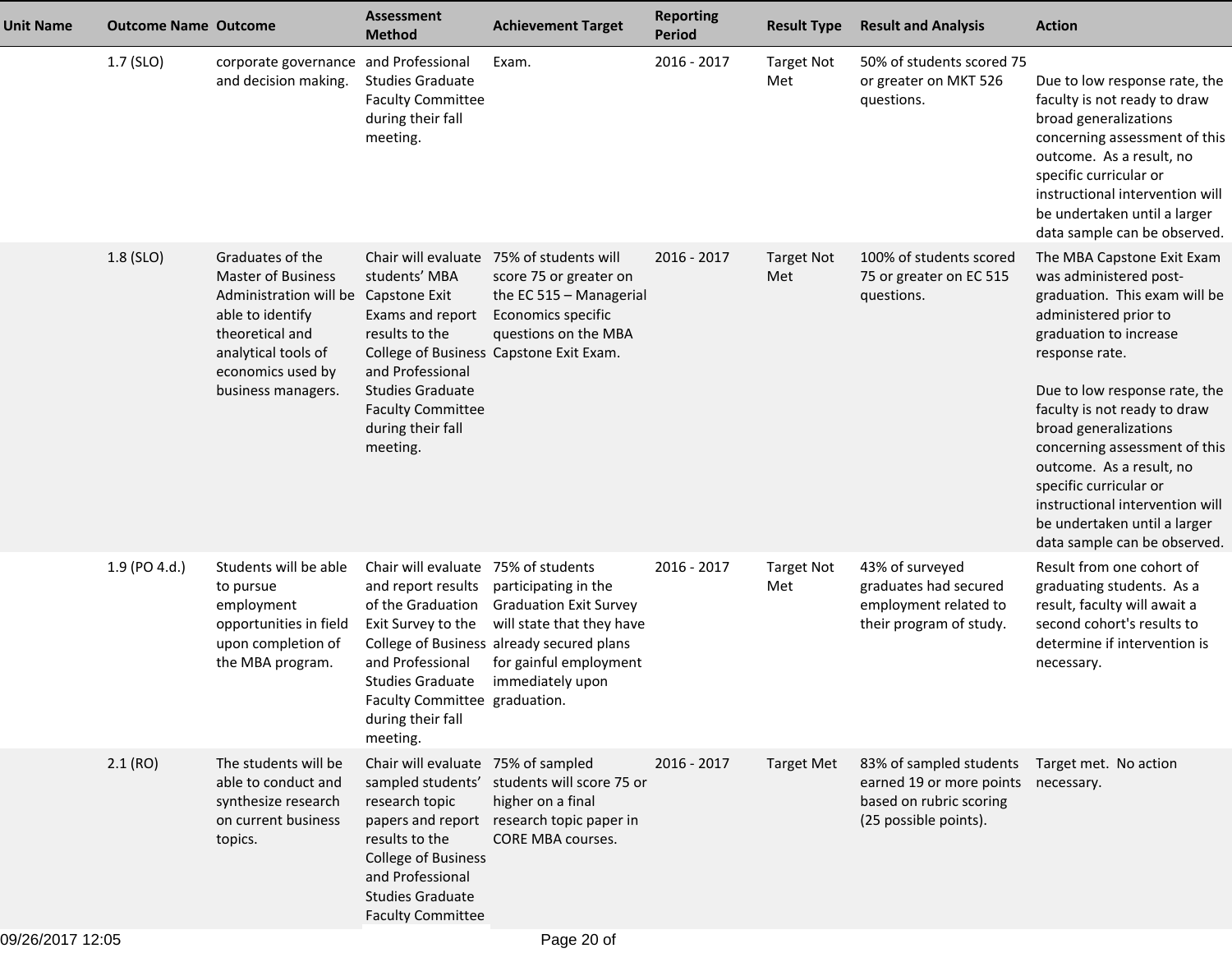| <b>Unit Name</b> | <b>Outcome Name Outcome</b> |                                                                                                                                                                                                | <b>Assessment</b><br><b>Method</b>                                                                                                                                                                                    | <b>Achievement Target</b>                                                                                                                                                              | <b>Reporting</b><br><b>Period</b> | <b>Result Type</b>       | <b>Result and Analysis</b>                                                                                         | <b>Action</b>                                                                                                                                                                                                                                                                                                                                                                                                                                  |
|------------------|-----------------------------|------------------------------------------------------------------------------------------------------------------------------------------------------------------------------------------------|-----------------------------------------------------------------------------------------------------------------------------------------------------------------------------------------------------------------------|----------------------------------------------------------------------------------------------------------------------------------------------------------------------------------------|-----------------------------------|--------------------------|--------------------------------------------------------------------------------------------------------------------|------------------------------------------------------------------------------------------------------------------------------------------------------------------------------------------------------------------------------------------------------------------------------------------------------------------------------------------------------------------------------------------------------------------------------------------------|
|                  | 1.7 (SLO)                   | corporate governance and Professional<br>and decision making.                                                                                                                                  | <b>Studies Graduate</b><br><b>Faculty Committee</b><br>during their fall<br>meeting.                                                                                                                                  | Exam.                                                                                                                                                                                  | 2016 - 2017                       | <b>Target Not</b><br>Met | 50% of students scored 75<br>or greater on MKT 526<br>questions.                                                   | Due to low response rate, the<br>faculty is not ready to draw<br>broad generalizations<br>concerning assessment of this<br>outcome. As a result, no<br>specific curricular or<br>instructional intervention will<br>be undertaken until a larger<br>data sample can be observed.                                                                                                                                                               |
|                  | 1.8 (SLO)                   | Graduates of the<br><b>Master of Business</b><br>Administration will be Capstone Exit<br>able to identify<br>theoretical and<br>analytical tools of<br>economics used by<br>business managers. | students' MBA<br>Exams and report<br>results to the<br>and Professional<br><b>Studies Graduate</b><br><b>Faculty Committee</b><br>during their fall<br>meeting.                                                       | Chair will evaluate 75% of students will<br>score 75 or greater on<br>the EC 515 - Managerial<br>Economics specific<br>questions on the MBA<br>College of Business Capstone Exit Exam. | 2016 - 2017                       | <b>Target Not</b><br>Met | 100% of students scored<br>75 or greater on EC 515<br>questions.                                                   | The MBA Capstone Exit Exam<br>was administered post-<br>graduation. This exam will be<br>administered prior to<br>graduation to increase<br>response rate.<br>Due to low response rate, the<br>faculty is not ready to draw<br>broad generalizations<br>concerning assessment of this<br>outcome. As a result, no<br>specific curricular or<br>instructional intervention will<br>be undertaken until a larger<br>data sample can be observed. |
|                  | 1.9 (PO 4.d.)               | Students will be able<br>to pursue<br>employment<br>opportunities in field<br>upon completion of<br>the MBA program.                                                                           | Chair will evaluate 75% of students<br>and report results<br>of the Graduation<br>Exit Survey to the<br>and Professional<br><b>Studies Graduate</b><br>Faculty Committee graduation.<br>during their fall<br>meeting. | participating in the<br><b>Graduation Exit Survey</b><br>will state that they have<br>College of Business already secured plans<br>for gainful employment<br>immediately upon          | 2016 - 2017                       | <b>Target Not</b><br>Met | 43% of surveyed<br>graduates had secured<br>employment related to<br>their program of study.                       | Result from one cohort of<br>graduating students. As a<br>result, faculty will await a<br>second cohort's results to<br>determine if intervention is<br>necessary.                                                                                                                                                                                                                                                                             |
|                  | 2.1(RO)                     | The students will be<br>able to conduct and<br>synthesize research<br>on current business<br>topics.                                                                                           | Chair will evaluate 75% of sampled<br>research topic<br>results to the<br><b>College of Business</b><br>and Professional<br><b>Studies Graduate</b><br><b>Faculty Committee</b>                                       | sampled students' students will score 75 or<br>higher on a final<br>papers and report research topic paper in<br>CORE MBA courses.                                                     | $2016 - 2017$                     | <b>Target Met</b>        | 83% of sampled students<br>earned 19 or more points necessary.<br>based on rubric scoring<br>(25 possible points). | Target met. No action                                                                                                                                                                                                                                                                                                                                                                                                                          |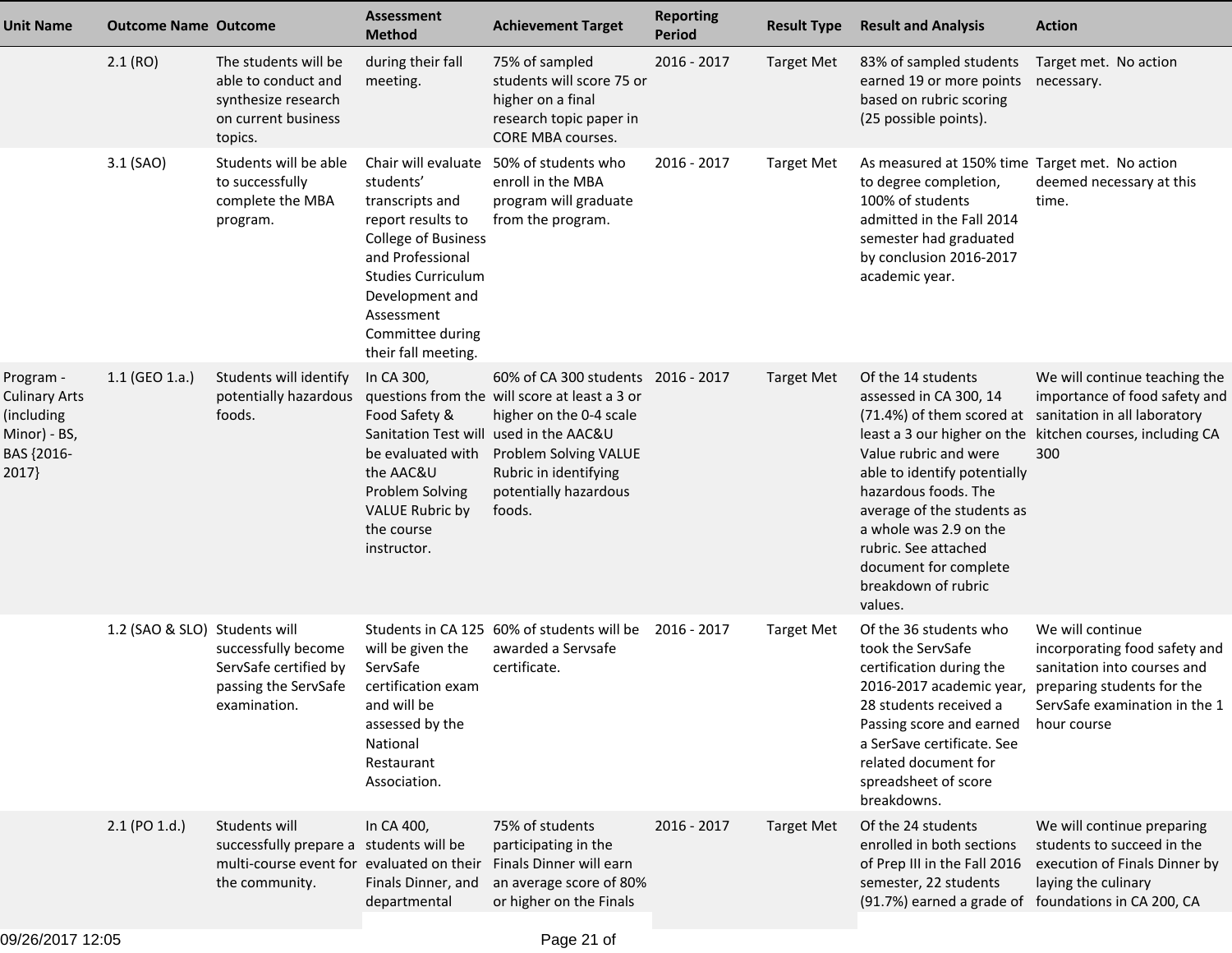| <b>Unit Name</b>                                                                       | <b>Outcome Name Outcome</b>   |                                                                                                                         | <b>Assessment</b><br><b>Method</b>                                                                                                                                                                                                  | <b>Achievement Target</b>                                                                                                                                                                                                | <b>Reporting</b><br><b>Period</b> | <b>Result Type</b> | <b>Result and Analysis</b>                                                                                                                                                                                                                                                                                                         | <b>Action</b>                                                                                                                      |
|----------------------------------------------------------------------------------------|-------------------------------|-------------------------------------------------------------------------------------------------------------------------|-------------------------------------------------------------------------------------------------------------------------------------------------------------------------------------------------------------------------------------|--------------------------------------------------------------------------------------------------------------------------------------------------------------------------------------------------------------------------|-----------------------------------|--------------------|------------------------------------------------------------------------------------------------------------------------------------------------------------------------------------------------------------------------------------------------------------------------------------------------------------------------------------|------------------------------------------------------------------------------------------------------------------------------------|
|                                                                                        | 2.1(RO)                       | The students will be<br>able to conduct and<br>synthesize research<br>on current business<br>topics.                    | during their fall<br>meeting.                                                                                                                                                                                                       | 75% of sampled<br>students will score 75 or<br>higher on a final<br>research topic paper in<br><b>CORE MBA courses.</b>                                                                                                  | 2016 - 2017                       | <b>Target Met</b>  | 83% of sampled students<br>earned 19 or more points<br>based on rubric scoring<br>(25 possible points).                                                                                                                                                                                                                            | Target met. No action<br>necessary.                                                                                                |
|                                                                                        | 3.1 (SAO)                     | Students will be able<br>to successfully<br>complete the MBA<br>program.                                                | Chair will evaluate<br>students'<br>transcripts and<br>report results to<br><b>College of Business</b><br>and Professional<br><b>Studies Curriculum</b><br>Development and<br>Assessment<br>Committee during<br>their fall meeting. | 50% of students who<br>enroll in the MBA<br>program will graduate<br>from the program.                                                                                                                                   | 2016 - 2017                       | <b>Target Met</b>  | As measured at 150% time Target met. No action<br>to degree completion,<br>100% of students<br>admitted in the Fall 2014<br>semester had graduated<br>by conclusion 2016-2017<br>academic year.                                                                                                                                    | deemed necessary at this<br>time.                                                                                                  |
| Program -<br><b>Culinary Arts</b><br>(including<br>Minor) - BS,<br>BAS {2016-<br>2017} | 1.1 (GEO 1.a.)                | Students will identify<br>potentially hazardous<br>foods.                                                               | In CA 300,<br>Food Safety &<br>Sanitation Test will<br>be evaluated with<br>the AAC&U<br>Problem Solving<br><b>VALUE Rubric by</b><br>the course<br>instructor.                                                                     | 60% of CA 300 students 2016 - 2017<br>questions from the will score at least a 3 or<br>higher on the 0-4 scale<br>used in the AAC&U<br>Problem Solving VALUE<br>Rubric in identifying<br>potentially hazardous<br>foods. |                                   | <b>Target Met</b>  | Of the 14 students<br>assessed in CA 300, 14<br>(71.4%) of them scored at sanitation in all laboratory<br>Value rubric and were<br>able to identify potentially<br>hazardous foods. The<br>average of the students as<br>a whole was 2.9 on the<br>rubric. See attached<br>document for complete<br>breakdown of rubric<br>values. | We will continue teaching the<br>importance of food safety and<br>least a 3 our higher on the kitchen courses, including CA<br>300 |
|                                                                                        | 1.2 (SAO & SLO) Students will | successfully become<br>ServSafe certified by<br>passing the ServSafe<br>examination.                                    | will be given the<br>ServSafe<br>certification exam<br>and will be<br>assessed by the<br>National<br>Restaurant<br>Association.                                                                                                     | Students in CA 125 60% of students will be<br>awarded a Servsafe<br>certificate.                                                                                                                                         | 2016 - 2017                       | <b>Target Met</b>  | Of the 36 students who<br>took the ServSafe<br>certification during the<br>2016-2017 academic year, preparing students for the<br>28 students received a<br>Passing score and earned<br>a SerSave certificate. See<br>related document for<br>spreadsheet of score<br>breakdowns.                                                  | We will continue<br>incorporating food safety and<br>sanitation into courses and<br>ServSafe examination in the 1<br>hour course   |
|                                                                                        | 2.1 (PO 1.d.)                 | Students will<br>successfully prepare a students will be<br>multi-course event for evaluated on their<br>the community. | In CA 400,<br>Finals Dinner, and<br>departmental                                                                                                                                                                                    | 75% of students<br>participating in the<br>Finals Dinner will earn<br>an average score of 80%<br>or higher on the Finals                                                                                                 | 2016 - 2017                       | <b>Target Met</b>  | Of the 24 students<br>enrolled in both sections<br>of Prep III in the Fall 2016<br>semester, 22 students<br>(91.7%) earned a grade of foundations in CA 200, CA                                                                                                                                                                    | We will continue preparing<br>students to succeed in the<br>execution of Finals Dinner by<br>laying the culinary                   |
|                                                                                        |                               |                                                                                                                         |                                                                                                                                                                                                                                     |                                                                                                                                                                                                                          |                                   |                    |                                                                                                                                                                                                                                                                                                                                    |                                                                                                                                    |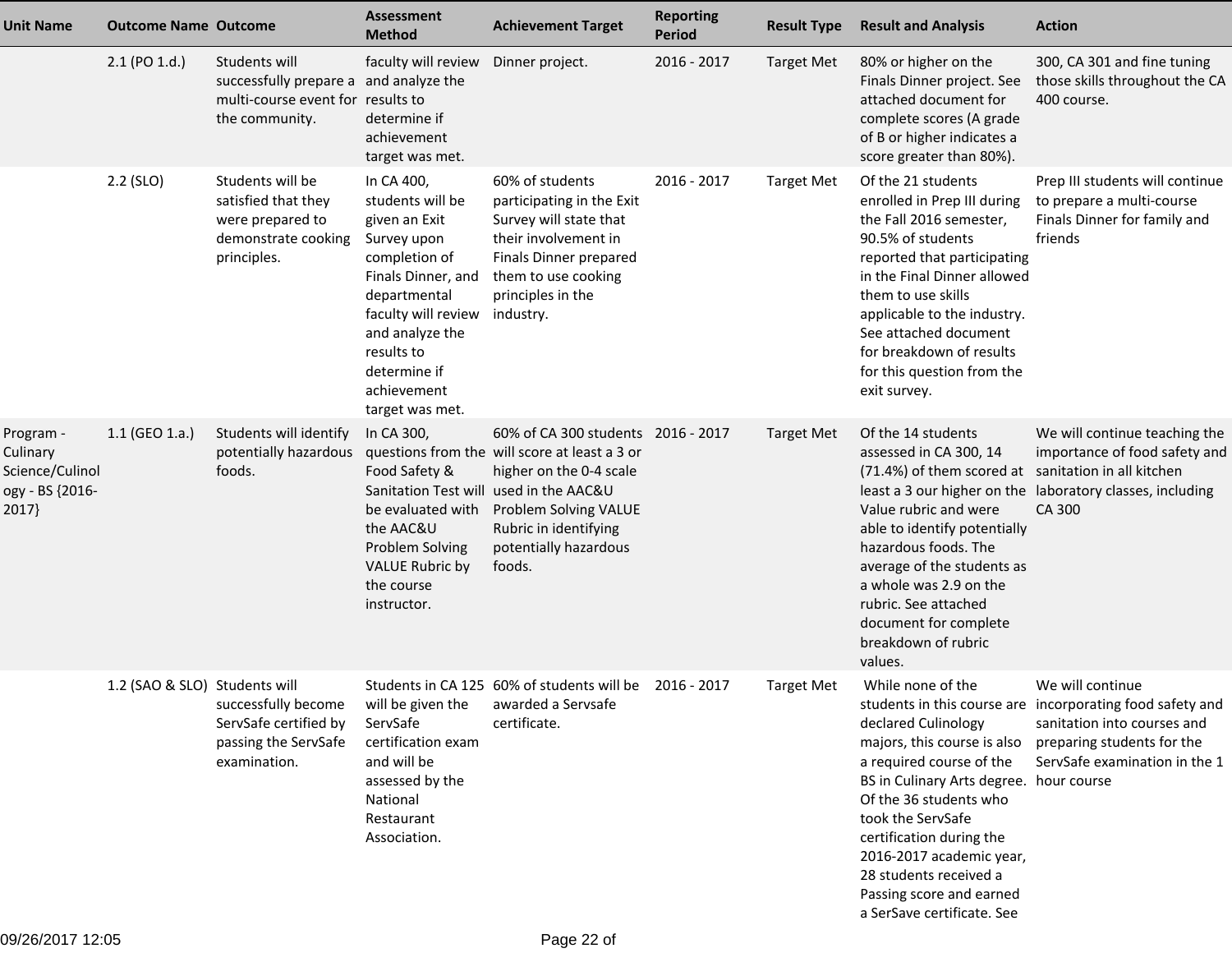| <b>Unit Name</b>                                                     | <b>Outcome Name Outcome</b>   |                                                                                                                | Assessment<br><b>Method</b>                                                                                                                                                                                                     | <b>Achievement Target</b>                                                                                                                                                                           | <b>Reporting</b><br><b>Period</b> | <b>Result Type</b> | <b>Result and Analysis</b>                                                                                                                                                                                                                                                                                                                | <b>Action</b>                                                                                                                                                               |
|----------------------------------------------------------------------|-------------------------------|----------------------------------------------------------------------------------------------------------------|---------------------------------------------------------------------------------------------------------------------------------------------------------------------------------------------------------------------------------|-----------------------------------------------------------------------------------------------------------------------------------------------------------------------------------------------------|-----------------------------------|--------------------|-------------------------------------------------------------------------------------------------------------------------------------------------------------------------------------------------------------------------------------------------------------------------------------------------------------------------------------------|-----------------------------------------------------------------------------------------------------------------------------------------------------------------------------|
|                                                                      | $2.1$ (PO $1.d.$ )            | Students will<br>successfully prepare a and analyze the<br>multi-course event for results to<br>the community. | faculty will review<br>determine if<br>achievement<br>target was met.                                                                                                                                                           | Dinner project.                                                                                                                                                                                     | 2016 - 2017                       | <b>Target Met</b>  | 80% or higher on the<br>Finals Dinner project. See<br>attached document for<br>complete scores (A grade<br>of B or higher indicates a<br>score greater than 80%).                                                                                                                                                                         | 300, CA 301 and fine tuning<br>those skills throughout the CA<br>400 course.                                                                                                |
|                                                                      | 2.2 (SLO)                     | Students will be<br>satisfied that they<br>were prepared to<br>demonstrate cooking<br>principles.              | In CA 400,<br>students will be<br>given an Exit<br>Survey upon<br>completion of<br>Finals Dinner, and<br>departmental<br>faculty will review<br>and analyze the<br>results to<br>determine if<br>achievement<br>target was met. | 60% of students<br>participating in the Exit<br>Survey will state that<br>their involvement in<br>Finals Dinner prepared<br>them to use cooking<br>principles in the<br>industry.                   | 2016 - 2017                       | <b>Target Met</b>  | Of the 21 students<br>enrolled in Prep III during<br>the Fall 2016 semester,<br>90.5% of students<br>reported that participating<br>in the Final Dinner allowed<br>them to use skills<br>applicable to the industry.<br>See attached document<br>for breakdown of results<br>for this question from the<br>exit survey.                   | Prep III students will continue<br>to prepare a multi-course<br>Finals Dinner for family and<br>friends                                                                     |
| Program -<br>Culinary<br>Science/Culinol<br>ogy - BS {2016-<br>2017} | $1.1$ (GEO 1.a.)              | Students will identify<br>potentially hazardous<br>foods.                                                      | In CA 300,<br>Food Safety &<br>Sanitation Test will used in the AAC&U<br>be evaluated with<br>the AAC&U<br>Problem Solving<br><b>VALUE Rubric by</b><br>the course<br>instructor.                                               | 60% of CA 300 students 2016 - 2017<br>questions from the will score at least a 3 or<br>higher on the 0-4 scale<br>Problem Solving VALUE<br>Rubric in identifying<br>potentially hazardous<br>foods. |                                   | <b>Target Met</b>  | Of the 14 students<br>assessed in CA 300, 14<br>(71.4%) of them scored at sanitation in all kitchen<br>Value rubric and were<br>able to identify potentially<br>hazardous foods. The<br>average of the students as<br>a whole was 2.9 on the<br>rubric. See attached<br>document for complete<br>breakdown of rubric<br>values.           | We will continue teaching the<br>importance of food safety and<br>least a 3 our higher on the laboratory classes, including<br>CA 300                                       |
|                                                                      | 1.2 (SAO & SLO) Students will | successfully become<br>ServSafe certified by<br>passing the ServSafe<br>examination.                           | ServSafe<br>certification exam<br>and will be<br>assessed by the<br>National<br>Restaurant<br>Association.                                                                                                                      | Students in CA 125 60% of students will be 2016 - 2017<br>will be given the awarded a Servsafe<br>certificate.                                                                                      |                                   | <b>Target Met</b>  | While none of the<br>declared Culinology<br>majors, this course is also<br>a required course of the<br>BS in Culinary Arts degree. hour course<br>Of the 36 students who<br>took the ServSafe<br>certification during the<br>2016-2017 academic year,<br>28 students received a<br>Passing score and earned<br>a SerSave certificate. See | We will continue<br>students in this course are incorporating food safety and<br>sanitation into courses and<br>preparing students for the<br>ServSafe examination in the 1 |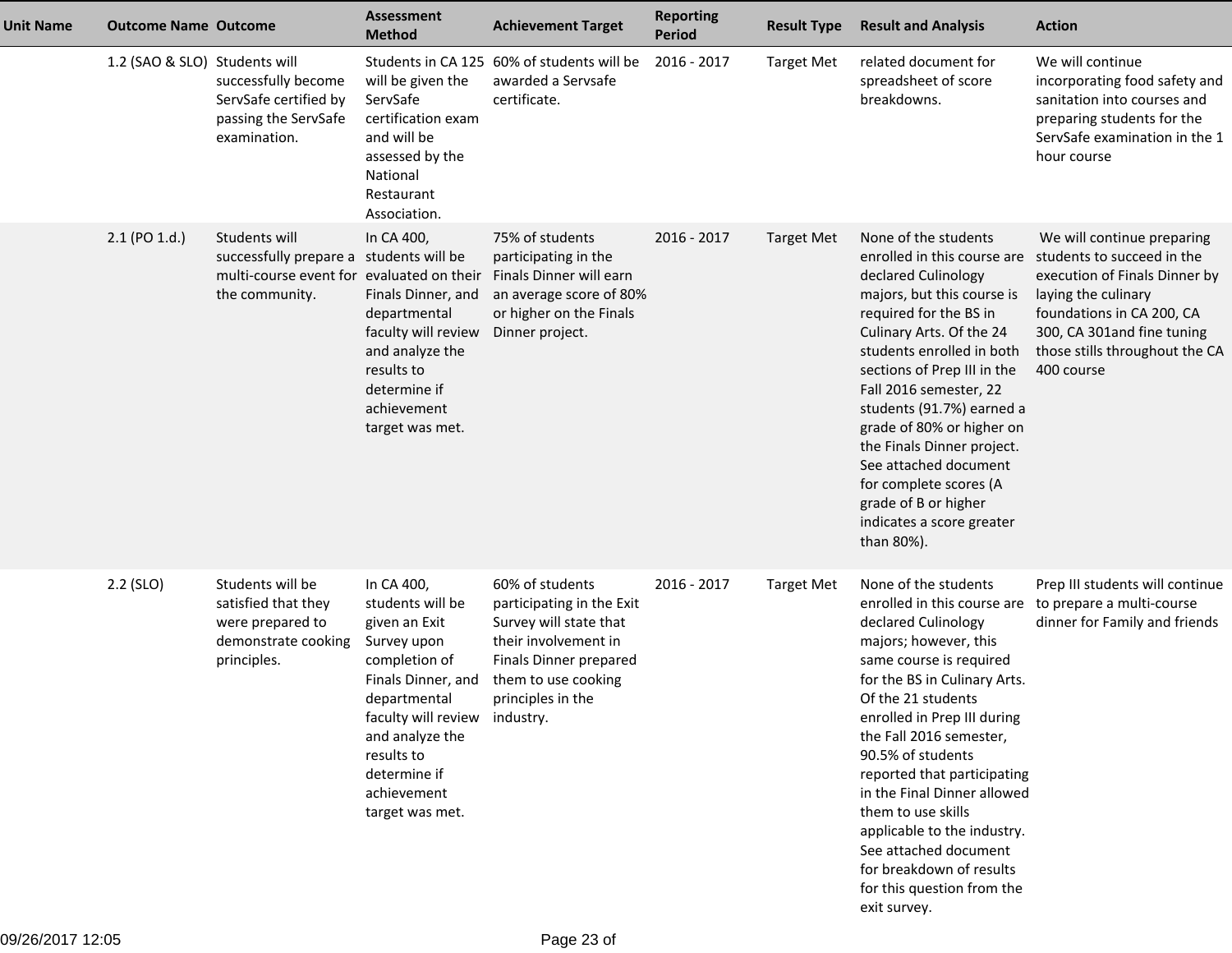| <b>Unit Name</b> | <b>Outcome Name Outcome</b>   |                                                                                                                         | <b>Assessment</b><br><b>Method</b>                                                                                                                                                                                                        | <b>Achievement Target</b>                                                                                                                                            | <b>Reporting</b><br><b>Period</b> | <b>Result Type</b> | <b>Result and Analysis</b>                                                                                                                                                                                                                                                                                                                                                                                                                                                                                          | <b>Action</b>                                                                                                                                                                                                               |
|------------------|-------------------------------|-------------------------------------------------------------------------------------------------------------------------|-------------------------------------------------------------------------------------------------------------------------------------------------------------------------------------------------------------------------------------------|----------------------------------------------------------------------------------------------------------------------------------------------------------------------|-----------------------------------|--------------------|---------------------------------------------------------------------------------------------------------------------------------------------------------------------------------------------------------------------------------------------------------------------------------------------------------------------------------------------------------------------------------------------------------------------------------------------------------------------------------------------------------------------|-----------------------------------------------------------------------------------------------------------------------------------------------------------------------------------------------------------------------------|
|                  | 1.2 (SAO & SLO) Students will | successfully become<br>ServSafe certified by<br>passing the ServSafe<br>examination.                                    | will be given the<br>ServSafe<br>certification exam<br>and will be<br>assessed by the<br>National<br>Restaurant<br>Association.                                                                                                           | Students in CA 125 60% of students will be<br>awarded a Servsafe<br>certificate.                                                                                     | 2016 - 2017                       | <b>Target Met</b>  | related document for<br>spreadsheet of score<br>breakdowns.                                                                                                                                                                                                                                                                                                                                                                                                                                                         | We will continue<br>incorporating food safety and<br>sanitation into courses and<br>preparing students for the<br>ServSafe examination in the 1<br>hour course                                                              |
|                  | 2.1 (PO 1.d.)                 | Students will<br>successfully prepare a students will be<br>multi-course event for evaluated on their<br>the community. | In CA 400,<br>Finals Dinner, and<br>departmental<br>faculty will review<br>and analyze the<br>results to<br>determine if<br>achievement<br>target was met.                                                                                | 75% of students<br>participating in the<br>Finals Dinner will earn<br>an average score of 80%<br>or higher on the Finals<br>Dinner project.                          | 2016 - 2017                       | <b>Target Met</b>  | None of the students<br>enrolled in this course are<br>declared Culinology<br>majors, but this course is<br>required for the BS in<br>Culinary Arts. Of the 24<br>students enrolled in both<br>sections of Prep III in the<br>Fall 2016 semester, 22<br>students (91.7%) earned a<br>grade of 80% or higher on<br>the Finals Dinner project.<br>See attached document<br>for complete scores (A<br>grade of B or higher<br>indicates a score greater<br>than 80%).                                                  | We will continue preparing<br>students to succeed in the<br>execution of Finals Dinner by<br>laying the culinary<br>foundations in CA 200, CA<br>300, CA 301and fine tuning<br>those stills throughout the CA<br>400 course |
|                  | 2.2 (SLO)                     | Students will be<br>satisfied that they<br>were prepared to<br>demonstrate cooking<br>principles.                       | In CA 400,<br>students will be<br>given an Exit<br>Survey upon<br>completion of<br>Finals Dinner, and<br>departmental<br>faculty will review industry.<br>and analyze the<br>results to<br>determine if<br>achievement<br>target was met. | 60% of students<br>participating in the Exit<br>Survey will state that<br>their involvement in<br>Finals Dinner prepared<br>them to use cooking<br>principles in the | 2016 - 2017                       | <b>Target Met</b>  | None of the students<br>enrolled in this course are to prepare a multi-course<br>declared Culinology<br>majors; however, this<br>same course is required<br>for the BS in Culinary Arts.<br>Of the 21 students<br>enrolled in Prep III during<br>the Fall 2016 semester,<br>90.5% of students<br>reported that participating<br>in the Final Dinner allowed<br>them to use skills<br>applicable to the industry.<br>See attached document<br>for breakdown of results<br>for this question from the<br>exit survey. | Prep III students will continue<br>dinner for Family and friends                                                                                                                                                            |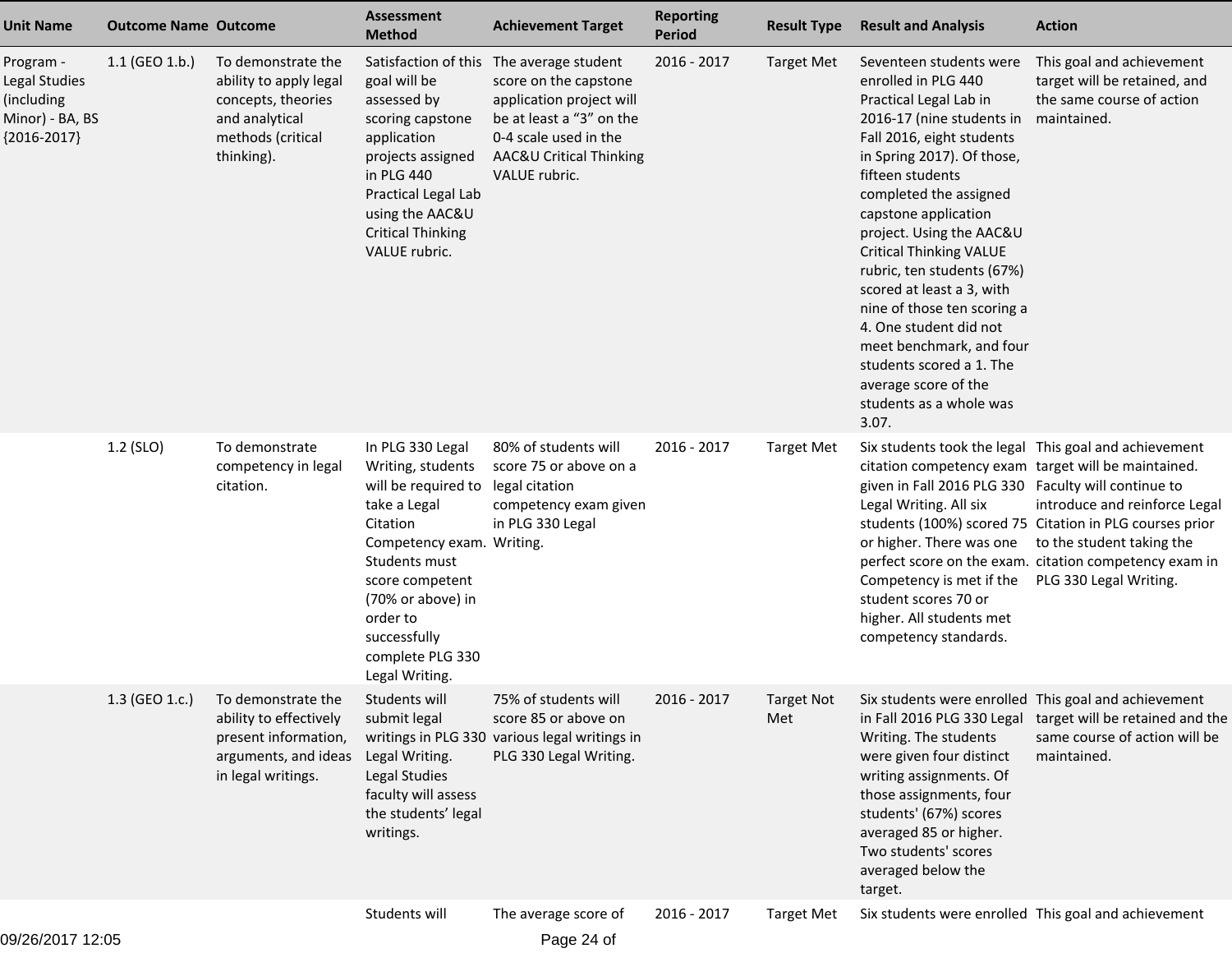| <b>Unit Name</b>                                                             | <b>Outcome Name Outcome</b> |                                                                                                                         | Assessment<br><b>Method</b>                                                                                                                                                                                                                      | <b>Achievement Target</b>                                                                                                                                                 | <b>Reporting</b><br><b>Period</b> | <b>Result Type</b>       | <b>Result and Analysis</b>                                                                                                                                                                                                                                                                                                                                                                                                                                                                                                                   | <b>Action</b>                                                                                                                                                                                             |
|------------------------------------------------------------------------------|-----------------------------|-------------------------------------------------------------------------------------------------------------------------|--------------------------------------------------------------------------------------------------------------------------------------------------------------------------------------------------------------------------------------------------|---------------------------------------------------------------------------------------------------------------------------------------------------------------------------|-----------------------------------|--------------------------|----------------------------------------------------------------------------------------------------------------------------------------------------------------------------------------------------------------------------------------------------------------------------------------------------------------------------------------------------------------------------------------------------------------------------------------------------------------------------------------------------------------------------------------------|-----------------------------------------------------------------------------------------------------------------------------------------------------------------------------------------------------------|
| Program -<br>Legal Studies<br>(including<br>Minor) - BA, BS<br>${2016-2017}$ | $1.1$ (GEO 1.b.)            | To demonstrate the<br>ability to apply legal<br>concepts, theories<br>and analytical<br>methods (critical<br>thinking). | Satisfaction of this<br>goal will be<br>assessed by<br>scoring capstone<br>application<br>projects assigned<br>in PLG 440<br>Practical Legal Lab<br>using the AAC&U<br><b>Critical Thinking</b><br>VALUE rubric.                                 | The average student<br>score on the capstone<br>application project will<br>be at least a "3" on the<br>0-4 scale used in the<br>AAC&U Critical Thinking<br>VALUE rubric. | 2016 - 2017                       | <b>Target Met</b>        | Seventeen students were<br>enrolled in PLG 440<br>Practical Legal Lab in<br>2016-17 (nine students in<br>Fall 2016, eight students<br>in Spring 2017). Of those,<br>fifteen students<br>completed the assigned<br>capstone application<br>project. Using the AAC&U<br><b>Critical Thinking VALUE</b><br>rubric, ten students (67%)<br>scored at least a 3, with<br>nine of those ten scoring a<br>4. One student did not<br>meet benchmark, and four<br>students scored a 1. The<br>average score of the<br>students as a whole was<br>3.07. | This goal and achievement<br>target will be retained, and<br>the same course of action<br>maintained.                                                                                                     |
|                                                                              | 1.2 (SLO)                   | To demonstrate<br>competency in legal<br>citation.                                                                      | In PLG 330 Legal<br>Writing, students<br>will be required to<br>take a Legal<br>Citation<br>Competency exam. Writing.<br>Students must<br>score competent<br>(70% or above) in<br>order to<br>successfully<br>complete PLG 330<br>Legal Writing. | 80% of students will<br>score 75 or above on a<br>legal citation<br>competency exam given<br>in PLG 330 Legal                                                             | 2016 - 2017                       | <b>Target Met</b>        | Six students took the legal This goal and achievement<br>citation competency exam target will be maintained.<br>given in Fall 2016 PLG 330 Faculty will continue to<br>Legal Writing. All six<br>or higher. There was one<br>Competency is met if the<br>student scores 70 or<br>higher. All students met<br>competency standards.                                                                                                                                                                                                           | introduce and reinforce Legal<br>students (100%) scored 75 Citation in PLG courses prior<br>to the student taking the<br>perfect score on the exam. citation competency exam in<br>PLG 330 Legal Writing. |
|                                                                              | 1.3 (GEO 1.c.)              | To demonstrate the<br>ability to effectively<br>present information,<br>arguments, and ideas<br>in legal writings.      | Students will<br>submit legal<br>Legal Writing.<br>Legal Studies<br>faculty will assess<br>the students' legal<br>writings.                                                                                                                      | 75% of students will<br>score 85 or above on<br>writings in PLG 330 various legal writings in<br>PLG 330 Legal Writing.                                                   | 2016 - 2017                       | <b>Target Not</b><br>Met | Six students were enrolled This goal and achievement<br>in Fall 2016 PLG 330 Legal<br>Writing. The students<br>were given four distinct<br>writing assignments. Of<br>those assignments, four<br>students' (67%) scores<br>averaged 85 or higher.<br>Two students' scores<br>averaged below the<br>target.                                                                                                                                                                                                                                   | target will be retained and the<br>same course of action will be<br>maintained.                                                                                                                           |
|                                                                              |                             |                                                                                                                         | Students will                                                                                                                                                                                                                                    | The average score of                                                                                                                                                      | 2016 - 2017                       | <b>Target Met</b>        | Six students were enrolled This goal and achievement                                                                                                                                                                                                                                                                                                                                                                                                                                                                                         |                                                                                                                                                                                                           |

Page 24 of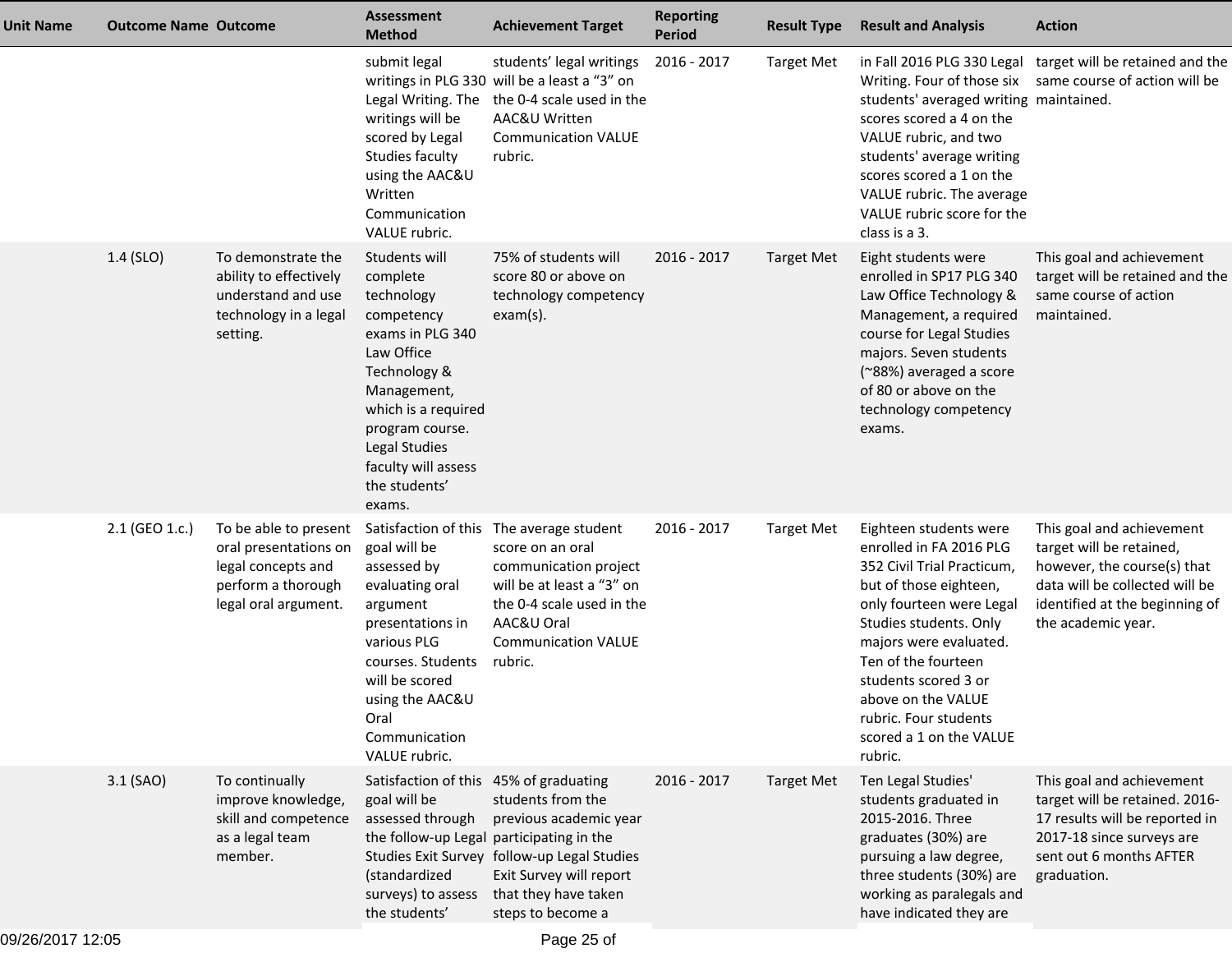| Unit Name | <b>Outcome Name Outcome</b> |                                                                                                                    | <b>Assessment</b><br><b>Method</b>                                                                                                                                                                                                  | <b>Achievement Target</b>                                                                                                                                                                              | <b>Reporting</b><br><b>Period</b> | <b>Result Type</b> | <b>Result and Analysis</b>                                                                                                                                                                                                                                                                                                    | <b>Action</b>                                                                                                                                                                  |
|-----------|-----------------------------|--------------------------------------------------------------------------------------------------------------------|-------------------------------------------------------------------------------------------------------------------------------------------------------------------------------------------------------------------------------------|--------------------------------------------------------------------------------------------------------------------------------------------------------------------------------------------------------|-----------------------------------|--------------------|-------------------------------------------------------------------------------------------------------------------------------------------------------------------------------------------------------------------------------------------------------------------------------------------------------------------------------|--------------------------------------------------------------------------------------------------------------------------------------------------------------------------------|
|           |                             |                                                                                                                    | submit legal<br>Legal Writing. The<br>writings will be<br>scored by Legal<br>Studies faculty<br>using the AAC&U<br>Written<br>Communication<br>VALUE rubric.                                                                        | students' legal writings<br>writings in PLG 330 will be a least a "3" on<br>the 0-4 scale used in the<br>AAC&U Written<br><b>Communication VALUE</b><br>rubric.                                        | 2016 - 2017                       | <b>Target Met</b>  | students' averaged writing maintained.<br>scores scored a 4 on the<br>VALUE rubric, and two<br>students' average writing<br>scores scored a 1 on the<br>VALUE rubric. The average<br>VALUE rubric score for the<br>class is a 3.                                                                                              | in Fall 2016 PLG 330 Legal target will be retained and the<br>Writing. Four of those six same course of action will be                                                         |
|           | 1.4 (SLO)                   | To demonstrate the<br>ability to effectively<br>understand and use<br>technology in a legal<br>setting.            | Students will<br>complete<br>technology<br>competency<br>exams in PLG 340<br>Law Office<br>Technology &<br>Management,<br>which is a required<br>program course.<br>Legal Studies<br>faculty will assess<br>the students'<br>exams. | 75% of students will<br>score 80 or above on<br>technology competency<br>$exam(s)$ .                                                                                                                   | 2016 - 2017                       | <b>Target Met</b>  | Eight students were<br>enrolled in SP17 PLG 340<br>Law Office Technology &<br>Management, a required<br>course for Legal Studies<br>majors. Seven students<br>(~88%) averaged a score<br>of 80 or above on the<br>technology competency<br>exams.                                                                             | This goal and achievement<br>target will be retained and the<br>same course of action<br>maintained.                                                                           |
|           | 2.1 (GEO 1.c.)              | To be able to present<br>oral presentations on<br>legal concepts and<br>perform a thorough<br>legal oral argument. | goal will be<br>assessed by<br>evaluating oral<br>argument<br>presentations in<br>various PLG<br>courses. Students<br>will be scored<br>using the AAC&U<br>Oral<br>Communication<br>VALUE rubric.                                   | Satisfaction of this The average student<br>score on an oral<br>communication project<br>will be at least a "3" on<br>the 0-4 scale used in the<br>AAC&U Oral<br><b>Communication VALUE</b><br>rubric. | 2016 - 2017                       | <b>Target Met</b>  | Eighteen students were<br>enrolled in FA 2016 PLG<br>352 Civil Trial Practicum,<br>but of those eighteen,<br>only fourteen were Legal<br>Studies students. Only<br>majors were evaluated.<br>Ten of the fourteen<br>students scored 3 or<br>above on the VALUE<br>rubric. Four students<br>scored a 1 on the VALUE<br>rubric. | This goal and achievement<br>target will be retained,<br>however, the course(s) that<br>data will be collected will be<br>identified at the beginning of<br>the academic year. |
|           | $3.1$ (SAO)                 | To continually<br>improve knowledge,<br>skill and competence<br>as a legal team<br>member.                         | Satisfaction of this 45% of graduating<br>goal will be<br>assessed through<br>the follow-up Legal participating in the<br>(standardized<br>surveys) to assess<br>the students'                                                      | students from the<br>previous academic year<br>Studies Exit Survey follow-up Legal Studies<br>Exit Survey will report<br>that they have taken<br>steps to become a                                     | 2016 - 2017                       | <b>Target Met</b>  | Ten Legal Studies'<br>students graduated in<br>2015-2016. Three<br>graduates (30%) are<br>pursuing a law degree,<br>three students (30%) are<br>working as paralegals and<br>have indicated they are                                                                                                                          | This goal and achievement<br>target will be retained. 2016-<br>17 results will be reported in<br>2017-18 since surveys are<br>sent out 6 months AFTER<br>graduation.           |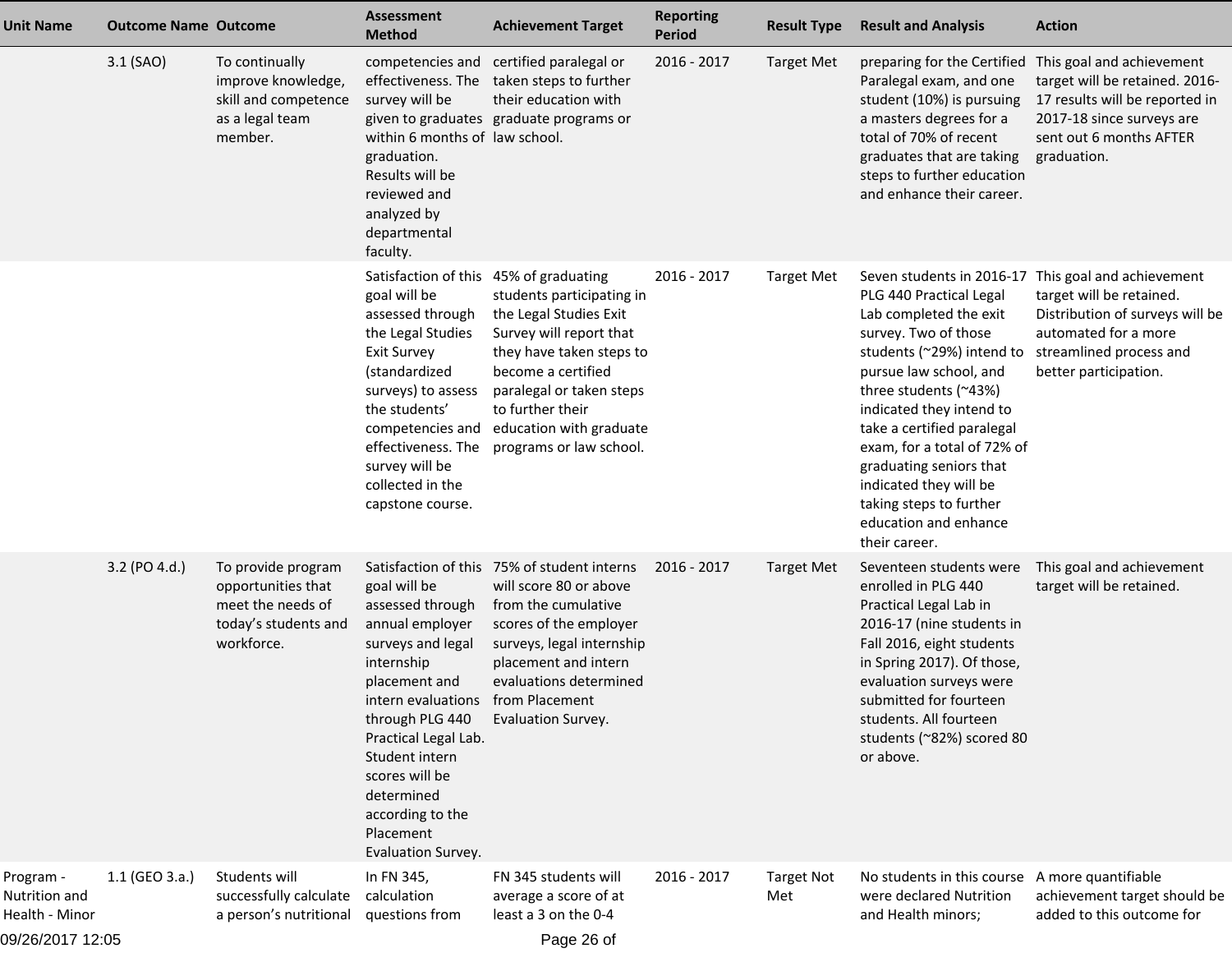| <b>Unit Name</b>                             | <b>Outcome Name Outcome</b> |                                                                                                     | <b>Assessment</b><br><b>Method</b>                                                                                                                                                                                                                                                               | <b>Achievement Target</b>                                                                                                                                                                                                              | <b>Reporting</b><br><b>Period</b> | <b>Result Type</b>       | <b>Result and Analysis</b>                                                                                                                                                                                                                                                                                                                                                                           | <b>Action</b>                                                                                                                                                                                    |
|----------------------------------------------|-----------------------------|-----------------------------------------------------------------------------------------------------|--------------------------------------------------------------------------------------------------------------------------------------------------------------------------------------------------------------------------------------------------------------------------------------------------|----------------------------------------------------------------------------------------------------------------------------------------------------------------------------------------------------------------------------------------|-----------------------------------|--------------------------|------------------------------------------------------------------------------------------------------------------------------------------------------------------------------------------------------------------------------------------------------------------------------------------------------------------------------------------------------------------------------------------------------|--------------------------------------------------------------------------------------------------------------------------------------------------------------------------------------------------|
|                                              | 3.1 (SAO)                   | To continually<br>improve knowledge,<br>skill and competence<br>as a legal team<br>member.          | survey will be<br>within 6 months of law school.<br>graduation.<br>Results will be<br>reviewed and<br>analyzed by<br>departmental<br>faculty.                                                                                                                                                    | competencies and certified paralegal or<br>effectiveness. The taken steps to further<br>their education with<br>given to graduates graduate programs or                                                                                | 2016 - 2017                       | <b>Target Met</b>        | Paralegal exam, and one<br>student (10%) is pursuing<br>a masters degrees for a<br>total of 70% of recent<br>graduates that are taking<br>steps to further education<br>and enhance their career.                                                                                                                                                                                                    | preparing for the Certified This goal and achievement<br>target will be retained. 2016-<br>17 results will be reported in<br>2017-18 since surveys are<br>sent out 6 months AFTER<br>graduation. |
|                                              |                             |                                                                                                     | Satisfaction of this 45% of graduating<br>goal will be<br>assessed through<br>the Legal Studies<br><b>Exit Survey</b><br>(standardized<br>surveys) to assess<br>the students'<br>competencies and<br>effectiveness. The<br>survey will be<br>collected in the<br>capstone course.                | students participating in<br>the Legal Studies Exit<br>Survey will report that<br>they have taken steps to<br>become a certified<br>paralegal or taken steps<br>to further their<br>education with graduate<br>programs or law school. | 2016 - 2017                       | <b>Target Met</b>        | PLG 440 Practical Legal<br>Lab completed the exit<br>survey. Two of those<br>students (~29%) intend to streamlined process and<br>pursue law school, and<br>three students (~43%)<br>indicated they intend to<br>take a certified paralegal<br>exam, for a total of 72% of<br>graduating seniors that<br>indicated they will be<br>taking steps to further<br>education and enhance<br>their career. | Seven students in 2016-17 This goal and achievement<br>target will be retained.<br>Distribution of surveys will be<br>automated for a more<br>better participation.                              |
|                                              | 3.2 (PO 4.d.)               | To provide program<br>opportunities that<br>meet the needs of<br>today's students and<br>workforce. | goal will be<br>assessed through<br>annual employer<br>surveys and legal<br>internship<br>placement and<br>intern evaluations from Placement<br>through PLG 440<br>Practical Legal Lab.<br>Student intern<br>scores will be<br>determined<br>according to the<br>Placement<br>Evaluation Survey. | Satisfaction of this 75% of student interns<br>will score 80 or above<br>from the cumulative<br>scores of the employer<br>surveys, legal internship<br>placement and intern<br>evaluations determined<br>Evaluation Survey.            | 2016 - 2017                       | <b>Target Met</b>        | Seventeen students were<br>enrolled in PLG 440<br>Practical Legal Lab in<br>2016-17 (nine students in<br>Fall 2016, eight students<br>in Spring 2017). Of those,<br>evaluation surveys were<br>submitted for fourteen<br>students. All fourteen<br>students (~82%) scored 80<br>or above.                                                                                                            | This goal and achievement<br>target will be retained.                                                                                                                                            |
| Program -<br>Nutrition and<br>Health - Minor | 1.1 (GEO 3.a.)              | Students will<br>successfully calculate<br>a person's nutritional                                   | In FN 345,<br>calculation<br>questions from                                                                                                                                                                                                                                                      | FN 345 students will<br>average a score of at<br>least a 3 on the 0-4                                                                                                                                                                  | 2016 - 2017                       | <b>Target Not</b><br>Met | No students in this course A more quantifiable<br>were declared Nutrition<br>and Health minors;                                                                                                                                                                                                                                                                                                      | achievement target should be<br>added to this outcome for                                                                                                                                        |
| 09/26/2017 12:05                             |                             |                                                                                                     |                                                                                                                                                                                                                                                                                                  | Page 26 of                                                                                                                                                                                                                             |                                   |                          |                                                                                                                                                                                                                                                                                                                                                                                                      |                                                                                                                                                                                                  |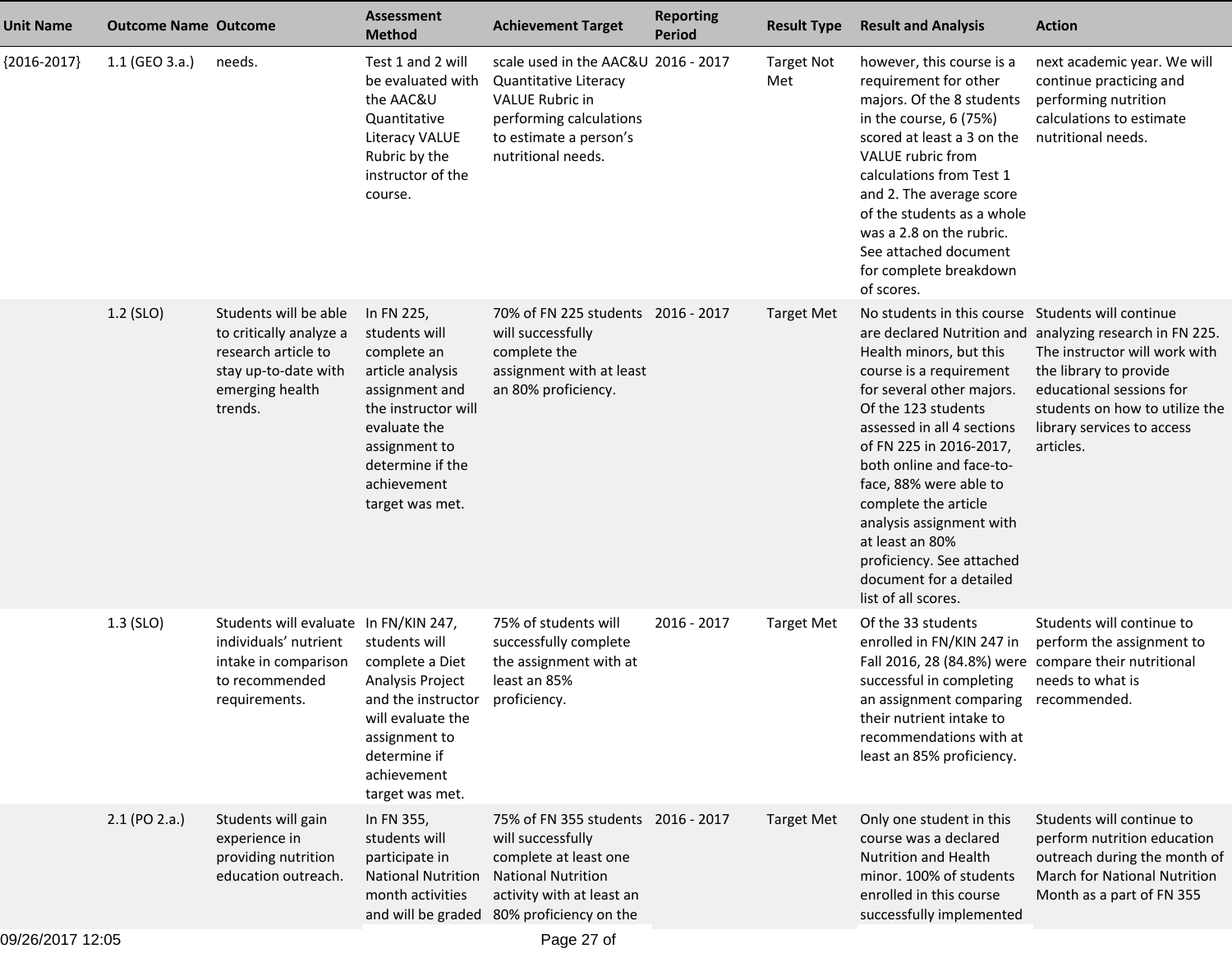| <b>Unit Name</b> | <b>Outcome Name Outcome</b> |                                                                                                                               | <b>Assessment</b><br><b>Method</b>                                                                                                                                                             | <b>Achievement Target</b>                                                                                                                                                               | <b>Reporting</b><br><b>Period</b> | <b>Result Type</b>       | <b>Result and Analysis</b>                                                                                                                                                                                                                                                                                                                                                                                                       | <b>Action</b>                                                                                                                                                                                                                |
|------------------|-----------------------------|-------------------------------------------------------------------------------------------------------------------------------|------------------------------------------------------------------------------------------------------------------------------------------------------------------------------------------------|-----------------------------------------------------------------------------------------------------------------------------------------------------------------------------------------|-----------------------------------|--------------------------|----------------------------------------------------------------------------------------------------------------------------------------------------------------------------------------------------------------------------------------------------------------------------------------------------------------------------------------------------------------------------------------------------------------------------------|------------------------------------------------------------------------------------------------------------------------------------------------------------------------------------------------------------------------------|
| ${2016-2017}$    | $1.1$ (GEO 3.a.)            | needs.                                                                                                                        | Test 1 and 2 will<br>be evaluated with<br>the AAC&U<br>Quantitative<br>Literacy VALUE<br>Rubric by the<br>instructor of the<br>course.                                                         | scale used in the AAC&U 2016 - 2017<br>Quantitative Literacy<br><b>VALUE Rubric in</b><br>performing calculations<br>to estimate a person's<br>nutritional needs.                       |                                   | <b>Target Not</b><br>Met | however, this course is a<br>requirement for other<br>majors. Of the 8 students<br>in the course, 6 (75%)<br>scored at least a 3 on the<br>VALUE rubric from<br>calculations from Test 1<br>and 2. The average score<br>of the students as a whole<br>was a 2.8 on the rubric.<br>See attached document<br>for complete breakdown<br>of scores.                                                                                  | next academic year. We will<br>continue practicing and<br>performing nutrition<br>calculations to estimate<br>nutritional needs.                                                                                             |
|                  | 1.2 (SLO)                   | Students will be able<br>to critically analyze a<br>research article to<br>stay up-to-date with<br>emerging health<br>trends. | In FN 225,<br>students will<br>complete an<br>article analysis<br>assignment and<br>the instructor will<br>evaluate the<br>assignment to<br>determine if the<br>achievement<br>target was met. | 70% of FN 225 students 2016 - 2017<br>will successfully<br>complete the<br>assignment with at least<br>an 80% proficiency.                                                              |                                   | <b>Target Met</b>        | No students in this course Students will continue<br>Health minors, but this<br>course is a requirement<br>for several other majors.<br>Of the 123 students<br>assessed in all 4 sections<br>of FN 225 in 2016-2017,<br>both online and face-to-<br>face, 88% were able to<br>complete the article<br>analysis assignment with<br>at least an 80%<br>proficiency. See attached<br>document for a detailed<br>list of all scores. | are declared Nutrition and analyzing research in FN 225.<br>The instructor will work with<br>the library to provide<br>educational sessions for<br>students on how to utilize the<br>library services to access<br>articles. |
|                  | $1.3$ (SLO)                 | Students will evaluate In FN/KIN 247,<br>individuals' nutrient<br>intake in comparison<br>to recommended<br>requirements.     | students will<br>complete a Diet<br>Analysis Project<br>and the instructor proficiency.<br>will evaluate the<br>assignment to<br>determine if<br>achievement<br>target was met.                | 75% of students will<br>successfully complete<br>the assignment with at<br>least an 85%                                                                                                 | 2016 - 2017                       | <b>Target Met</b>        | Of the 33 students<br>enrolled in FN/KIN 247 in<br>Fall 2016, 28 (84.8%) were compare their nutritional<br>successful in completing<br>an assignment comparing recommended.<br>their nutrient intake to<br>recommendations with at<br>least an 85% proficiency.                                                                                                                                                                  | Students will continue to<br>perform the assignment to<br>needs to what is                                                                                                                                                   |
|                  | 2.1 (PO 2.a.)               | Students will gain<br>experience in<br>providing nutrition<br>education outreach.                                             | In FN 355,<br>students will<br>participate in<br><b>National Nutrition</b><br>month activities                                                                                                 | 75% of FN 355 students 2016 - 2017<br>will successfully<br>complete at least one<br><b>National Nutrition</b><br>activity with at least an<br>and will be graded 80% proficiency on the |                                   | <b>Target Met</b>        | Only one student in this<br>course was a declared<br>Nutrition and Health<br>minor. 100% of students<br>enrolled in this course<br>successfully implemented                                                                                                                                                                                                                                                                      | Students will continue to<br>perform nutrition education<br>outreach during the month of<br>March for National Nutrition<br>Month as a part of FN 355                                                                        |